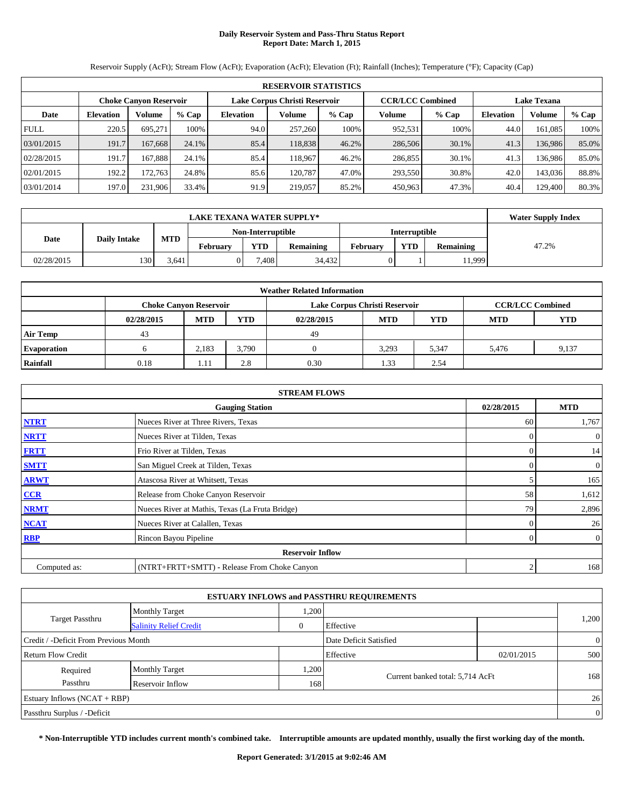# **Daily Reservoir System and Pass-Thru Status Report Report Date: March 1, 2015**

Reservoir Supply (AcFt); Stream Flow (AcFt); Evaporation (AcFt); Elevation (Ft); Rainfall (Inches); Temperature (°F); Capacity (Cap)

|             | <b>RESERVOIR STATISTICS</b>   |                 |       |                               |         |         |                         |         |                    |               |       |  |
|-------------|-------------------------------|-----------------|-------|-------------------------------|---------|---------|-------------------------|---------|--------------------|---------------|-------|--|
|             | <b>Choke Canyon Reservoir</b> |                 |       | Lake Corpus Christi Reservoir |         |         | <b>CCR/LCC Combined</b> |         | <b>Lake Texana</b> |               |       |  |
| Date        | <b>Elevation</b>              | Volume<br>% Cap |       | <b>Elevation</b>              | Volume  | $%$ Cap | Volume                  | $%$ Cap | <b>Elevation</b>   | <b>Volume</b> | % Cap |  |
| <b>FULL</b> | 220.5                         | 695,271         | 100%  | 94.0                          | 257,260 | 100%    | 952,531                 | 100%    | 44.0               | 161,085       | 100%  |  |
| 03/01/2015  | 191.7                         | 167,668         | 24.1% | 85.4                          | 118.838 | 46.2%   | 286,506                 | 30.1%   | 41.3               | 136.986       | 85.0% |  |
| 02/28/2015  | 191.7                         | 167.888         | 24.1% | 85.4                          | 118.967 | 46.2%   | 286,855                 | 30.1%   | 41.3               | 136,986       | 85.0% |  |
| 02/01/2015  | 192.2                         | 172.763         | 24.8% | 85.6                          | 120.787 | 47.0%   | 293,550                 | 30.8%   | 42.0               | 143,036       | 88.8% |  |
| 03/01/2014  | 197.0                         | 231.906         | 33.4% | 91.9                          | 219,057 | 85.2%   | 450,963                 | 47.3%   | 40.4               | 129.400       | 80.3% |  |

|            | <b>LAKE TEXANA WATER SUPPLY*</b> |            |          |                                                                              |        |                      |  |       |  |  |  |  |
|------------|----------------------------------|------------|----------|------------------------------------------------------------------------------|--------|----------------------|--|-------|--|--|--|--|
|            |                                  |            |          | Non-Interruptible                                                            |        | <b>Interruptible</b> |  |       |  |  |  |  |
| Date       | <b>Daily Intake</b>              | <b>MTD</b> | February | <b>YTD</b><br><b>YTD</b><br>February<br><b>Remaining</b><br><b>Remaining</b> |        |                      |  | 47.2% |  |  |  |  |
| 02/28/2015 | 130                              | 3.641      |          | .408                                                                         | 34,432 |                      |  | 1,999 |  |  |  |  |

|                    | <b>Weather Related Information</b> |            |       |                               |              |            |                         |       |  |  |  |  |
|--------------------|------------------------------------|------------|-------|-------------------------------|--------------|------------|-------------------------|-------|--|--|--|--|
|                    | <b>Choke Canyon Reservoir</b>      |            |       | Lake Corpus Christi Reservoir |              |            | <b>CCR/LCC Combined</b> |       |  |  |  |  |
|                    | 02/28/2015                         | <b>MTD</b> | YTD   | 02/28/2015                    | <b>MTD</b>   | <b>MTD</b> | <b>YTD</b>              |       |  |  |  |  |
| <b>Air Temp</b>    | 43                                 |            |       | 49                            |              |            |                         |       |  |  |  |  |
| <b>Evaporation</b> |                                    | 2,183      | 3,790 |                               | 3,293        | 5,347      | 5.476                   | 9,137 |  |  |  |  |
| Rainfall           | 0.18                               |            | 2.8   | 0.30                          | 1.33<br>2.54 |            |                         |       |  |  |  |  |

| <b>STREAM FLOWS</b> |                                                 |                |                  |  |  |  |  |  |
|---------------------|-------------------------------------------------|----------------|------------------|--|--|--|--|--|
|                     | <b>Gauging Station</b>                          | 02/28/2015     | <b>MTD</b>       |  |  |  |  |  |
| <b>NTRT</b>         | Nueces River at Three Rivers, Texas             | 60             | 1,767            |  |  |  |  |  |
| <b>NRTT</b>         | Nueces River at Tilden, Texas                   | $\Omega$       | $\boldsymbol{0}$ |  |  |  |  |  |
| <b>FRTT</b>         | Frio River at Tilden, Texas                     | $\Omega$       | 14               |  |  |  |  |  |
| <b>SMTT</b>         | San Miguel Creek at Tilden, Texas               | $\Omega$       | $\boldsymbol{0}$ |  |  |  |  |  |
| <b>ARWT</b>         | Atascosa River at Whitsett, Texas               |                | 165              |  |  |  |  |  |
| CCR                 | Release from Choke Canyon Reservoir             | 58             | 1,612            |  |  |  |  |  |
| <b>NRMT</b>         | Nueces River at Mathis, Texas (La Fruta Bridge) | 79             | 2,896            |  |  |  |  |  |
| <b>NCAT</b>         | Nueces River at Calallen, Texas                 |                | 26               |  |  |  |  |  |
| <b>RBP</b>          | Rincon Bayou Pipeline                           | $\overline{0}$ | $\boldsymbol{0}$ |  |  |  |  |  |
|                     | <b>Reservoir Inflow</b>                         |                |                  |  |  |  |  |  |
| Computed as:        | (NTRT+FRTT+SMTT) - Release From Choke Canyon    |                |                  |  |  |  |  |  |

|                                       |                               |          | <b>ESTUARY INFLOWS and PASSTHRU REQUIREMENTS</b> |            |                |
|---------------------------------------|-------------------------------|----------|--------------------------------------------------|------------|----------------|
|                                       | <b>Monthly Target</b>         | .200     |                                                  |            |                |
| <b>Target Passthru</b>                | <b>Salinity Relief Credit</b> | $\theta$ | Effective                                        |            | 1,200          |
| Credit / -Deficit From Previous Month |                               |          | Date Deficit Satisfied                           |            | $\overline{0}$ |
| Return Flow Credit                    |                               |          | Effective                                        | 02/01/2015 | 500            |
| Required                              | <b>Monthly Target</b>         | .200     |                                                  |            |                |
| Passthru                              | Reservoir Inflow              | 168      | Current banked total: 5,714 AcFt                 |            | 168            |
| Estuary Inflows $(NCAT + RBP)$        |                               |          |                                                  |            | 26             |
| Passthru Surplus / -Deficit           |                               |          |                                                  |            | $\overline{0}$ |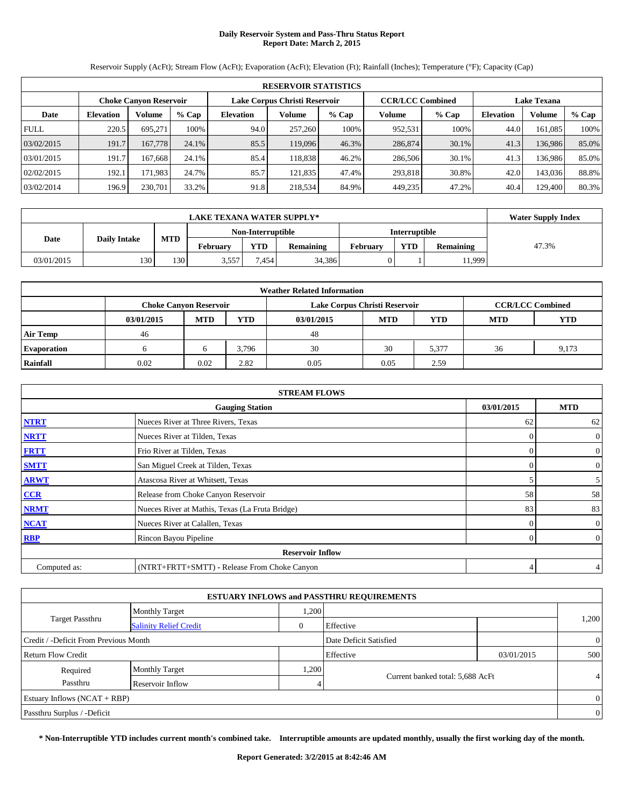# **Daily Reservoir System and Pass-Thru Status Report Report Date: March 2, 2015**

Reservoir Supply (AcFt); Stream Flow (AcFt); Evaporation (AcFt); Elevation (Ft); Rainfall (Inches); Temperature (°F); Capacity (Cap)

|             | <b>RESERVOIR STATISTICS</b> |                               |       |                               |         |         |                         |         |                    |         |       |  |
|-------------|-----------------------------|-------------------------------|-------|-------------------------------|---------|---------|-------------------------|---------|--------------------|---------|-------|--|
|             |                             | <b>Choke Canyon Reservoir</b> |       | Lake Corpus Christi Reservoir |         |         | <b>CCR/LCC Combined</b> |         | <b>Lake Texana</b> |         |       |  |
| Date        | <b>Elevation</b>            | % Cap<br>Volume               |       | <b>Elevation</b>              | Volume  | $%$ Cap | Volume                  | $%$ Cap | <b>Elevation</b>   | Volume  | % Cap |  |
| <b>FULL</b> | 220.5                       | 695.271                       | 100%  | 94.0                          | 257,260 | 100%    | 952,531                 | 100%    | 44.0               | 161.085 | 100%  |  |
| 03/02/2015  | 191.7                       | 167,778                       | 24.1% | 85.5                          | 119,096 | 46.3%   | 286,874                 | 30.1%   | 41.3               | 136,986 | 85.0% |  |
| 03/01/2015  | 191.7                       | 167.668                       | 24.1% | 85.4                          | 118.838 | 46.2%   | 286,506                 | 30.1%   | 41.3               | 136.986 | 85.0% |  |
| 02/02/2015  | 192.1                       | 171.983                       | 24.7% | 85.7                          | 121.835 | 47.4%   | 293,818                 | 30.8%   | 42.0               | 143,036 | 88.8% |  |
| 03/02/2014  | 196.9                       | 230,701                       | 33.2% | 91.8                          | 218,534 | 84.9%   | 449,235                 | 47.2%   | 40.4               | 129,400 | 80.3% |  |

|            | <b>LAKE TEXANA WATER SUPPLY*</b>                                                                                                     |     |                   |      |        |  |                      |       |  |  |  |  |
|------------|--------------------------------------------------------------------------------------------------------------------------------------|-----|-------------------|------|--------|--|----------------------|-------|--|--|--|--|
|            |                                                                                                                                      |     | Non-Interruptible |      |        |  | <b>Interruptible</b> |       |  |  |  |  |
| Date       | <b>MTD</b><br><b>Daily Intake</b><br><b>YTD</b><br><b>YTD</b><br><b>Remaining</b><br><b>Remaining</b><br>February<br><b>February</b> |     |                   |      |        |  | 47.3%                |       |  |  |  |  |
| 03/01/2015 | 130                                                                                                                                  | 130 | 3.557             | .454 | 34.386 |  |                      | 1,999 |  |  |  |  |

|                    | <b>Weather Related Information</b> |            |            |                               |                   |       |                         |       |  |  |  |  |
|--------------------|------------------------------------|------------|------------|-------------------------------|-------------------|-------|-------------------------|-------|--|--|--|--|
|                    | <b>Choke Canyon Reservoir</b>      |            |            | Lake Corpus Christi Reservoir |                   |       | <b>CCR/LCC Combined</b> |       |  |  |  |  |
|                    | 03/01/2015                         | <b>MTD</b> | <b>YTD</b> | 03/01/2015                    | YTD<br><b>MTD</b> |       |                         |       |  |  |  |  |
| <b>Air Temp</b>    | 46                                 |            |            | 48                            |                   |       |                         |       |  |  |  |  |
| <b>Evaporation</b> |                                    |            | 3,796      | 30                            | 30                | 5,377 | 36                      | 9,173 |  |  |  |  |
| Rainfall           | 0.02                               | 0.02       | 2.82       | 0.05                          | 2.59<br>0.05      |       |                         |       |  |  |  |  |

| <b>STREAM FLOWS</b> |                                                 |            |                  |  |  |  |  |  |
|---------------------|-------------------------------------------------|------------|------------------|--|--|--|--|--|
|                     | <b>Gauging Station</b>                          | 03/01/2015 | <b>MTD</b>       |  |  |  |  |  |
| <b>NTRT</b>         | Nueces River at Three Rivers, Texas             | 62         | 62               |  |  |  |  |  |
| <b>NRTT</b>         | Nueces River at Tilden, Texas                   | $\Omega$   | $\boldsymbol{0}$ |  |  |  |  |  |
| <b>FRTT</b>         | Frio River at Tilden, Texas                     | $\Omega$   | $\boldsymbol{0}$ |  |  |  |  |  |
| <b>SMTT</b>         | San Miguel Creek at Tilden, Texas               | 0          | $\boldsymbol{0}$ |  |  |  |  |  |
| <b>ARWT</b>         | Atascosa River at Whitsett, Texas               |            | 5                |  |  |  |  |  |
| CCR                 | Release from Choke Canyon Reservoir             | 58         | 58               |  |  |  |  |  |
| <b>NRMT</b>         | Nueces River at Mathis, Texas (La Fruta Bridge) | 83         | 83               |  |  |  |  |  |
| <b>NCAT</b>         | Nueces River at Calallen, Texas                 | 0          | $\mathbf{0}$     |  |  |  |  |  |
| <b>RBP</b>          | Rincon Bayou Pipeline<br>$\Omega$               |            |                  |  |  |  |  |  |
|                     | <b>Reservoir Inflow</b>                         |            |                  |  |  |  |  |  |
| Computed as:        | (NTRT+FRTT+SMTT) - Release From Choke Canyon    |            |                  |  |  |  |  |  |

|                                       |                               |              | <b>ESTUARY INFLOWS and PASSTHRU REQUIREMENTS</b> |            |                |
|---------------------------------------|-------------------------------|--------------|--------------------------------------------------|------------|----------------|
|                                       | <b>Monthly Target</b>         | 1,200        |                                                  |            |                |
| <b>Target Passthru</b>                | <b>Salinity Relief Credit</b> | $\mathbf{0}$ | Effective                                        |            | 1,200          |
| Credit / -Deficit From Previous Month |                               |              | Date Deficit Satisfied                           |            | $\overline{0}$ |
| Return Flow Credit                    |                               |              | Effective                                        | 03/01/2015 | 500            |
| Required                              | <b>Monthly Target</b>         | 1,200        |                                                  |            |                |
| Passthru                              | Reservoir Inflow              | 4            | Current banked total: 5,688 AcFt                 |            | $\overline{4}$ |
| Estuary Inflows $(NCAT + RBP)$        |                               |              |                                                  |            | $\overline{0}$ |
| Passthru Surplus / -Deficit           |                               |              |                                                  |            | $\overline{0}$ |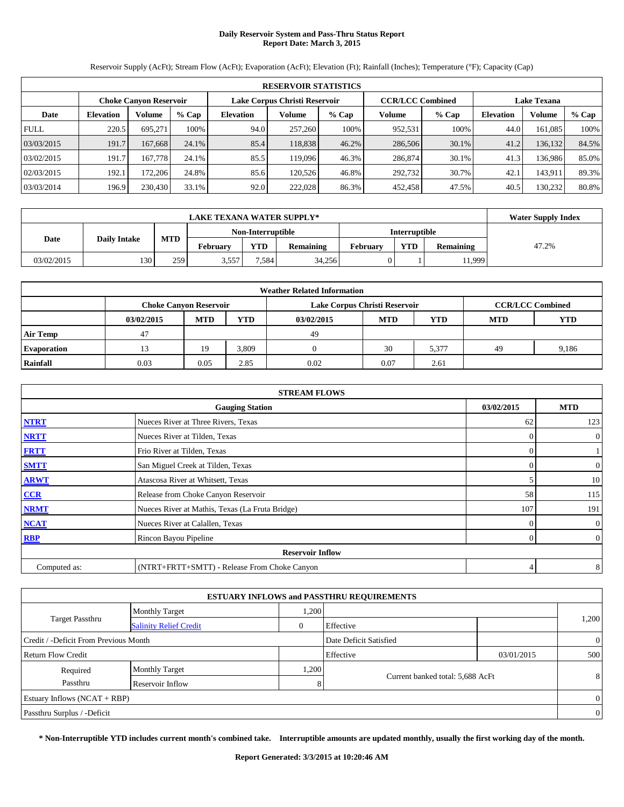# **Daily Reservoir System and Pass-Thru Status Report Report Date: March 3, 2015**

Reservoir Supply (AcFt); Stream Flow (AcFt); Evaporation (AcFt); Elevation (Ft); Rainfall (Inches); Temperature (°F); Capacity (Cap)

|             | <b>RESERVOIR STATISTICS</b> |                               |       |                               |         |         |                         |         |                    |         |       |  |
|-------------|-----------------------------|-------------------------------|-------|-------------------------------|---------|---------|-------------------------|---------|--------------------|---------|-------|--|
|             |                             | <b>Choke Canyon Reservoir</b> |       | Lake Corpus Christi Reservoir |         |         | <b>CCR/LCC Combined</b> |         | <b>Lake Texana</b> |         |       |  |
| Date        | <b>Elevation</b>            | <b>Volume</b><br>% Cap        |       | <b>Elevation</b>              | Volume  | $%$ Cap | Volume                  | $%$ Cap | <b>Elevation</b>   | Volume  | % Cap |  |
| <b>FULL</b> | 220.5                       | 695.271                       | 100%  | 94.0                          | 257,260 | 100%    | 952,531                 | 100%    | 44.0               | 161.085 | 100%  |  |
| 03/03/2015  | 191.7                       | 167.668                       | 24.1% | 85.4                          | 118,838 | 46.2%   | 286,506                 | 30.1%   | 41.2               | 136,132 | 84.5% |  |
| 03/02/2015  | 191.7                       | 167.778                       | 24.1% | 85.5                          | 119,096 | 46.3%   | 286,874                 | 30.1%   | 41.3               | 136.986 | 85.0% |  |
| 02/03/2015  | 192.1                       | 172.206                       | 24.8% | 85.6                          | 120.526 | 46.8%   | 292,732                 | 30.7%   | 42.1               | 143.911 | 89.3% |  |
| 03/03/2014  | 196.9                       | 230,430                       | 33.1% | 92.0                          | 222,028 | 86.3%   | 452,458                 | 47.5%   | 40.5               | 130.232 | 80.8% |  |

|            | <b>LAKE TEXANA WATER SUPPLY*</b>                                                                                                     |     |                   |       |        |  |                      |       |  |  |  |  |
|------------|--------------------------------------------------------------------------------------------------------------------------------------|-----|-------------------|-------|--------|--|----------------------|-------|--|--|--|--|
|            |                                                                                                                                      |     | Non-Interruptible |       |        |  | <b>Interruptible</b> |       |  |  |  |  |
| Date       | <b>MTD</b><br><b>Daily Intake</b><br><b>YTD</b><br><b>YTD</b><br><b>Remaining</b><br><b>Remaining</b><br>February<br><b>February</b> |     |                   |       |        |  | 47.2%                |       |  |  |  |  |
| 03/02/2015 | 130                                                                                                                                  | 259 | 3.557             | 7.584 | 34,256 |  |                      | 1,999 |  |  |  |  |

| <b>Weather Related Information</b> |            |                               |            |            |                               |                         |            |            |  |  |
|------------------------------------|------------|-------------------------------|------------|------------|-------------------------------|-------------------------|------------|------------|--|--|
|                                    |            | <b>Choke Canyon Reservoir</b> |            |            | Lake Corpus Christi Reservoir | <b>CCR/LCC Combined</b> |            |            |  |  |
|                                    | 03/02/2015 | <b>MTD</b>                    | <b>YTD</b> | 03/02/2015 | <b>MTD</b>                    | <b>YTD</b>              | <b>MTD</b> | <b>YTD</b> |  |  |
| <b>Air Temp</b>                    | 47         |                               |            | 49         |                               |                         |            |            |  |  |
| <b>Evaporation</b>                 |            | 19                            | 3,809      |            | 30                            | 5,377                   | 49         | 9,186      |  |  |
| Rainfall                           | 0.03       | 0.05                          | 2.85       | 0.02       | 0.07                          | 2.61                    |            |            |  |  |

| <b>STREAM FLOWS</b> |                                                 |            |                  |  |  |  |  |  |  |
|---------------------|-------------------------------------------------|------------|------------------|--|--|--|--|--|--|
|                     | 03/02/2015                                      | <b>MTD</b> |                  |  |  |  |  |  |  |
| <b>NTRT</b>         | Nueces River at Three Rivers, Texas             | 62         | 123              |  |  |  |  |  |  |
| <b>NRTT</b>         | Nueces River at Tilden, Texas                   | $\Omega$   | $\overline{0}$   |  |  |  |  |  |  |
| <b>FRTT</b>         | Frio River at Tilden, Texas                     | $\Omega$   |                  |  |  |  |  |  |  |
| <b>SMTT</b>         | San Miguel Creek at Tilden, Texas               | $\Omega$   | $\boldsymbol{0}$ |  |  |  |  |  |  |
| <b>ARWT</b>         | Atascosa River at Whitsett, Texas               |            | 10               |  |  |  |  |  |  |
| CCR                 | Release from Choke Canyon Reservoir             | 58         | 115              |  |  |  |  |  |  |
| <b>NRMT</b>         | Nueces River at Mathis, Texas (La Fruta Bridge) | 107        | 191              |  |  |  |  |  |  |
| <b>NCAT</b>         | Nueces River at Calallen, Texas                 | 0          | $\mathbf{0}$     |  |  |  |  |  |  |
| <b>RBP</b>          | Rincon Bayou Pipeline                           | $\Omega$   | $\overline{0}$   |  |  |  |  |  |  |
|                     | <b>Reservoir Inflow</b>                         |            |                  |  |  |  |  |  |  |
| Computed as:        | (NTRT+FRTT+SMTT) - Release From Choke Canyon    |            | 8                |  |  |  |  |  |  |

|                                       |                               |              | <b>ESTUARY INFLOWS and PASSTHRU REQUIREMENTS</b> |            |                |
|---------------------------------------|-------------------------------|--------------|--------------------------------------------------|------------|----------------|
|                                       | <b>Monthly Target</b>         | 1,200        |                                                  |            |                |
| <b>Target Passthru</b>                | <b>Salinity Relief Credit</b> | $\mathbf{0}$ | Effective                                        |            | 1,200          |
| Credit / -Deficit From Previous Month |                               |              | Date Deficit Satisfied                           |            | $\overline{0}$ |
| Return Flow Credit                    |                               |              | Effective                                        | 03/01/2015 | 500            |
| Required                              | <b>Monthly Target</b>         | 1,200        |                                                  |            |                |
| Passthru                              | Reservoir Inflow              | 8            | Current banked total: 5,688 AcFt                 |            | 8              |
| Estuary Inflows $(NCAT + RBP)$        |                               |              |                                                  |            | $\overline{0}$ |
| Passthru Surplus / -Deficit           |                               |              |                                                  |            | $\overline{0}$ |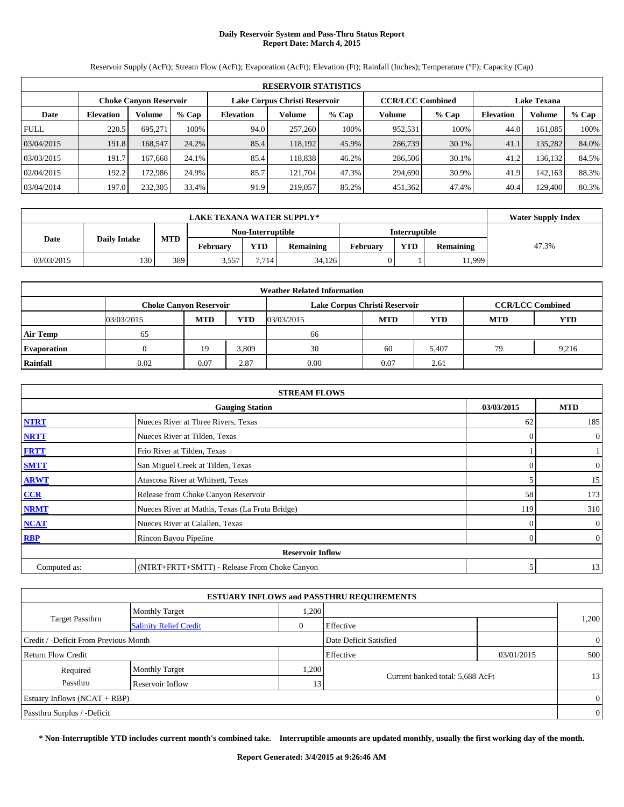# **Daily Reservoir System and Pass-Thru Status Report Report Date: March 4, 2015**

Reservoir Supply (AcFt); Stream Flow (AcFt); Evaporation (AcFt); Elevation (Ft); Rainfall (Inches); Temperature (°F); Capacity (Cap)

| <b>RESERVOIR STATISTICS</b> |                  |                               |       |                               |         |         |                         |       |                    |         |       |
|-----------------------------|------------------|-------------------------------|-------|-------------------------------|---------|---------|-------------------------|-------|--------------------|---------|-------|
|                             |                  | <b>Choke Canyon Reservoir</b> |       | Lake Corpus Christi Reservoir |         |         | <b>CCR/LCC Combined</b> |       | <b>Lake Texana</b> |         |       |
| Date                        | <b>Elevation</b> | Volume                        | % Cap | <b>Elevation</b>              | Volume  | $%$ Cap | Volume                  | % Cap | <b>Elevation</b>   | Volume  | % Cap |
| <b>FULL</b>                 | 220.5            | 695.271                       | 100%  | 94.0                          | 257,260 | 100%    | 952,531                 | 100%  | 44.0               | 161,085 | 100%  |
| 03/04/2015                  | 191.8            | 168,547                       | 24.2% | 85.4                          | 118.192 | 45.9%   | 286,739                 | 30.1% | 41.1               | 135,282 | 84.0% |
| 03/03/2015                  | 191.7            | 167.668                       | 24.1% | 85.4                          | 118.838 | 46.2%   | 286,506                 | 30.1% | 41.2               | 136,132 | 84.5% |
| 02/04/2015                  | 192.2            | 172.986                       | 24.9% | 85.7                          | 121.704 | 47.3%   | 294.690                 | 30.9% | 41.9               | 142.163 | 88.3% |
| 03/04/2014                  | 197.0            | 232,305                       | 33.4% | 91.9                          | 219,057 | 85.2%   | 451,362                 | 47.4% | 40.4               | 129.400 | 80.3% |

|            | <b>Water Supply Index</b> |            |                 |                   |                  |                      |            |                  |       |
|------------|---------------------------|------------|-----------------|-------------------|------------------|----------------------|------------|------------------|-------|
|            |                           |            |                 | Non-Interruptible |                  | <b>Interruptible</b> |            |                  |       |
| Date       | <b>Daily Intake</b>       | <b>MTD</b> | <b>February</b> | <b>YTD</b>        | <b>Remaining</b> | February             | <b>YTD</b> | <b>Remaining</b> | 47.3% |
| 03/03/2015 | 130                       | 389        | 3.557           | 7.714             | 34.126           |                      |            | 11,999           |       |

| <b>Weather Related Information</b> |                               |            |            |                               |            |                         |            |            |  |  |
|------------------------------------|-------------------------------|------------|------------|-------------------------------|------------|-------------------------|------------|------------|--|--|
|                                    | <b>Choke Canyon Reservoir</b> |            |            | Lake Corpus Christi Reservoir |            | <b>CCR/LCC Combined</b> |            |            |  |  |
|                                    | 03/03/2015                    | <b>MTD</b> | <b>YTD</b> | 03/03/2015                    | <b>MTD</b> | <b>YTD</b>              | <b>MTD</b> | <b>YTD</b> |  |  |
| <b>Air Temp</b>                    | 65                            |            |            | 66                            |            |                         |            |            |  |  |
| <b>Evaporation</b>                 |                               | 19         | 3,809      | 30                            | 60         | 5,407                   | 79         | 9,216      |  |  |
| Rainfall                           | 0.02                          | 0.07       | 2.87       | 0.00                          | 0.07       | 2.61                    |            |            |  |  |

| <b>STREAM FLOWS</b>     |                                                 |            |                  |  |  |  |  |  |  |
|-------------------------|-------------------------------------------------|------------|------------------|--|--|--|--|--|--|
|                         | 03/03/2015                                      | <b>MTD</b> |                  |  |  |  |  |  |  |
| <b>NTRT</b>             | Nueces River at Three Rivers, Texas             | 62         | 185              |  |  |  |  |  |  |
| <b>NRTT</b>             | Nueces River at Tilden, Texas                   | $\Omega$   | $\boldsymbol{0}$ |  |  |  |  |  |  |
| <b>FRTT</b>             | Frio River at Tilden, Texas                     |            |                  |  |  |  |  |  |  |
| <b>SMTT</b>             | San Miguel Creek at Tilden, Texas               | $\Omega$   | $\boldsymbol{0}$ |  |  |  |  |  |  |
| <b>ARWT</b>             | Atascosa River at Whitsett, Texas               |            | 15               |  |  |  |  |  |  |
| CCR                     | Release from Choke Canyon Reservoir             | 58         | 173              |  |  |  |  |  |  |
| <b>NRMT</b>             | Nueces River at Mathis, Texas (La Fruta Bridge) | 119        | 310              |  |  |  |  |  |  |
| <b>NCAT</b>             | Nueces River at Calallen, Texas                 | 0          | $\mathbf{0}$     |  |  |  |  |  |  |
| <b>RBP</b>              | Rincon Bayou Pipeline                           | $\Omega$   | $\overline{0}$   |  |  |  |  |  |  |
| <b>Reservoir Inflow</b> |                                                 |            |                  |  |  |  |  |  |  |
| Computed as:            | (NTRT+FRTT+SMTT) - Release From Choke Canyon    | 5          | 13               |  |  |  |  |  |  |

|                                       |                               |       | <b>ESTUARY INFLOWS and PASSTHRU REQUIREMENTS</b> |            |                |
|---------------------------------------|-------------------------------|-------|--------------------------------------------------|------------|----------------|
|                                       | <b>Monthly Target</b>         | .200  |                                                  |            |                |
| <b>Target Passthru</b>                | <b>Salinity Relief Credit</b> | 0     | Effective                                        |            | 1,200          |
| Credit / -Deficit From Previous Month |                               |       | Date Deficit Satisfied                           |            | $\overline{0}$ |
| Return Flow Credit                    |                               |       | Effective                                        | 03/01/2015 | 500            |
| Required                              | <b>Monthly Target</b>         | 1,200 |                                                  |            |                |
| Passthru                              | Reservoir Inflow              | 13    | Current banked total: 5,688 AcFt                 |            | 13             |
| Estuary Inflows $(NCAT + RBP)$        |                               |       |                                                  |            | $\overline{0}$ |
| Passthru Surplus / -Deficit           |                               |       |                                                  |            | $\overline{0}$ |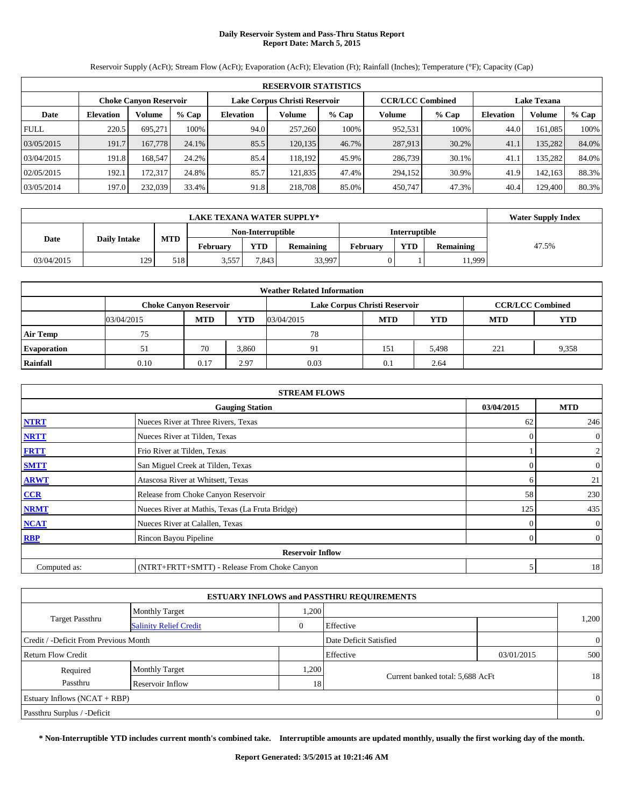# **Daily Reservoir System and Pass-Thru Status Report Report Date: March 5, 2015**

Reservoir Supply (AcFt); Stream Flow (AcFt); Evaporation (AcFt); Elevation (Ft); Rainfall (Inches); Temperature (°F); Capacity (Cap)

| <b>RESERVOIR STATISTICS</b> |                  |                               |       |                               |         |         |                         |       |                    |               |       |
|-----------------------------|------------------|-------------------------------|-------|-------------------------------|---------|---------|-------------------------|-------|--------------------|---------------|-------|
|                             |                  | <b>Choke Canyon Reservoir</b> |       | Lake Corpus Christi Reservoir |         |         | <b>CCR/LCC Combined</b> |       | <b>Lake Texana</b> |               |       |
| Date                        | <b>Elevation</b> | Volume                        | % Cap | <b>Elevation</b>              | Volume  | $%$ Cap | Volume                  | % Cap | <b>Elevation</b>   | <b>Volume</b> | % Cap |
| <b>FULL</b>                 | 220.5            | 695.271                       | 100%  | 94.0                          | 257,260 | 100%    | 952,531                 | 100%  | 44.0               | 161,085       | 100%  |
| 03/05/2015                  | 191.7            | 167,778                       | 24.1% | 85.5                          | 120,135 | 46.7%   | 287,913                 | 30.2% | 41.1               | 135,282       | 84.0% |
| 03/04/2015                  | 191.8            | 168.547                       | 24.2% | 85.4                          | 118.192 | 45.9%   | 286,739                 | 30.1% | 41.1               | 135,282       | 84.0% |
| 02/05/2015                  | 192.1            | 172.317                       | 24.8% | 85.7                          | 121.835 | 47.4%   | 294,152                 | 30.9% | 41.9               | 142,163       | 88.3% |
| 03/05/2014                  | 197.0            | 232,039                       | 33.4% | 91.8                          | 218,708 | 85.0%   | 450,747                 | 47.3% | 40.4               | 129.400       | 80.3% |

|            | <b>Water Supply Index</b> |            |                   |            |                  |          |               |                  |       |
|------------|---------------------------|------------|-------------------|------------|------------------|----------|---------------|------------------|-------|
|            |                           |            | Non-Interruptible |            |                  |          | Interruptible |                  |       |
| Date       | <b>Daily Intake</b>       | <b>MTD</b> | <b>February</b>   | <b>YTD</b> | <b>Remaining</b> | Februarv | <b>YTD</b>    | <b>Remaining</b> | 47.5% |
| 03/04/2015 | 129                       | 518        | 3.557             | 7.843      | 33,997           |          |               | 11,999           |       |

| <b>Weather Related Information</b> |                               |            |            |            |                               |                         |            |            |  |  |
|------------------------------------|-------------------------------|------------|------------|------------|-------------------------------|-------------------------|------------|------------|--|--|
|                                    | <b>Choke Canyon Reservoir</b> |            |            |            | Lake Corpus Christi Reservoir | <b>CCR/LCC Combined</b> |            |            |  |  |
|                                    | 03/04/2015                    | <b>MTD</b> | <b>YTD</b> | 03/04/2015 | <b>MTD</b>                    | <b>YTD</b>              | <b>MTD</b> | <b>YTD</b> |  |  |
| <b>Air Temp</b>                    | 75                            |            |            | 78         |                               |                         |            |            |  |  |
| <b>Evaporation</b>                 |                               | 70         | 3,860      | 9          | 151                           | 5,498                   | 221        | 9,358      |  |  |
| Rainfall                           | 0.10                          | 0.17       | 2.97       | 0.03       | 0.1                           | 2.64                    |            |            |  |  |

| <b>STREAM FLOWS</b> |                                                 |            |                  |  |  |  |  |  |  |
|---------------------|-------------------------------------------------|------------|------------------|--|--|--|--|--|--|
|                     | 03/04/2015                                      | <b>MTD</b> |                  |  |  |  |  |  |  |
| <b>NTRT</b>         | Nueces River at Three Rivers, Texas             | 62         | 246              |  |  |  |  |  |  |
| <b>NRTT</b>         | Nueces River at Tilden, Texas                   | $\Omega$   | $\boldsymbol{0}$ |  |  |  |  |  |  |
| <b>FRTT</b>         | Frio River at Tilden, Texas                     |            | 2                |  |  |  |  |  |  |
| <b>SMTT</b>         | San Miguel Creek at Tilden, Texas               | 0          | $\boldsymbol{0}$ |  |  |  |  |  |  |
| <b>ARWT</b>         | Atascosa River at Whitsett, Texas               | 6          | 21               |  |  |  |  |  |  |
| CCR                 | Release from Choke Canyon Reservoir             | 58         | 230              |  |  |  |  |  |  |
| <b>NRMT</b>         | Nueces River at Mathis, Texas (La Fruta Bridge) | 125        | 435              |  |  |  |  |  |  |
| <b>NCAT</b>         | Nueces River at Calallen, Texas                 |            | $\mathbf{0}$     |  |  |  |  |  |  |
| <b>RBP</b>          | Rincon Bayou Pipeline                           | $\Omega$   | $\boldsymbol{0}$ |  |  |  |  |  |  |
|                     | <b>Reservoir Inflow</b>                         |            |                  |  |  |  |  |  |  |
| Computed as:        | (NTRT+FRTT+SMTT) - Release From Choke Canyon    | 5          | 18               |  |  |  |  |  |  |

|                                                         |                       |       | <b>ESTUARY INFLOWS and PASSTHRU REQUIREMENTS</b> |            |                |
|---------------------------------------------------------|-----------------------|-------|--------------------------------------------------|------------|----------------|
|                                                         | <b>Monthly Target</b> | .200  |                                                  |            |                |
| <b>Target Passthru</b><br><b>Salinity Relief Credit</b> |                       |       | Effective                                        |            | 1,200          |
| Credit / -Deficit From Previous Month                   |                       |       | Date Deficit Satisfied                           |            | $\overline{0}$ |
| Return Flow Credit                                      |                       |       | Effective                                        | 03/01/2015 | 500            |
| Required                                                | <b>Monthly Target</b> | 1,200 |                                                  |            |                |
| Passthru<br>Reservoir Inflow                            |                       |       | Current banked total: 5,688 AcFt<br>18           |            | 18             |
| Estuary Inflows $(NCAT + RBP)$                          |                       |       |                                                  |            | $\overline{0}$ |
| Passthru Surplus / -Deficit                             |                       |       |                                                  |            | $\overline{0}$ |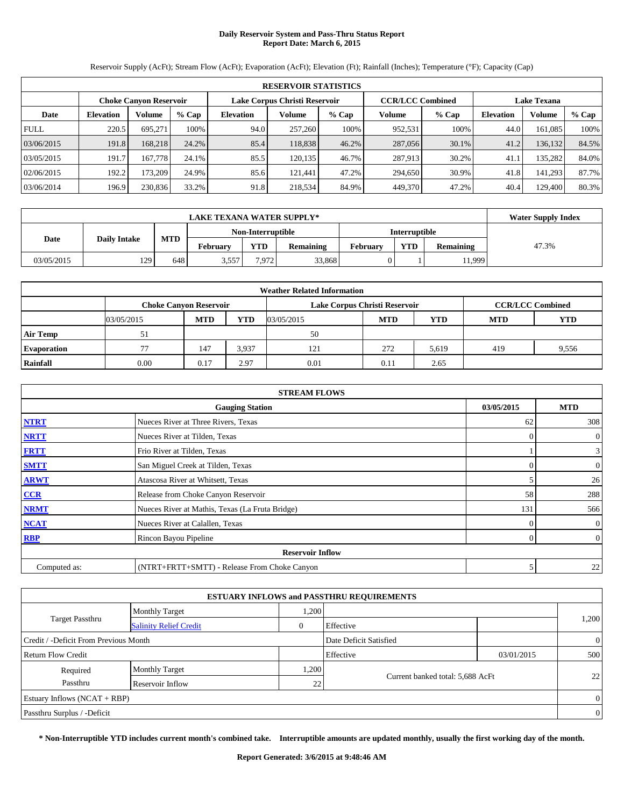# **Daily Reservoir System and Pass-Thru Status Report Report Date: March 6, 2015**

Reservoir Supply (AcFt); Stream Flow (AcFt); Evaporation (AcFt); Elevation (Ft); Rainfall (Inches); Temperature (°F); Capacity (Cap)

|             | <b>RESERVOIR STATISTICS</b> |                               |       |                               |         |         |                         |       |                    |         |       |  |
|-------------|-----------------------------|-------------------------------|-------|-------------------------------|---------|---------|-------------------------|-------|--------------------|---------|-------|--|
|             |                             | <b>Choke Canyon Reservoir</b> |       | Lake Corpus Christi Reservoir |         |         | <b>CCR/LCC Combined</b> |       | <b>Lake Texana</b> |         |       |  |
| Date        | <b>Elevation</b>            | Volume                        | % Cap | <b>Elevation</b>              | Volume  | $%$ Cap | Volume                  | % Cap | <b>Elevation</b>   | Volume  | % Cap |  |
| <b>FULL</b> | 220.5                       | 695.271                       | 100%  | 94.0                          | 257,260 | 100%    | 952,531                 | 100%  | 44.0               | 161,085 | 100%  |  |
| 03/06/2015  | 191.8                       | 168.218                       | 24.2% | 85.4                          | 118.838 | 46.2%   | 287,056                 | 30.1% | 41.2               | 136,132 | 84.5% |  |
| 03/05/2015  | 191.7                       | 167.778                       | 24.1% | 85.5                          | 120.135 | 46.7%   | 287.913                 | 30.2% | 41.1               | 135,282 | 84.0% |  |
| 02/06/2015  | 192.2                       | 173.209                       | 24.9% | 85.6                          | 121.441 | 47.2%   | 294.650                 | 30.9% | 41.8               | 141.293 | 87.7% |  |
| 03/06/2014  | 196.9                       | 230,836                       | 33.2% | 91.8                          | 218,534 | 84.9%   | 449,370                 | 47.2% | 40.4               | 129.400 | 80.3% |  |

|            | <b>Water Supply Index</b> |            |                 |                   |                  |          |               |                  |       |
|------------|---------------------------|------------|-----------------|-------------------|------------------|----------|---------------|------------------|-------|
|            |                           |            |                 | Non-Interruptible |                  |          | Interruptible |                  |       |
| Date       | <b>Daily Intake</b>       | <b>MTD</b> | <b>February</b> | <b>YTD</b>        | <b>Remaining</b> | Februarv | <b>YTD</b>    | <b>Remaining</b> | 47.3% |
| 03/05/2015 | 129                       | 648        | 3.557           | 7.972             | 33.868           |          |               | 11,999           |       |

| <b>Weather Related Information</b> |                               |            |                         |            |            |            |                          |       |  |  |
|------------------------------------|-------------------------------|------------|-------------------------|------------|------------|------------|--------------------------|-------|--|--|
|                                    | <b>Choke Canyon Reservoir</b> |            | <b>CCR/LCC Combined</b> |            |            |            |                          |       |  |  |
|                                    | 03/05/2015                    | <b>MTD</b> | <b>YTD</b>              | 03/05/2015 | <b>MTD</b> | <b>YTD</b> | <b>YTD</b><br><b>MTD</b> |       |  |  |
| <b>Air Temp</b>                    | 51                            |            |                         | 50         |            |            |                          |       |  |  |
| <b>Evaporation</b>                 |                               | 147        | 3,937                   | 121        | 272        | 5,619      | 419                      | 9,556 |  |  |
| Rainfall                           | 0.00                          | 0.17       | 2.97                    | 0.01       | 0.11       | 2.65       |                          |       |  |  |

|              | <b>STREAM FLOWS</b>                             |            |                  |  |  |  |  |  |  |
|--------------|-------------------------------------------------|------------|------------------|--|--|--|--|--|--|
|              | 03/05/2015                                      | <b>MTD</b> |                  |  |  |  |  |  |  |
| <b>NTRT</b>  | Nueces River at Three Rivers, Texas             | 62         | 308              |  |  |  |  |  |  |
| <b>NRTT</b>  | Nueces River at Tilden, Texas                   | $\Omega$   | $\overline{0}$   |  |  |  |  |  |  |
| <b>FRTT</b>  | Frio River at Tilden, Texas                     |            | $\mathbf{3}$     |  |  |  |  |  |  |
| <b>SMTT</b>  | San Miguel Creek at Tilden, Texas               | 0          | $\boldsymbol{0}$ |  |  |  |  |  |  |
| <b>ARWT</b>  | Atascosa River at Whitsett, Texas               |            | 26               |  |  |  |  |  |  |
| CCR          | Release from Choke Canyon Reservoir             | 58         | 288              |  |  |  |  |  |  |
| <b>NRMT</b>  | Nueces River at Mathis, Texas (La Fruta Bridge) | 131        | 566              |  |  |  |  |  |  |
| <b>NCAT</b>  | Nueces River at Calallen, Texas                 | $\Omega$   | $\overline{0}$   |  |  |  |  |  |  |
| <b>RBP</b>   | Rincon Bayou Pipeline                           | $\Omega$   | $\boldsymbol{0}$ |  |  |  |  |  |  |
|              | <b>Reservoir Inflow</b>                         |            |                  |  |  |  |  |  |  |
| Computed as: | (NTRT+FRTT+SMTT) - Release From Choke Canyon    | 5          | 22               |  |  |  |  |  |  |

|                                                         |                       |              | <b>ESTUARY INFLOWS and PASSTHRU REQUIREMENTS</b> |            |                |  |
|---------------------------------------------------------|-----------------------|--------------|--------------------------------------------------|------------|----------------|--|
|                                                         | <b>Monthly Target</b> | 1,200        |                                                  |            |                |  |
| <b>Target Passthru</b><br><b>Salinity Relief Credit</b> |                       | $\mathbf{0}$ | Effective                                        |            | 1,200          |  |
| Credit / -Deficit From Previous Month                   |                       |              | Date Deficit Satisfied                           |            | $\overline{0}$ |  |
| Return Flow Credit                                      |                       |              | Effective                                        | 03/01/2015 | 500            |  |
| Required                                                | <b>Monthly Target</b> | 1,200        |                                                  |            |                |  |
| Passthru                                                | Reservoir Inflow      | 22           | Current banked total: 5,688 AcFt                 |            | 22             |  |
| Estuary Inflows $(NCAT + RBP)$                          |                       |              |                                                  |            | $\overline{0}$ |  |
| Passthru Surplus / -Deficit                             |                       |              |                                                  |            | $\overline{0}$ |  |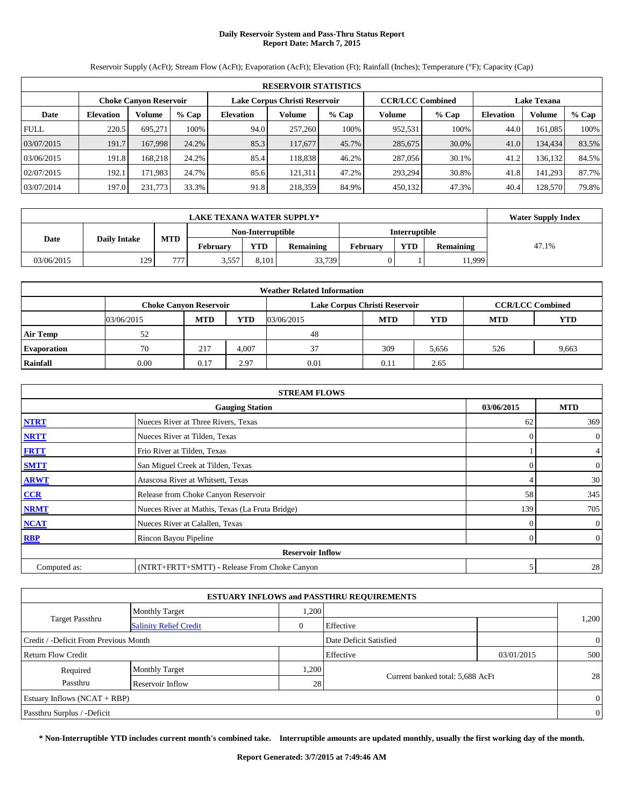# **Daily Reservoir System and Pass-Thru Status Report Report Date: March 7, 2015**

Reservoir Supply (AcFt); Stream Flow (AcFt); Evaporation (AcFt); Elevation (Ft); Rainfall (Inches); Temperature (°F); Capacity (Cap)

|             | <b>RESERVOIR STATISTICS</b> |                               |       |                               |         |         |                         |       |                  |                    |       |  |
|-------------|-----------------------------|-------------------------------|-------|-------------------------------|---------|---------|-------------------------|-------|------------------|--------------------|-------|--|
|             |                             | <b>Choke Canyon Reservoir</b> |       | Lake Corpus Christi Reservoir |         |         | <b>CCR/LCC Combined</b> |       |                  | <b>Lake Texana</b> |       |  |
| Date        | <b>Elevation</b>            | Volume                        | % Cap | <b>Elevation</b>              | Volume  | $%$ Cap | Volume                  | % Cap | <b>Elevation</b> | <b>Volume</b>      | % Cap |  |
| <b>FULL</b> | 220.5                       | 695.271                       | 100%  | 94.0                          | 257,260 | 100%    | 952,531                 | 100%  | 44.0             | 161,085            | 100%  |  |
| 03/07/2015  | 191.7                       | 167.998                       | 24.2% | 85.3                          | 117,677 | 45.7%   | 285,675                 | 30.0% | 41.0             | 134,434            | 83.5% |  |
| 03/06/2015  | 191.8                       | 168.218                       | 24.2% | 85.4                          | 118,838 | 46.2%   | 287,056                 | 30.1% | 41.2             | 136,132            | 84.5% |  |
| 02/07/2015  | 192.1                       | 171.983                       | 24.7% | 85.6                          | 121.311 | 47.2%   | 293,294                 | 30.8% | 41.8             | 141,293            | 87.7% |  |
| 03/07/2014  | 197.0                       | 231,773                       | 33.3% | 91.8                          | 218,359 | 84.9%   | 450,132                 | 47.3% | 40.4             | 128,570            | 79.8% |  |

|            | <b>Water Supply Index</b> |            |          |                   |                  |                 |                      |                  |       |
|------------|---------------------------|------------|----------|-------------------|------------------|-----------------|----------------------|------------------|-------|
|            |                           |            |          | Non-Interruptible |                  |                 | <b>Interruptible</b> |                  |       |
| Date       | <b>Daily Intake</b>       | <b>MTD</b> | Februarv | <b>YTD</b>        | <b>Remaining</b> | <b>February</b> | <b>YTD</b>           | <b>Remaining</b> | 47.1% |
| 03/06/2015 | 129                       | 777        | 3.557    | 8.101             | 33,739           |                 |                      | 11,999           |       |

| <b>Weather Related Information</b> |            |                                                                                           |            |            |            |            |            |            |  |  |
|------------------------------------|------------|-------------------------------------------------------------------------------------------|------------|------------|------------|------------|------------|------------|--|--|
|                                    |            | <b>CCR/LCC Combined</b><br>Lake Corpus Christi Reservoir<br><b>Choke Canyon Reservoir</b> |            |            |            |            |            |            |  |  |
|                                    | 03/06/2015 | <b>MTD</b>                                                                                | <b>YTD</b> | 03/06/2015 | <b>MTD</b> | <b>YTD</b> | <b>MTD</b> | <b>YTD</b> |  |  |
| <b>Air Temp</b>                    | 52         |                                                                                           |            | 48         |            |            |            |            |  |  |
| <b>Evaporation</b>                 | 70         | 217                                                                                       | 4.007      | 37         | 309        | 5,656      | 526        | 9,663      |  |  |
| Rainfall                           | 0.00       | 0.17                                                                                      | 2.97       | 0.01       | 0.11       | 2.65       |            |            |  |  |

|              | <b>STREAM FLOWS</b>                             |                |                  |  |  |  |  |  |  |
|--------------|-------------------------------------------------|----------------|------------------|--|--|--|--|--|--|
|              | 03/06/2015                                      | <b>MTD</b>     |                  |  |  |  |  |  |  |
| <b>NTRT</b>  | Nueces River at Three Rivers, Texas             | 62             | 369              |  |  |  |  |  |  |
| <b>NRTT</b>  | Nueces River at Tilden, Texas                   | $\Omega$       | $\boldsymbol{0}$ |  |  |  |  |  |  |
| <b>FRTT</b>  | Frio River at Tilden, Texas                     |                | 4                |  |  |  |  |  |  |
| <b>SMTT</b>  | San Miguel Creek at Tilden, Texas               | 0              | $\boldsymbol{0}$ |  |  |  |  |  |  |
| <b>ARWT</b>  | Atascosa River at Whitsett, Texas               |                | 30               |  |  |  |  |  |  |
| CCR          | Release from Choke Canyon Reservoir             | 58             | 345              |  |  |  |  |  |  |
| <b>NRMT</b>  | Nueces River at Mathis, Texas (La Fruta Bridge) | 139            | 705              |  |  |  |  |  |  |
| <b>NCAT</b>  | Nueces River at Calallen, Texas                 |                | $\mathbf{0}$     |  |  |  |  |  |  |
| <b>RBP</b>   | Rincon Bayou Pipeline                           | $\overline{0}$ | $\boldsymbol{0}$ |  |  |  |  |  |  |
|              | <b>Reservoir Inflow</b>                         |                |                  |  |  |  |  |  |  |
| Computed as: | (NTRT+FRTT+SMTT) - Release From Choke Canyon    | 5              | 28               |  |  |  |  |  |  |

|                                       |                               |       | <b>ESTUARY INFLOWS and PASSTHRU REQUIREMENTS</b> |            |                |
|---------------------------------------|-------------------------------|-------|--------------------------------------------------|------------|----------------|
|                                       | <b>Monthly Target</b>         | .200  |                                                  |            |                |
| <b>Target Passthru</b>                | <b>Salinity Relief Credit</b> | 0     | Effective                                        |            | 1,200          |
| Credit / -Deficit From Previous Month |                               |       | Date Deficit Satisfied                           |            | $\overline{0}$ |
| Return Flow Credit                    |                               |       | Effective                                        | 03/01/2015 | 500            |
| Required                              | <b>Monthly Target</b>         | 1,200 |                                                  |            |                |
| Passthru<br>Reservoir Inflow          |                               |       | Current banked total: 5,688 AcFt<br>28           |            | 28             |
| Estuary Inflows $(NCAT + RBP)$        |                               |       |                                                  |            | $\overline{0}$ |
| Passthru Surplus / -Deficit           |                               |       |                                                  |            | $\overline{0}$ |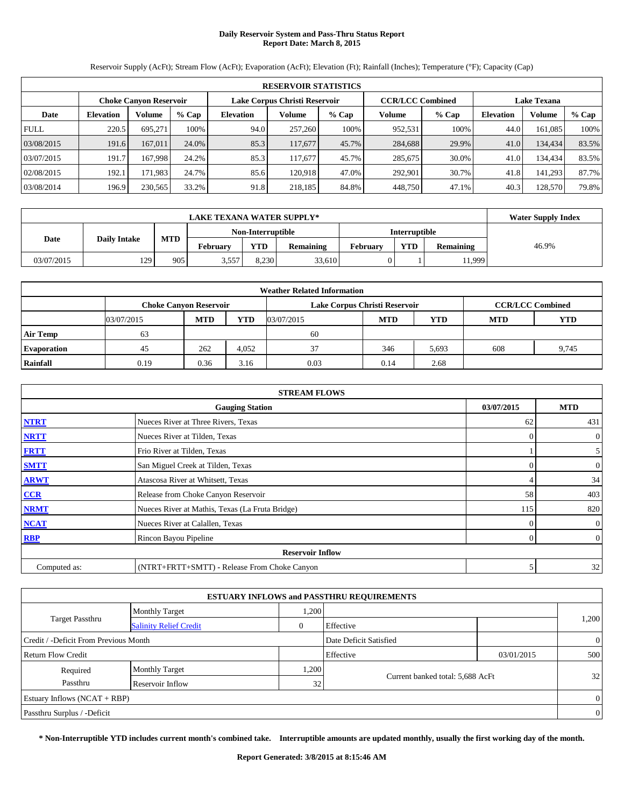# **Daily Reservoir System and Pass-Thru Status Report Report Date: March 8, 2015**

Reservoir Supply (AcFt); Stream Flow (AcFt); Evaporation (AcFt); Elevation (Ft); Rainfall (Inches); Temperature (°F); Capacity (Cap)

|             | <b>RESERVOIR STATISTICS</b> |                               |       |                               |         |         |                         |         |                    |         |       |  |
|-------------|-----------------------------|-------------------------------|-------|-------------------------------|---------|---------|-------------------------|---------|--------------------|---------|-------|--|
|             |                             | <b>Choke Canyon Reservoir</b> |       | Lake Corpus Christi Reservoir |         |         | <b>CCR/LCC Combined</b> |         | <b>Lake Texana</b> |         |       |  |
| Date        | <b>Elevation</b>            | Volume                        | % Cap | <b>Elevation</b>              | Volume  | $%$ Cap | Volume                  | $%$ Cap | <b>Elevation</b>   | Volume  | % Cap |  |
| <b>FULL</b> | 220.5                       | 695.271                       | 100%  | 94.0                          | 257,260 | 100%    | 952,531                 | 100%    | 44.0               | 161.085 | 100%  |  |
| 03/08/2015  | 191.6                       | 167,011                       | 24.0% | 85.3                          | 117,677 | 45.7%   | 284,688                 | 29.9%   | 41.0               | 134,434 | 83.5% |  |
| 03/07/2015  | 191.7                       | 167.998                       | 24.2% | 85.3                          | 117.677 | 45.7%   | 285,675                 | 30.0%   | 41.0               | 134,434 | 83.5% |  |
| 02/08/2015  | 192.1                       | 171.9831                      | 24.7% | 85.6                          | 120.918 | 47.0%   | 292.901                 | 30.7%   | 41.8               | 141.293 | 87.7% |  |
| 03/08/2014  | 196.9                       | 230,565                       | 33.2% | 91.8                          | 218.185 | 84.8%   | 448,750                 | 47.1%   | 40.3               | 128,570 | 79.8% |  |

|            |                     |            | <b>LAKE TEXANA WATER SUPPLY*</b> |                   |                  |          |               |                  | <b>Water Supply Index</b> |
|------------|---------------------|------------|----------------------------------|-------------------|------------------|----------|---------------|------------------|---------------------------|
|            |                     |            |                                  | Non-Interruptible |                  |          | Interruptible |                  |                           |
| Date       | <b>Daily Intake</b> | <b>MTD</b> | <b>February</b>                  | <b>YTD</b>        | <b>Remaining</b> | Februarv | <b>YTD</b>    | <b>Remaining</b> | 46.9%                     |
| 03/07/2015 | 129                 | 905        | 3.557                            | 8.230             | 33,610           |          |               | 11,999           |                           |

| <b>Weather Related Information</b> |            |                                                                                           |            |            |            |            |            |            |  |  |  |  |
|------------------------------------|------------|-------------------------------------------------------------------------------------------|------------|------------|------------|------------|------------|------------|--|--|--|--|
|                                    |            | <b>CCR/LCC Combined</b><br>Lake Corpus Christi Reservoir<br><b>Choke Canyon Reservoir</b> |            |            |            |            |            |            |  |  |  |  |
|                                    | 03/07/2015 | <b>MTD</b>                                                                                | <b>YTD</b> | 03/07/2015 | <b>MTD</b> | <b>YTD</b> | <b>MTD</b> | <b>YTD</b> |  |  |  |  |
| <b>Air Temp</b>                    | 63         |                                                                                           |            | 60         |            |            |            |            |  |  |  |  |
| <b>Evaporation</b>                 | 45         | 262                                                                                       | 4,052      | 37         | 346        | 5,693      | 608        | 9,745      |  |  |  |  |
| Rainfall                           | 0.19       | 0.36                                                                                      | 3.16       | 0.03       | 0.14       | 2.68       |            |            |  |  |  |  |

|                                      | <b>STREAM FLOWS</b>                             |          |                  |  |  |  |  |  |  |
|--------------------------------------|-------------------------------------------------|----------|------------------|--|--|--|--|--|--|
| 03/07/2015<br><b>Gauging Station</b> |                                                 |          |                  |  |  |  |  |  |  |
| <b>NTRT</b>                          | Nueces River at Three Rivers, Texas             | 62       | 431              |  |  |  |  |  |  |
| <b>NRTT</b>                          | Nueces River at Tilden, Texas                   | $\Omega$ | $\overline{0}$   |  |  |  |  |  |  |
| <b>FRTT</b>                          | Frio River at Tilden, Texas                     |          | 5 <sup>1</sup>   |  |  |  |  |  |  |
| <b>SMTT</b>                          | San Miguel Creek at Tilden, Texas               | $\Omega$ | $\boldsymbol{0}$ |  |  |  |  |  |  |
| <b>ARWT</b>                          | Atascosa River at Whitsett, Texas               |          | 34               |  |  |  |  |  |  |
| CCR                                  | Release from Choke Canyon Reservoir             | 58       | 403              |  |  |  |  |  |  |
| <b>NRMT</b>                          | Nueces River at Mathis, Texas (La Fruta Bridge) | 115      | 820              |  |  |  |  |  |  |
| <b>NCAT</b>                          | Nueces River at Calallen, Texas                 | 0        | $\overline{0}$   |  |  |  |  |  |  |
| <b>RBP</b>                           | Rincon Bayou Pipeline                           | $\Omega$ | $\mathbf{0}$     |  |  |  |  |  |  |
|                                      | <b>Reservoir Inflow</b>                         |          |                  |  |  |  |  |  |  |
| Computed as:                         | (NTRT+FRTT+SMTT) - Release From Choke Canyon    |          | 32               |  |  |  |  |  |  |

|                                       |                               |       | <b>ESTUARY INFLOWS and PASSTHRU REQUIREMENTS</b> |            |                |
|---------------------------------------|-------------------------------|-------|--------------------------------------------------|------------|----------------|
|                                       | <b>Monthly Target</b>         | 1,200 |                                                  |            |                |
| <b>Target Passthru</b>                | <b>Salinity Relief Credit</b> |       | Effective                                        |            | 1,200          |
| Credit / -Deficit From Previous Month |                               |       | Date Deficit Satisfied                           |            | $\overline{0}$ |
| <b>Return Flow Credit</b>             |                               |       | Effective                                        | 03/01/2015 | 500            |
| Required                              | <b>Monthly Target</b>         | 1,200 |                                                  |            |                |
| Passthru                              | Reservoir Inflow              | 32    | Current banked total: 5,688 AcFt                 |            | 32             |
| Estuary Inflows $(NCAT + RBP)$        |                               |       |                                                  |            | $\Omega$       |
| Passthru Surplus / -Deficit           |                               |       |                                                  |            | $\overline{0}$ |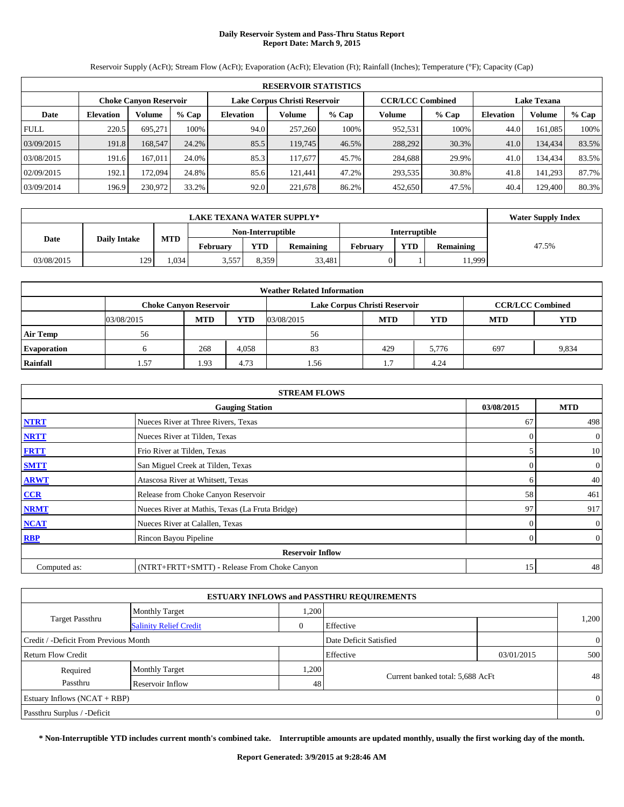# **Daily Reservoir System and Pass-Thru Status Report Report Date: March 9, 2015**

Reservoir Supply (AcFt); Stream Flow (AcFt); Evaporation (AcFt); Elevation (Ft); Rainfall (Inches); Temperature (°F); Capacity (Cap)

|             | <b>RESERVOIR STATISTICS</b>                                                                                     |         |       |                  |         |         |         |         |                  |         |       |  |  |  |  |
|-------------|-----------------------------------------------------------------------------------------------------------------|---------|-------|------------------|---------|---------|---------|---------|------------------|---------|-------|--|--|--|--|
|             | Lake Corpus Christi Reservoir<br><b>CCR/LCC Combined</b><br><b>Lake Texana</b><br><b>Choke Canyon Reservoir</b> |         |       |                  |         |         |         |         |                  |         |       |  |  |  |  |
| Date        | <b>Elevation</b>                                                                                                | Volume  | % Cap | <b>Elevation</b> | Volume  | $%$ Cap | Volume  | $%$ Cap | <b>Elevation</b> | Volume  | % Cap |  |  |  |  |
| <b>FULL</b> | 220.5                                                                                                           | 695.271 | 100%  | 94.0             | 257,260 | 100%    | 952,531 | 100%    | 44.0             | 161.085 | 100%  |  |  |  |  |
| 03/09/2015  | 191.8                                                                                                           | 168,547 | 24.2% | 85.5             | 119,745 | 46.5%   | 288,292 | 30.3%   | 41.0             | 134,434 | 83.5% |  |  |  |  |
| 03/08/2015  | 191.6                                                                                                           | 167.011 | 24.0% | 85.3             | 117.677 | 45.7%   | 284,688 | 29.9%   | 41.0             | 134,434 | 83.5% |  |  |  |  |
| 02/09/2015  | 192.1                                                                                                           | 172.094 | 24.8% | 85.6             | 121.441 | 47.2%   | 293,535 | 30.8%   | 41.8             | 141,293 | 87.7% |  |  |  |  |
| 03/09/2014  | 196.9                                                                                                           | 230,972 | 33.2% | 92.0             | 221,678 | 86.2%   | 452,650 | 47.5%   | 40.4             | 129,400 | 80.3% |  |  |  |  |

|            | <b>LAKE TEXANA WATER SUPPLY*</b> |          |            |                   |          |            |                      |       |  |  |  |  |
|------------|----------------------------------|----------|------------|-------------------|----------|------------|----------------------|-------|--|--|--|--|
|            | <b>Daily Intake</b>              |          |            | Non-Interruptible |          |            | <b>Interruptible</b> |       |  |  |  |  |
| Date       | <b>MTD</b>                       | February | <b>YTD</b> | <b>Remaining</b>  | February | <b>YTD</b> | <b>Remaining</b>     | 47.5% |  |  |  |  |
| 03/08/2015 | 129                              | .034     | 3.557      | 8.359             | 33,481   |            |                      | 1,999 |  |  |  |  |

|                    | <b>Weather Related Information</b> |                                                                                           |            |            |            |       |            |            |  |  |  |  |  |
|--------------------|------------------------------------|-------------------------------------------------------------------------------------------|------------|------------|------------|-------|------------|------------|--|--|--|--|--|
|                    |                                    | <b>CCR/LCC Combined</b><br>Lake Corpus Christi Reservoir<br><b>Choke Canyon Reservoir</b> |            |            |            |       |            |            |  |  |  |  |  |
|                    | 03/08/2015                         | <b>MTD</b>                                                                                | <b>YTD</b> | 03/08/2015 | <b>MTD</b> | YTD   | <b>MTD</b> | <b>YTD</b> |  |  |  |  |  |
| <b>Air Temp</b>    | 56                                 |                                                                                           |            | 56         |            |       |            |            |  |  |  |  |  |
| <b>Evaporation</b> |                                    | 268                                                                                       | 4,058      | 83         | 429        | 5,776 | 697        | 9,834      |  |  |  |  |  |
| Rainfall           | 1.57                               | 1.93                                                                                      | 4.73       | .56        | L)         | 4.24  |            |            |  |  |  |  |  |

|              | <b>STREAM FLOWS</b>                             |            |                  |
|--------------|-------------------------------------------------|------------|------------------|
|              | <b>Gauging Station</b>                          | 03/08/2015 | <b>MTD</b>       |
| <b>NTRT</b>  | Nueces River at Three Rivers, Texas             | 67         | 498              |
| <b>NRTT</b>  | Nueces River at Tilden, Texas                   | $\Omega$   | $\boldsymbol{0}$ |
| <b>FRTT</b>  | Frio River at Tilden, Texas                     |            | 10               |
| <b>SMTT</b>  | San Miguel Creek at Tilden, Texas               | $\Omega$   | $\boldsymbol{0}$ |
| <b>ARWT</b>  | Atascosa River at Whitsett, Texas               | 6          | 40               |
| CCR          | Release from Choke Canyon Reservoir             | 58         | 461              |
| <b>NRMT</b>  | Nueces River at Mathis, Texas (La Fruta Bridge) | 97         | 917              |
| <b>NCAT</b>  | Nueces River at Calallen, Texas                 | 0          | $\mathbf{0}$     |
| <b>RBP</b>   | Rincon Bayou Pipeline                           | $\Omega$   | $\overline{0}$   |
|              | <b>Reservoir Inflow</b>                         |            |                  |
| Computed as: | (NTRT+FRTT+SMTT) - Release From Choke Canyon    | 15         | 48               |

|                                       |                               |       | <b>ESTUARY INFLOWS and PASSTHRU REQUIREMENTS</b> |            |                |
|---------------------------------------|-------------------------------|-------|--------------------------------------------------|------------|----------------|
|                                       | <b>Monthly Target</b>         | .200  |                                                  |            |                |
| <b>Target Passthru</b>                | <b>Salinity Relief Credit</b> | 0     | Effective                                        |            | 1,200          |
| Credit / -Deficit From Previous Month |                               |       | Date Deficit Satisfied                           |            | $\overline{0}$ |
| Return Flow Credit                    |                               |       | Effective                                        | 03/01/2015 | 500            |
| Required                              | <b>Monthly Target</b>         | 1,200 |                                                  |            |                |
| Passthru                              | Reservoir Inflow              | 48    | Current banked total: 5,688 AcFt                 |            | 48             |
| Estuary Inflows $(NCAT + RBP)$        |                               |       |                                                  |            | $\overline{0}$ |
| Passthru Surplus / -Deficit           |                               |       |                                                  |            | $\overline{0}$ |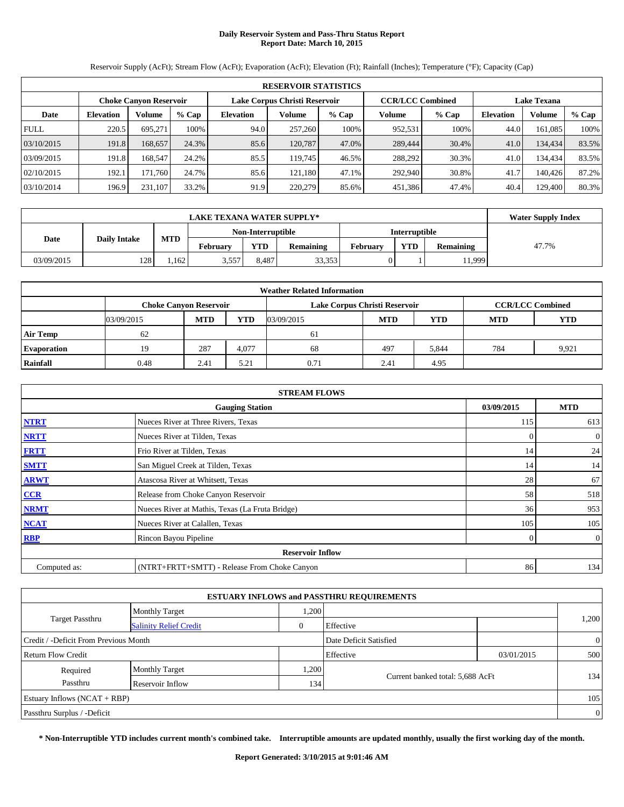# **Daily Reservoir System and Pass-Thru Status Report Report Date: March 10, 2015**

Reservoir Supply (AcFt); Stream Flow (AcFt); Evaporation (AcFt); Elevation (Ft); Rainfall (Inches); Temperature (°F); Capacity (Cap)

|             | <b>RESERVOIR STATISTICS</b>                                                                                     |         |       |                  |         |         |         |       |                  |               |       |  |  |  |  |
|-------------|-----------------------------------------------------------------------------------------------------------------|---------|-------|------------------|---------|---------|---------|-------|------------------|---------------|-------|--|--|--|--|
|             | <b>CCR/LCC Combined</b><br>Lake Corpus Christi Reservoir<br><b>Lake Texana</b><br><b>Choke Canyon Reservoir</b> |         |       |                  |         |         |         |       |                  |               |       |  |  |  |  |
| Date        | <b>Elevation</b>                                                                                                | Volume  | % Cap | <b>Elevation</b> | Volume  | $%$ Cap | Volume  | % Cap | <b>Elevation</b> | <b>Volume</b> | % Cap |  |  |  |  |
| <b>FULL</b> | 220.5                                                                                                           | 695.271 | 100%  | 94.0             | 257,260 | 100%    | 952,531 | 100%  | 44.0             | 161,085       | 100%  |  |  |  |  |
| 03/10/2015  | 191.8                                                                                                           | 168,657 | 24.3% | 85.6             | 120.787 | 47.0%   | 289,444 | 30.4% | 41.0             | 134,434       | 83.5% |  |  |  |  |
| 03/09/2015  | 191.8                                                                                                           | 168.547 | 24.2% | 85.5             | 119.745 | 46.5%   | 288,292 | 30.3% | 41.0             | 134,434       | 83.5% |  |  |  |  |
| 02/10/2015  | 192.1                                                                                                           | 171.760 | 24.7% | 85.6             | 121.180 | 47.1%   | 292,940 | 30.8% | 41.7             | 140.426       | 87.2% |  |  |  |  |
| 03/10/2014  | 196.9                                                                                                           | 231.107 | 33.2% | 91.9             | 220,279 | 85.6%   | 451,386 | 47.4% | 40.4             | 129.400       | 80.3% |  |  |  |  |

|                                           |     |      | <b>LAKE TEXANA WATER SUPPLY*</b> |                   |                  |          |                      |                  | <b>Water Supply Index</b> |
|-------------------------------------------|-----|------|----------------------------------|-------------------|------------------|----------|----------------------|------------------|---------------------------|
|                                           |     |      |                                  | Non-Interruptible |                  |          | <b>Interruptible</b> |                  |                           |
| <b>MTD</b><br><b>Daily Intake</b><br>Date |     |      | February                         | <b>YTD</b>        | <b>Remaining</b> | February | <b>YTD</b>           | <b>Remaining</b> | 47.7%                     |
| 03/09/2015                                | 128 | .162 | 3,557                            | 8.487             | 33,353           |          |                      | 1,999            |                           |

|                    | <b>Weather Related Information</b>                                                        |            |            |            |            |       |            |            |  |  |  |  |  |
|--------------------|-------------------------------------------------------------------------------------------|------------|------------|------------|------------|-------|------------|------------|--|--|--|--|--|
|                    | <b>CCR/LCC Combined</b><br><b>Choke Canyon Reservoir</b><br>Lake Corpus Christi Reservoir |            |            |            |            |       |            |            |  |  |  |  |  |
|                    | 03/09/2015                                                                                | <b>MTD</b> | <b>YTD</b> | 03/09/2015 | <b>MTD</b> | YTD   | <b>MTD</b> | <b>YTD</b> |  |  |  |  |  |
| <b>Air Temp</b>    | 62                                                                                        |            |            | 61         |            |       |            |            |  |  |  |  |  |
| <b>Evaporation</b> | 19                                                                                        | 287        | 4.077      | 68         | 497        | 5,844 | 784        | 9.921      |  |  |  |  |  |
| Rainfall           | 0.48                                                                                      | 2.41       | 5.21       | 0.71       | 2.41       | 4.95  |            |            |  |  |  |  |  |

|              | <b>STREAM FLOWS</b>                             |                |                |  |  |  |  |  |  |
|--------------|-------------------------------------------------|----------------|----------------|--|--|--|--|--|--|
|              | <b>Gauging Station</b>                          | 03/09/2015     | <b>MTD</b>     |  |  |  |  |  |  |
| <b>NTRT</b>  | Nueces River at Three Rivers, Texas             | 115            | 613            |  |  |  |  |  |  |
| <b>NRTT</b>  | Nueces River at Tilden, Texas                   | $\overline{0}$ | $\overline{0}$ |  |  |  |  |  |  |
| <b>FRTT</b>  | Frio River at Tilden, Texas                     | 14             | 24             |  |  |  |  |  |  |
| <b>SMTT</b>  | San Miguel Creek at Tilden, Texas               | 14             | 14             |  |  |  |  |  |  |
| <b>ARWT</b>  | Atascosa River at Whitsett, Texas               | 28             | 67             |  |  |  |  |  |  |
| CCR          | Release from Choke Canyon Reservoir             | 58             | 518            |  |  |  |  |  |  |
| <b>NRMT</b>  | Nueces River at Mathis, Texas (La Fruta Bridge) | 36             | 953            |  |  |  |  |  |  |
| <b>NCAT</b>  | Nueces River at Calallen, Texas                 | 105            | 105            |  |  |  |  |  |  |
| <b>RBP</b>   | Rincon Bayou Pipeline                           | $\Omega$       | $\mathbf{0}$   |  |  |  |  |  |  |
|              | <b>Reservoir Inflow</b>                         |                |                |  |  |  |  |  |  |
| Computed as: | (NTRT+FRTT+SMTT) - Release From Choke Canyon    | 86             | 134            |  |  |  |  |  |  |

| <b>ESTUARY INFLOWS and PASSTHRU REQUIREMENTS</b> |                               |              |                                  |            |                |  |  |  |  |  |  |
|--------------------------------------------------|-------------------------------|--------------|----------------------------------|------------|----------------|--|--|--|--|--|--|
|                                                  | <b>Monthly Target</b>         | .200         |                                  |            |                |  |  |  |  |  |  |
| <b>Target Passthru</b>                           | <b>Salinity Relief Credit</b> | $\mathbf{0}$ | Effective                        |            | 1,200          |  |  |  |  |  |  |
| Credit / -Deficit From Previous Month            |                               |              | Date Deficit Satisfied           |            | $\overline{0}$ |  |  |  |  |  |  |
| Return Flow Credit                               |                               |              | Effective                        | 03/01/2015 | 500            |  |  |  |  |  |  |
| Required                                         | <b>Monthly Target</b>         | .200         |                                  |            |                |  |  |  |  |  |  |
| Passthru                                         | Reservoir Inflow              | 134          | Current banked total: 5,688 AcFt |            | 134            |  |  |  |  |  |  |
| Estuary Inflows (NCAT + RBP)                     |                               |              |                                  |            | 105            |  |  |  |  |  |  |
| Passthru Surplus / -Deficit                      |                               |              |                                  |            | $\overline{0}$ |  |  |  |  |  |  |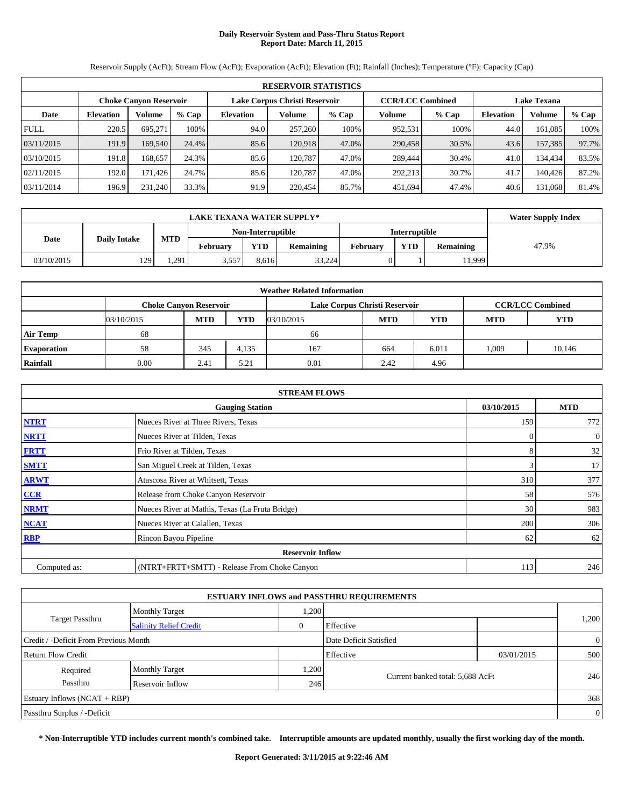# **Daily Reservoir System and Pass-Thru Status Report Report Date: March 11, 2015**

Reservoir Supply (AcFt); Stream Flow (AcFt); Evaporation (AcFt); Elevation (Ft); Rainfall (Inches); Temperature (°F); Capacity (Cap)

|             | <b>RESERVOIR STATISTICS</b>   |         |       |                               |         |         |                         |       |                    |         |       |  |  |  |
|-------------|-------------------------------|---------|-------|-------------------------------|---------|---------|-------------------------|-------|--------------------|---------|-------|--|--|--|
|             | <b>Choke Canyon Reservoir</b> |         |       | Lake Corpus Christi Reservoir |         |         | <b>CCR/LCC Combined</b> |       | <b>Lake Texana</b> |         |       |  |  |  |
| Date        | <b>Elevation</b>              | Volume  | % Cap | <b>Elevation</b>              | Volume  | $%$ Cap | Volume                  | % Cap | <b>Elevation</b>   | Volume  | % Cap |  |  |  |
| <b>FULL</b> | 220.5                         | 695.271 | 100%  | 94.0                          | 257,260 | 100%    | 952,531                 | 100%  | 44.0               | 161,085 | 100%  |  |  |  |
| 03/11/2015  | 191.9                         | 169,540 | 24.4% | 85.6                          | 120.918 | 47.0%   | 290,458                 | 30.5% | 43.6               | 157,385 | 97.7% |  |  |  |
| 03/10/2015  | 191.8                         | 168.657 | 24.3% | 85.6                          | 120.787 | 47.0%   | 289.444                 | 30.4% | 41.0               | 134,434 | 83.5% |  |  |  |
| 02/11/2015  | 192.0                         | 171.426 | 24.7% | 85.6                          | 120.787 | 47.0%   | 292.213                 | 30.7% | 41.7               | 140.426 | 87.2% |  |  |  |
| 03/11/2014  | 196.9                         | 231.240 | 33.3% | 91.9                          | 220,454 | 85.7%   | 451.694                 | 47.4% | 40.6               | 131,068 | 81.4% |  |  |  |

|            |                             | <b>Water Supply Index</b> |                   |       |                  |          |               |                  |       |
|------------|-----------------------------|---------------------------|-------------------|-------|------------------|----------|---------------|------------------|-------|
|            |                             | <b>MTD</b>                | Non-Interruptible |       |                  |          | Interruptible |                  |       |
|            | <b>Daily Intake</b><br>Date |                           | Februarv          | YTD   | <b>Remaining</b> | February | <b>YTD</b>    | <b>Remaining</b> | 47.9% |
| 03/10/2015 | 129                         | .291                      | 3,557             | 8.616 | 33,224           |          |               | 1,999            |       |

| <b>Weather Related Information</b> |                               |            |            |            |                               |            |                         |            |  |  |  |  |
|------------------------------------|-------------------------------|------------|------------|------------|-------------------------------|------------|-------------------------|------------|--|--|--|--|
|                                    | <b>Choke Canvon Reservoir</b> |            |            |            | Lake Corpus Christi Reservoir |            | <b>CCR/LCC Combined</b> |            |  |  |  |  |
|                                    | 03/10/2015                    | <b>MTD</b> | <b>YTD</b> | 03/10/2015 | <b>MTD</b>                    | <b>YTD</b> | <b>MTD</b>              | <b>YTD</b> |  |  |  |  |
| <b>Air Temp</b>                    | 68                            |            |            | 66         |                               |            |                         |            |  |  |  |  |
| <b>Evaporation</b>                 | 58                            | 345        | 4,135      | 167        | 664                           | 6,011      | 1.009                   | 10,146     |  |  |  |  |
| Rainfall                           | 0.00                          | 2.41       | 5.21       | 0.01       | 2.42                          | 4.96       |                         |            |  |  |  |  |

|              | <b>STREAM FLOWS</b>                             |            |                  |  |  |  |  |  |  |
|--------------|-------------------------------------------------|------------|------------------|--|--|--|--|--|--|
|              | <b>Gauging Station</b>                          | 03/10/2015 | <b>MTD</b>       |  |  |  |  |  |  |
| <b>NTRT</b>  | Nueces River at Three Rivers, Texas             | 159        | 772              |  |  |  |  |  |  |
| <b>NRTT</b>  | Nueces River at Tilden, Texas                   | $\Omega$   | $\boldsymbol{0}$ |  |  |  |  |  |  |
| <b>FRTT</b>  | Frio River at Tilden, Texas                     | 8          | 32               |  |  |  |  |  |  |
| <b>SMTT</b>  | San Miguel Creek at Tilden, Texas               | 3          | 17               |  |  |  |  |  |  |
| <b>ARWT</b>  | Atascosa River at Whitsett, Texas               | 310        | 377              |  |  |  |  |  |  |
| CCR          | Release from Choke Canyon Reservoir             | 58         | 576              |  |  |  |  |  |  |
| <b>NRMT</b>  | Nueces River at Mathis, Texas (La Fruta Bridge) | 30         | 983              |  |  |  |  |  |  |
| <b>NCAT</b>  | Nueces River at Calallen, Texas                 | 200        | 306              |  |  |  |  |  |  |
| <b>RBP</b>   | Rincon Bayou Pipeline                           | 62         | 62               |  |  |  |  |  |  |
|              | <b>Reservoir Inflow</b>                         |            |                  |  |  |  |  |  |  |
| Computed as: | (NTRT+FRTT+SMTT) - Release From Choke Canyon    | 113        | 246              |  |  |  |  |  |  |

| <b>ESTUARY INFLOWS and PASSTHRU REQUIREMENTS</b> |                               |              |                                  |            |                |  |  |  |  |  |  |
|--------------------------------------------------|-------------------------------|--------------|----------------------------------|------------|----------------|--|--|--|--|--|--|
|                                                  | <b>Monthly Target</b>         | 1,200        |                                  |            |                |  |  |  |  |  |  |
| <b>Target Passthru</b>                           | <b>Salinity Relief Credit</b> | $\mathbf{0}$ | Effective                        |            | 1,200          |  |  |  |  |  |  |
| Credit / -Deficit From Previous Month            |                               |              | Date Deficit Satisfied           |            | $\overline{0}$ |  |  |  |  |  |  |
| Return Flow Credit                               |                               |              | Effective                        | 03/01/2015 | 500            |  |  |  |  |  |  |
| Required                                         | <b>Monthly Target</b>         | 1,200        |                                  |            |                |  |  |  |  |  |  |
| Passthru                                         | Reservoir Inflow              | 246          | Current banked total: 5,688 AcFt |            | 246            |  |  |  |  |  |  |
| Estuary Inflows $(NCAT + RBP)$                   |                               |              |                                  |            | 368            |  |  |  |  |  |  |
| Passthru Surplus / -Deficit                      |                               |              |                                  |            | $\overline{0}$ |  |  |  |  |  |  |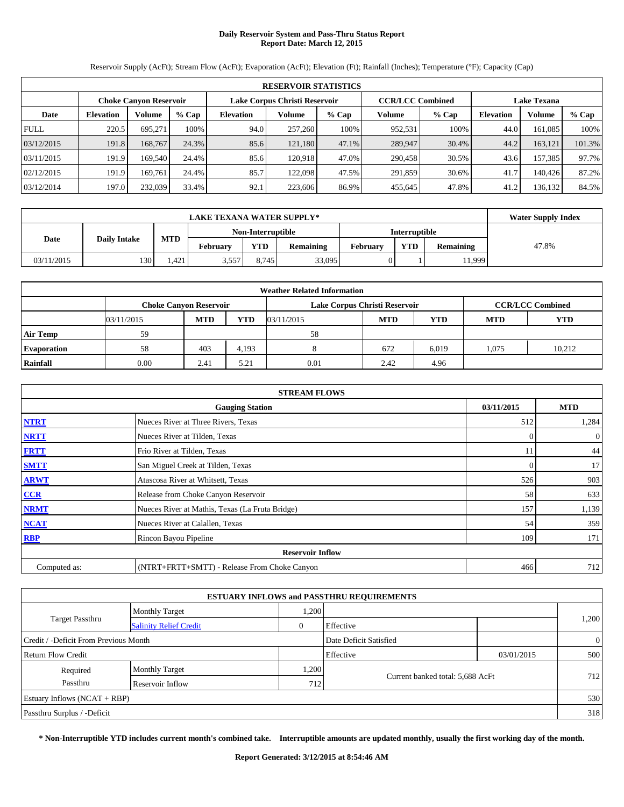# **Daily Reservoir System and Pass-Thru Status Report Report Date: March 12, 2015**

**RESERVOIR STATISTICS Choke Canyon Reservoir Lake Corpus Christi Reservoir CCR/LCC Combined Lake Texana Date Elevation Volume % Cap Elevation Volume % Cap Volume % Cap Elevation Volume % Cap** FULL 220.5 695,271 100% 94.0 257,260 100% 952,531 100% 44.0 161,085 100% 03/12/2015 191.8 168,767 24.3% 85.6 121,180 47.1% 289,947 30.4% 44.2 163,121 101.3% 03/11/2015 | 191.9 169,540 24.4% 85.6 120,918 47.0% 290,458 30.5% 43.6 157,385 97.7% 02/12/2015 191.9 169,761 24.4% 85.7 122,098 47.5% 291,859 30.6% 41.7 140,426 87.2% 03/12/2014 197.0 232,039 33.4% 92.1 223,606 86.9% 455,645 47.8% 41.2 136,132 84.5%

Reservoir Supply (AcFt); Stream Flow (AcFt); Evaporation (AcFt); Elevation (Ft); Rainfall (Inches); Temperature (°F); Capacity (Cap)

|            |                     | <b>Water Supply Index</b> |                 |                   |                  |                      |     |                  |       |
|------------|---------------------|---------------------------|-----------------|-------------------|------------------|----------------------|-----|------------------|-------|
|            |                     |                           |                 | Non-Interruptible |                  | <b>Interruptible</b> |     |                  |       |
| Date       | <b>Daily Intake</b> | <b>MTD</b>                | <b>February</b> | <b>YTD</b>        | <b>Remaining</b> | February             | YTD | <b>Remaining</b> | 47.8% |
| 03/11/2015 | 130                 | .421                      | 3.557           | 8.745             | 33,095           |                      |     | 1,999            |       |

|                    | <b>Weather Related Information</b> |            |            |                               |            |                         |            |            |  |  |  |  |  |
|--------------------|------------------------------------|------------|------------|-------------------------------|------------|-------------------------|------------|------------|--|--|--|--|--|
|                    | <b>Choke Canyon Reservoir</b>      |            |            | Lake Corpus Christi Reservoir |            | <b>CCR/LCC Combined</b> |            |            |  |  |  |  |  |
|                    | 03/11/2015                         | <b>MTD</b> | <b>YTD</b> | 03/11/2015                    | <b>MTD</b> | <b>YTD</b>              | <b>MTD</b> | <b>YTD</b> |  |  |  |  |  |
| <b>Air Temp</b>    | 59                                 |            |            | 58                            |            |                         |            |            |  |  |  |  |  |
| <b>Evaporation</b> | 58                                 | 403        | 4,193      |                               | 672        | 6,019                   | 1.075      | 10.212     |  |  |  |  |  |
| Rainfall           | 0.00                               | 2.41       | 5.21       | 0.01                          | 2.42       | 4.96                    |            |            |  |  |  |  |  |

|              | <b>STREAM FLOWS</b>                             |            |                |  |  |  |  |  |  |
|--------------|-------------------------------------------------|------------|----------------|--|--|--|--|--|--|
|              | <b>Gauging Station</b>                          | 03/11/2015 | <b>MTD</b>     |  |  |  |  |  |  |
| <b>NTRT</b>  | Nueces River at Three Rivers, Texas             | 512        | 1,284          |  |  |  |  |  |  |
| <b>NRTT</b>  | Nueces River at Tilden, Texas                   | $\Omega$   | $\overline{0}$ |  |  |  |  |  |  |
| <b>FRTT</b>  | Frio River at Tilden, Texas                     | 11         | 44             |  |  |  |  |  |  |
| <b>SMTT</b>  | San Miguel Creek at Tilden, Texas               | 0          | 17             |  |  |  |  |  |  |
| <b>ARWT</b>  | Atascosa River at Whitsett, Texas               | 526        | 903            |  |  |  |  |  |  |
| CCR          | Release from Choke Canyon Reservoir             | 58         | 633            |  |  |  |  |  |  |
| <b>NRMT</b>  | Nueces River at Mathis, Texas (La Fruta Bridge) | 157        | 1,139          |  |  |  |  |  |  |
| <b>NCAT</b>  | Nueces River at Calallen, Texas                 | 54         | 359            |  |  |  |  |  |  |
| <b>RBP</b>   | Rincon Bayou Pipeline                           | 109        | 171            |  |  |  |  |  |  |
|              | <b>Reservoir Inflow</b>                         |            |                |  |  |  |  |  |  |
| Computed as: | (NTRT+FRTT+SMTT) - Release From Choke Canyon    | 466        | 712            |  |  |  |  |  |  |

| <b>ESTUARY INFLOWS and PASSTHRU REQUIREMENTS</b> |                               |          |                                  |            |                |  |  |  |  |  |  |
|--------------------------------------------------|-------------------------------|----------|----------------------------------|------------|----------------|--|--|--|--|--|--|
|                                                  | <b>Monthly Target</b>         | .200     |                                  |            |                |  |  |  |  |  |  |
| <b>Target Passthru</b>                           | <b>Salinity Relief Credit</b> | $\theta$ | Effective                        |            | 1,200          |  |  |  |  |  |  |
| Credit / -Deficit From Previous Month            |                               |          | Date Deficit Satisfied           |            | $\overline{0}$ |  |  |  |  |  |  |
| Return Flow Credit                               |                               |          | Effective                        | 03/01/2015 | 500            |  |  |  |  |  |  |
| Required                                         | <b>Monthly Target</b>         | .200     |                                  |            |                |  |  |  |  |  |  |
| Passthru                                         | Reservoir Inflow              | 712      | Current banked total: 5,688 AcFt |            | 712            |  |  |  |  |  |  |
| Estuary Inflows $(NCAT + RBP)$                   |                               |          |                                  |            | 530            |  |  |  |  |  |  |
| Passthru Surplus / -Deficit                      |                               |          |                                  |            | 318            |  |  |  |  |  |  |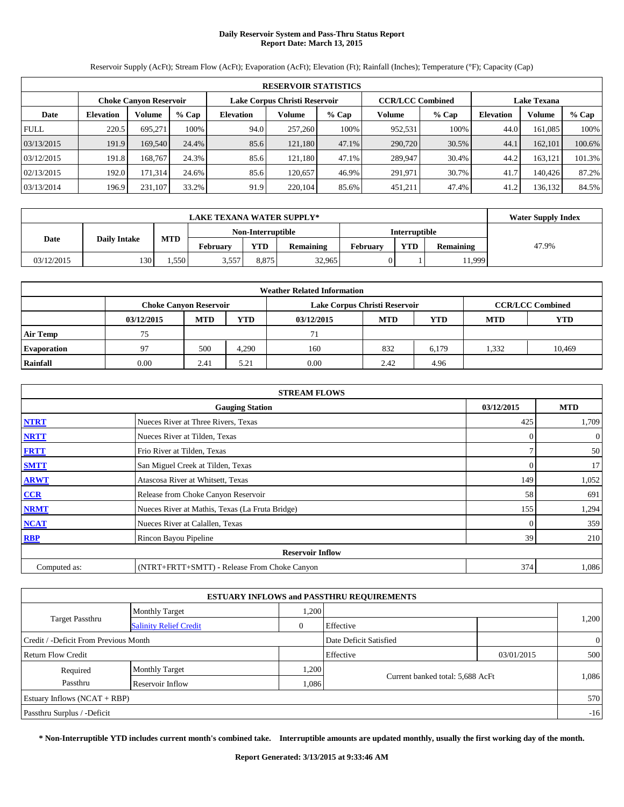# **Daily Reservoir System and Pass-Thru Status Report Report Date: March 13, 2015**

**RESERVOIR STATISTICS Choke Canyon Reservoir Lake Corpus Christi Reservoir CCR/LCC Combined Lake Texana Date Elevation Volume % Cap Elevation Volume % Cap Volume % Cap Elevation Volume % Cap** FULL 220.5 695,271 100% 94.0 257,260 100% 952,531 100% 44.0 161,085 100% 03/13/2015 191.9 169,540 24.4% 85.6 121,180 47.1% 290,720 30.5% 44.1 162,101 100.6% 03/12/2015 191.8 168,767 24.3% 85.6 121,180 47.1% 289,947 30.4% 44.2 163,121 101.3% 02/13/2015 192.0 171,314 24.6% 85.6 120,657 46.9% 291,971 30.7% 41.7 140,426 87.2% 03/13/2014 196.9 231,107 33.2% 91.9 220,104 85.6% 451,211 47.4% 41.2 136,132 84.5%

Reservoir Supply (AcFt); Stream Flow (AcFt); Evaporation (AcFt); Elevation (Ft); Rainfall (Inches); Temperature (°F); Capacity (Cap)

|            | <b>LAKE TEXANA WATER SUPPLY*</b> |            |                   |            |                  |          |                      |                  |       |  |
|------------|----------------------------------|------------|-------------------|------------|------------------|----------|----------------------|------------------|-------|--|
|            |                                  | <b>MTD</b> | Non-Interruptible |            |                  |          | <b>Interruptible</b> |                  |       |  |
|            | <b>Daily Intake</b><br>Date      |            | February          | <b>YTD</b> | <b>Remaining</b> | February | <b>YTD</b>           | <b>Remaining</b> | 47.9% |  |
| 03/12/2015 | 130                              | .550       | 3.557             | 8.875      | 32,965           |          |                      | 1.999            |       |  |

| <b>Weather Related Information</b> |                               |            |            |            |                               |                         |            |            |  |  |
|------------------------------------|-------------------------------|------------|------------|------------|-------------------------------|-------------------------|------------|------------|--|--|
|                                    | <b>Choke Canyon Reservoir</b> |            |            |            | Lake Corpus Christi Reservoir | <b>CCR/LCC Combined</b> |            |            |  |  |
|                                    | 03/12/2015                    | <b>MTD</b> | <b>YTD</b> | 03/12/2015 | <b>MTD</b>                    | YTD                     | <b>MTD</b> | <b>YTD</b> |  |  |
| <b>Air Temp</b>                    | 75                            |            |            | 71         |                               |                         |            |            |  |  |
| <b>Evaporation</b>                 | 97                            | 500        | 4.290      | 160        | 832                           | 6,179                   | 1,332      | 10.469     |  |  |
| Rainfall                           | 0.00                          | 2.41       | 5.21       | 0.00       | 2.42                          | 4.96                    |            |            |  |  |

|              | <b>STREAM FLOWS</b>                             |            |            |  |  |  |  |  |  |
|--------------|-------------------------------------------------|------------|------------|--|--|--|--|--|--|
|              | <b>Gauging Station</b>                          | 03/12/2015 | <b>MTD</b> |  |  |  |  |  |  |
| <b>NTRT</b>  | Nueces River at Three Rivers, Texas             | 425        | 1,709      |  |  |  |  |  |  |
| <b>NRTT</b>  | Nueces River at Tilden, Texas                   | $\Omega$   | $\theta$   |  |  |  |  |  |  |
| <b>FRTT</b>  | Frio River at Tilden, Texas                     |            | 50         |  |  |  |  |  |  |
| <b>SMTT</b>  | San Miguel Creek at Tilden, Texas               | $\Omega$   | 17         |  |  |  |  |  |  |
| <b>ARWT</b>  | Atascosa River at Whitsett, Texas               | 149        | 1,052      |  |  |  |  |  |  |
| CCR          | Release from Choke Canyon Reservoir             | 58         | 691        |  |  |  |  |  |  |
| <b>NRMT</b>  | Nueces River at Mathis, Texas (La Fruta Bridge) | 155        | 1,294      |  |  |  |  |  |  |
| <b>NCAT</b>  | Nueces River at Calallen, Texas                 | 0          | 359        |  |  |  |  |  |  |
| <b>RBP</b>   | Rincon Bayou Pipeline                           | 39         | 210        |  |  |  |  |  |  |
|              | <b>Reservoir Inflow</b>                         |            |            |  |  |  |  |  |  |
| Computed as: | (NTRT+FRTT+SMTT) - Release From Choke Canyon    | 374        | 1,086      |  |  |  |  |  |  |

| <b>ESTUARY INFLOWS and PASSTHRU REQUIREMENTS</b> |                               |          |                                  |            |                |  |  |  |  |
|--------------------------------------------------|-------------------------------|----------|----------------------------------|------------|----------------|--|--|--|--|
|                                                  | <b>Monthly Target</b>         | .200     |                                  |            |                |  |  |  |  |
| <b>Target Passthru</b>                           | <b>Salinity Relief Credit</b> | $\theta$ | Effective                        |            | 1,200          |  |  |  |  |
| Credit / -Deficit From Previous Month            |                               |          | Date Deficit Satisfied           |            | $\overline{0}$ |  |  |  |  |
| Return Flow Credit                               |                               |          | Effective                        | 03/01/2015 | 500            |  |  |  |  |
| Required                                         | <b>Monthly Target</b>         | .200     |                                  |            |                |  |  |  |  |
| Passthru                                         | Reservoir Inflow              | .086     | Current banked total: 5,688 AcFt |            | 1,086          |  |  |  |  |
| Estuary Inflows $(NCAT + RBP)$                   |                               |          |                                  |            | 570            |  |  |  |  |
| Passthru Surplus / -Deficit                      |                               |          |                                  |            | $-16$          |  |  |  |  |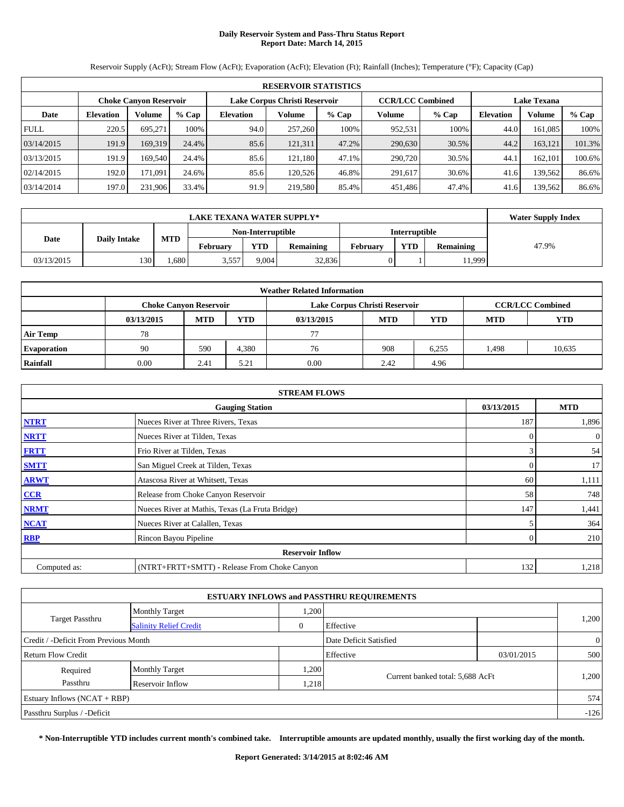# **Daily Reservoir System and Pass-Thru Status Report Report Date: March 14, 2015**

**RESERVOIR STATISTICS Choke Canyon Reservoir Lake Corpus Christi Reservoir CCR/LCC Combined Lake Texana Date Elevation Volume % Cap Elevation Volume % Cap Volume % Cap Elevation Volume % Cap** FULL 220.5 695,271 100% 94.0 257,260 100% 952,531 100% 44.0 161,085 100% 03/14/2015 191.9 169,319 24.4% 85.6 121,311 47.2% 290,630 30.5% 44.2 163,121 101.3% 03/13/2015 191.9 169,540 24.4% 85.6 121,180 47.1% 290,720 30.5% 44.1 162,101 100.6% 02/14/2015 192.0 171,091 24.6% 85.6 120,526 46.8% 291,617 30.6% 41.6 139,562 86.6% 03/14/2014 197.0 231,906 33.4% 91.9 219,580 85.4% 451,486 47.4% 41.6 139,562 86.6%

Reservoir Supply (AcFt); Stream Flow (AcFt); Evaporation (AcFt); Elevation (Ft); Rainfall (Inches); Temperature (°F); Capacity (Cap)

|            | <b>LAKE TEXANA WATER SUPPLY*</b> |            |                   |            |                  |          |                      |                  |       |  |
|------------|----------------------------------|------------|-------------------|------------|------------------|----------|----------------------|------------------|-------|--|
|            |                                  |            | Non-Interruptible |            |                  |          | <b>Interruptible</b> |                  |       |  |
| Date       | <b>Daily Intake</b>              | <b>MTD</b> | <b>February</b>   | <b>YTD</b> | <b>Remaining</b> | February | YTD                  | <b>Remaining</b> | 47.9% |  |
| 03/13/2015 | 130                              | .680       | 3,557             | 9.004      | 32,836           |          |                      | 1,999            |       |  |

| <b>Weather Related Information</b> |                               |            |            |            |                               |                         |            |            |  |  |
|------------------------------------|-------------------------------|------------|------------|------------|-------------------------------|-------------------------|------------|------------|--|--|
|                                    | <b>Choke Canyon Reservoir</b> |            |            |            | Lake Corpus Christi Reservoir | <b>CCR/LCC Combined</b> |            |            |  |  |
|                                    | 03/13/2015                    | <b>MTD</b> | <b>YTD</b> | 03/13/2015 | <b>MTD</b>                    | <b>YTD</b>              | <b>MTD</b> | <b>YTD</b> |  |  |
| <b>Air Temp</b>                    | 78                            |            |            | 77         |                               |                         |            |            |  |  |
| <b>Evaporation</b>                 | 90                            | 590        | 4.380      | 76         | 908                           | 6,255                   | 1,498      | 10,635     |  |  |
| Rainfall                           | 0.00                          | 2.41       | 5.21       | 0.00       | 2.42                          | 4.96                    |            |            |  |  |

|              | <b>STREAM FLOWS</b>                             |              |                |  |  |  |  |  |  |
|--------------|-------------------------------------------------|--------------|----------------|--|--|--|--|--|--|
|              | <b>Gauging Station</b>                          | 03/13/2015   | <b>MTD</b>     |  |  |  |  |  |  |
| <b>NTRT</b>  | Nueces River at Three Rivers, Texas             | 187          | 1,896          |  |  |  |  |  |  |
| <b>NRTT</b>  | Nueces River at Tilden, Texas                   | $\Omega$     | $\overline{0}$ |  |  |  |  |  |  |
| <b>FRTT</b>  | Frio River at Tilden, Texas                     | 3            | 54             |  |  |  |  |  |  |
| <b>SMTT</b>  | San Miguel Creek at Tilden, Texas               | $\Omega$     | 17             |  |  |  |  |  |  |
| <b>ARWT</b>  | Atascosa River at Whitsett, Texas               | 60           | 1,111          |  |  |  |  |  |  |
| CCR          | Release from Choke Canyon Reservoir             | 58           | 748            |  |  |  |  |  |  |
| <b>NRMT</b>  | Nueces River at Mathis, Texas (La Fruta Bridge) | 147          | 1,441          |  |  |  |  |  |  |
| <b>NCAT</b>  | Nueces River at Calallen, Texas                 |              | 364            |  |  |  |  |  |  |
| <b>RBP</b>   | Rincon Bayou Pipeline                           | $\mathbf{0}$ | 210            |  |  |  |  |  |  |
|              | <b>Reservoir Inflow</b>                         |              |                |  |  |  |  |  |  |
| Computed as: | (NTRT+FRTT+SMTT) - Release From Choke Canyon    | 132          | 1,218          |  |  |  |  |  |  |

| <b>ESTUARY INFLOWS and PASSTHRU REQUIREMENTS</b> |                               |          |                                  |            |                |  |  |  |  |
|--------------------------------------------------|-------------------------------|----------|----------------------------------|------------|----------------|--|--|--|--|
|                                                  | <b>Monthly Target</b>         | .200     |                                  |            |                |  |  |  |  |
| <b>Target Passthru</b>                           | <b>Salinity Relief Credit</b> | $\theta$ | Effective                        |            | 1,200          |  |  |  |  |
| Credit / -Deficit From Previous Month            |                               |          | Date Deficit Satisfied           |            | $\overline{0}$ |  |  |  |  |
| Return Flow Credit                               |                               |          | Effective                        | 03/01/2015 | 500            |  |  |  |  |
| Required                                         | <b>Monthly Target</b>         | .200     |                                  |            |                |  |  |  |  |
| Passthru                                         | Reservoir Inflow              | .218     | Current banked total: 5,688 AcFt |            | 1,200          |  |  |  |  |
| Estuary Inflows $(NCAT + RBP)$                   |                               |          |                                  |            | 574            |  |  |  |  |
| Passthru Surplus / -Deficit                      |                               |          |                                  |            | $-126$         |  |  |  |  |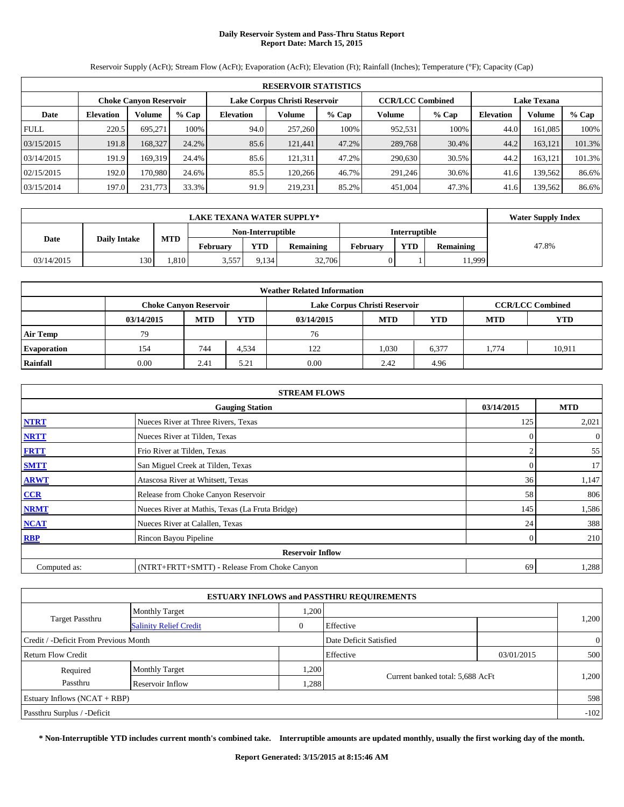# **Daily Reservoir System and Pass-Thru Status Report Report Date: March 15, 2015**

**RESERVOIR STATISTICS Choke Canyon Reservoir Lake Corpus Christi Reservoir CCR/LCC Combined Lake Texana Date Elevation Volume % Cap Elevation Volume % Cap Volume % Cap Elevation Volume % Cap** FULL 220.5 695,271 100% 94.0 257,260 100% 952,531 100% 44.0 161,085 100% 03/15/2015 191.8 168,327 24.2% 85.6 121,441 47.2% 289,768 30.4% 44.2 163,121 101.3% 03/14/2015 191.9 169,319 24.4% 85.6 121,311 47.2% 290,630 30.5% 44.2 163,121 101.3% 02/15/2015 | 192.0 170,980 24.6% 85.5 120,266 46.7% 291,246 30.6% 41.6 139,562 86.6% 03/15/2014 | 197.0 231,773 33.3% 91.9 219,231 85.2% 451,004 47.3% 41.6 139,562 86.6%

Reservoir Supply (AcFt); Stream Flow (AcFt); Evaporation (AcFt); Elevation (Ft); Rainfall (Inches); Temperature (°F); Capacity (Cap)

|            | <b>LAKE TEXANA WATER SUPPLY*</b> |            |                 |            |                   |          |                      |                  |       |  |  |
|------------|----------------------------------|------------|-----------------|------------|-------------------|----------|----------------------|------------------|-------|--|--|
|            |                                  |            |                 |            | Non-Interruptible |          | <b>Interruptible</b> |                  |       |  |  |
| Date       | <b>Daily Intake</b>              | <b>MTD</b> | <b>February</b> | <b>YTD</b> | <b>Remaining</b>  | February | <b>YTD</b>           | <b>Remaining</b> | 47.8% |  |  |
| 03/14/2015 | 130                              | .810       | 3,557           | 9.134      | 32,706            |          |                      | 1,999            |       |  |  |

| <b>Weather Related Information</b> |                               |            |            |            |                               |                         |            |            |  |  |
|------------------------------------|-------------------------------|------------|------------|------------|-------------------------------|-------------------------|------------|------------|--|--|
|                                    | <b>Choke Canyon Reservoir</b> |            |            |            | Lake Corpus Christi Reservoir | <b>CCR/LCC Combined</b> |            |            |  |  |
|                                    | 03/14/2015                    | <b>MTD</b> | <b>YTD</b> | 03/14/2015 | <b>MTD</b>                    | <b>YTD</b>              | <b>MTD</b> | <b>YTD</b> |  |  |
| <b>Air Temp</b>                    | 79                            |            |            | 76         |                               |                         |            |            |  |  |
| <b>Evaporation</b>                 | 154                           | 744        | 4.534      | 122        | 1,030                         | 6,377                   | 1.774      | 10,911     |  |  |
| Rainfall                           | 0.00                          | 2.41       | 5.21       | 0.00       | 2.42                          | 4.96                    |            |            |  |  |

|              | <b>STREAM FLOWS</b>                             |                |                |  |  |  |  |  |  |
|--------------|-------------------------------------------------|----------------|----------------|--|--|--|--|--|--|
|              | <b>Gauging Station</b>                          | 03/14/2015     | <b>MTD</b>     |  |  |  |  |  |  |
| <b>NTRT</b>  | Nueces River at Three Rivers, Texas             | 125            | 2,021          |  |  |  |  |  |  |
| <b>NRTT</b>  | Nueces River at Tilden, Texas                   | $\Omega$       | $\overline{0}$ |  |  |  |  |  |  |
| <b>FRTT</b>  | Frio River at Tilden, Texas                     |                | 55             |  |  |  |  |  |  |
| <b>SMTT</b>  | San Miguel Creek at Tilden, Texas               | $\overline{0}$ | 17             |  |  |  |  |  |  |
| <b>ARWT</b>  | Atascosa River at Whitsett, Texas               | 36             | 1,147          |  |  |  |  |  |  |
| CCR          | Release from Choke Canyon Reservoir             | 58             | 806            |  |  |  |  |  |  |
| <b>NRMT</b>  | Nueces River at Mathis, Texas (La Fruta Bridge) | 145            | 1,586          |  |  |  |  |  |  |
| <b>NCAT</b>  | Nueces River at Calallen, Texas                 | 24             | 388            |  |  |  |  |  |  |
| <b>RBP</b>   | Rincon Bayou Pipeline                           | $\theta$       | 210            |  |  |  |  |  |  |
|              | <b>Reservoir Inflow</b>                         |                |                |  |  |  |  |  |  |
| Computed as: | (NTRT+FRTT+SMTT) - Release From Choke Canyon    | 69             | 1,288          |  |  |  |  |  |  |

| <b>ESTUARY INFLOWS and PASSTHRU REQUIREMENTS</b> |                               |       |                                  |            |                |  |  |  |  |  |
|--------------------------------------------------|-------------------------------|-------|----------------------------------|------------|----------------|--|--|--|--|--|
|                                                  | <b>Monthly Target</b>         | ,200  |                                  |            |                |  |  |  |  |  |
| <b>Target Passthru</b>                           | <b>Salinity Relief Credit</b> |       | Effective                        |            | 1,200          |  |  |  |  |  |
| Credit / -Deficit From Previous Month            |                               |       | Date Deficit Satisfied           |            | $\overline{0}$ |  |  |  |  |  |
| Return Flow Credit                               |                               |       | Effective                        | 03/01/2015 | 500            |  |  |  |  |  |
| Required                                         | <b>Monthly Target</b>         | 1,200 |                                  |            | 1,200          |  |  |  |  |  |
| Passthru                                         | Reservoir Inflow              | .288  | Current banked total: 5,688 AcFt |            |                |  |  |  |  |  |
| Estuary Inflows (NCAT + RBP)                     |                               |       |                                  |            | 598            |  |  |  |  |  |
| Passthru Surplus / -Deficit                      |                               |       |                                  |            | $-102$         |  |  |  |  |  |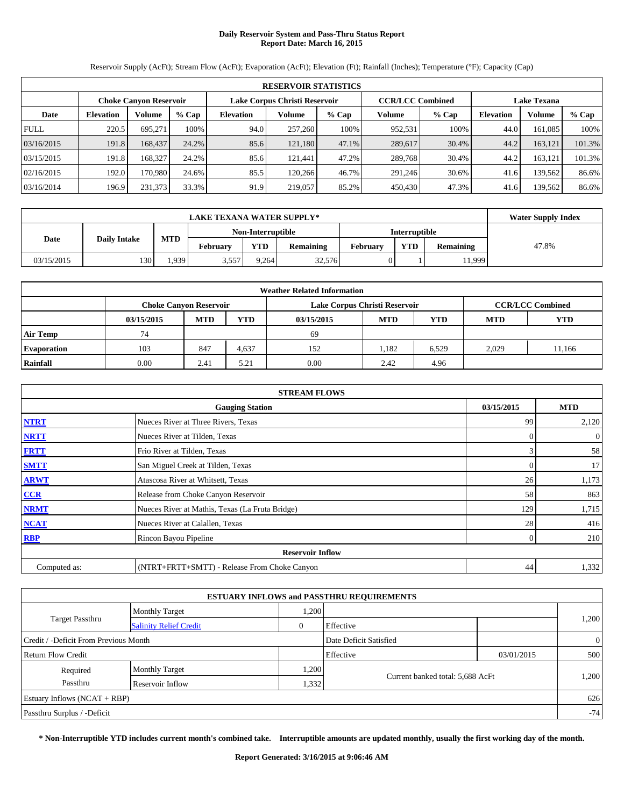# **Daily Reservoir System and Pass-Thru Status Report Report Date: March 16, 2015**

**RESERVOIR STATISTICS Choke Canyon Reservoir Lake Corpus Christi Reservoir CCR/LCC Combined Lake Texana Date Elevation Volume % Cap Elevation Volume % Cap Volume % Cap Elevation Volume % Cap** FULL 220.5 695,271 100% 94.0 257,260 100% 952,531 100% 44.0 161,085 100% 03/16/2015 191.8 168,437 24.2% 85.6 121,180 47.1% 289,617 30.4% 44.2 163,121 101.3% 03/15/2015 191.8 168,327 24.2% 85.6 121,441 47.2% 289,768 30.4% 44.2 163,121 101.3% 02/16/2015 | 192.0 170,980 24.6% 85.5 120,266 46.7% 291,246 30.6% 41.6 139,562 86.6% 03/16/2014 | 196.9 231,373 33.3% 91.9 219,057 85.2% 450,430 47.3% 41.6 139,562 86.6%

Reservoir Supply (AcFt); Stream Flow (AcFt); Evaporation (AcFt); Elevation (Ft); Rainfall (Inches); Temperature (°F); Capacity (Cap)

|                             | <b>LAKE TEXANA WATER SUPPLY*</b> |            |                   |            |                  |          |                      |                  |       |  |  |
|-----------------------------|----------------------------------|------------|-------------------|------------|------------------|----------|----------------------|------------------|-------|--|--|
| Date<br><b>Daily Intake</b> |                                  |            | Non-Interruptible |            |                  |          | <b>Interruptible</b> |                  |       |  |  |
|                             |                                  | <b>MTD</b> | <b>February</b>   | <b>YTD</b> | <b>Remaining</b> | February | <b>YTD</b>           | <b>Remaining</b> | 47.8% |  |  |
| 03/15/2015                  | 130                              | .939       | 3,557             | 9.264      | 32,576           |          |                      | 1,999            |       |  |  |

| <b>Weather Related Information</b> |                               |            |            |            |                               |                         |            |            |  |  |
|------------------------------------|-------------------------------|------------|------------|------------|-------------------------------|-------------------------|------------|------------|--|--|
|                                    | <b>Choke Canyon Reservoir</b> |            |            |            | Lake Corpus Christi Reservoir | <b>CCR/LCC Combined</b> |            |            |  |  |
|                                    | 03/15/2015                    | <b>MTD</b> | <b>YTD</b> | 03/15/2015 | <b>MTD</b>                    | <b>YTD</b>              | <b>MTD</b> | <b>YTD</b> |  |  |
| <b>Air Temp</b>                    | 74                            |            |            | 69         |                               |                         |            |            |  |  |
| <b>Evaporation</b>                 | 103                           | 847        | 4.637      | 152        | 1,182                         | 6.529                   | 2.029      | 11.166     |  |  |
| Rainfall                           | 0.00                          | 2.41       | 5.21       | 0.00       | 2.42                          | 4.96                    |            |            |  |  |

|              | <b>STREAM FLOWS</b>                             |                |                |  |  |  |  |  |
|--------------|-------------------------------------------------|----------------|----------------|--|--|--|--|--|
|              | <b>Gauging Station</b>                          | 03/15/2015     | <b>MTD</b>     |  |  |  |  |  |
| <b>NTRT</b>  | Nueces River at Three Rivers, Texas             | 99             | 2,120          |  |  |  |  |  |
| <b>NRTT</b>  | Nueces River at Tilden, Texas                   | $\Omega$       | $\overline{0}$ |  |  |  |  |  |
| <b>FRTT</b>  | Frio River at Tilden, Texas                     | 3              | 58             |  |  |  |  |  |
| <b>SMTT</b>  | San Miguel Creek at Tilden, Texas               | 0              | 17             |  |  |  |  |  |
| <b>ARWT</b>  | Atascosa River at Whitsett, Texas               | 26             | 1,173          |  |  |  |  |  |
| CCR          | Release from Choke Canyon Reservoir             | 58             | 863            |  |  |  |  |  |
| <b>NRMT</b>  | Nueces River at Mathis, Texas (La Fruta Bridge) | 129            | 1,715          |  |  |  |  |  |
| <b>NCAT</b>  | Nueces River at Calallen, Texas                 | 28             | 416            |  |  |  |  |  |
| <b>RBP</b>   | Rincon Bayou Pipeline                           | $\overline{0}$ | 210            |  |  |  |  |  |
|              | <b>Reservoir Inflow</b>                         |                |                |  |  |  |  |  |
| Computed as: | (NTRT+FRTT+SMTT) - Release From Choke Canyon    | 44             | 1,332          |  |  |  |  |  |

| <b>ESTUARY INFLOWS and PASSTHRU REQUIREMENTS</b> |                               |          |                                  |            |                |  |  |  |  |
|--------------------------------------------------|-------------------------------|----------|----------------------------------|------------|----------------|--|--|--|--|
|                                                  | <b>Monthly Target</b>         | .200     |                                  |            |                |  |  |  |  |
| <b>Target Passthru</b>                           | <b>Salinity Relief Credit</b> | $\theta$ | Effective                        |            | 1,200          |  |  |  |  |
| Credit / -Deficit From Previous Month            |                               |          | Date Deficit Satisfied           |            | $\overline{0}$ |  |  |  |  |
| Return Flow Credit                               |                               |          | Effective                        | 03/01/2015 | 500            |  |  |  |  |
| Required                                         | <b>Monthly Target</b>         | .200     |                                  |            |                |  |  |  |  |
| Passthru                                         | Reservoir Inflow              | 1,332    | Current banked total: 5,688 AcFt |            | 1,200          |  |  |  |  |
| Estuary Inflows $(NCAT + RBP)$                   |                               |          |                                  |            | 626            |  |  |  |  |
| Passthru Surplus / -Deficit                      |                               |          |                                  |            | $-74$          |  |  |  |  |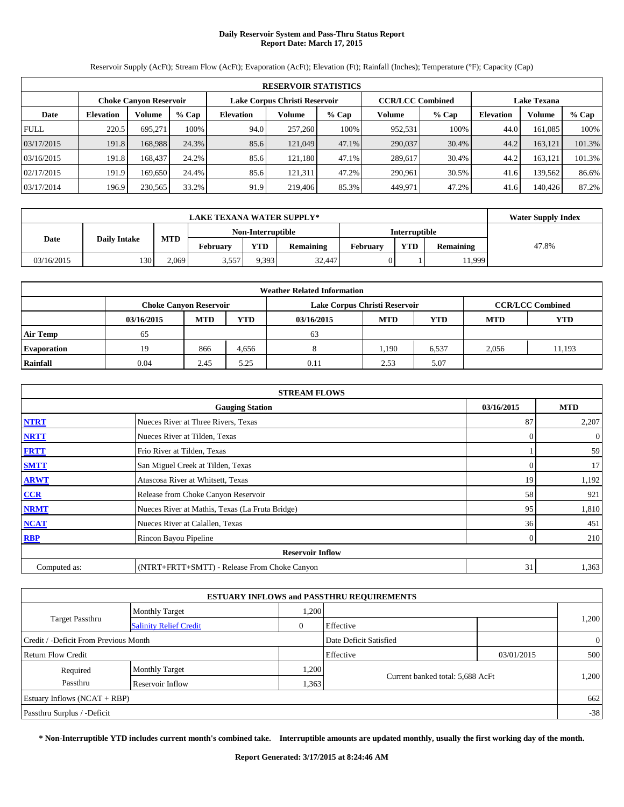# **Daily Reservoir System and Pass-Thru Status Report Report Date: March 17, 2015**

**RESERVOIR STATISTICS Choke Canyon Reservoir Lake Corpus Christi Reservoir CCR/LCC Combined Lake Texana Date Elevation Volume % Cap Elevation Volume % Cap Volume % Cap Elevation Volume % Cap** FULL 220.5 695,271 100% 94.0 257,260 100% 952,531 100% 44.0 161,085 100% 03/17/2015 | 191.8| 168,988| 24.3%| 85.6| 121,049| 47.1%| 290,037| 30.4%| 44.2| 163,121| 101.3% 03/16/2015 191.8 168,437 24.2% 85.6 121,180 47.1% 289,617 30.4% 44.2 163,121 101.3% 02/17/2015 191.9 169,650 24.4% 85.6 121,311 47.2% 290,961 30.5% 41.6 139,562 86.6% 03/17/2014 196.9 230,565 33.2% 91.9 219,406 85.3% 449,971 47.2% 41.6 140,426 87.2%

Reservoir Supply (AcFt); Stream Flow (AcFt); Evaporation (AcFt); Elevation (Ft); Rainfall (Inches); Temperature (°F); Capacity (Cap)

|            | <b>LAKE TEXANA WATER SUPPLY*</b>          |       |                   |            |                  |                 |                      |                  |       |  |  |
|------------|-------------------------------------------|-------|-------------------|------------|------------------|-----------------|----------------------|------------------|-------|--|--|
|            |                                           |       | Non-Interruptible |            |                  |                 | <b>Interruptible</b> |                  |       |  |  |
|            | <b>MTD</b><br>Date<br><b>Daily Intake</b> |       | February          | <b>YTD</b> | <b>Remaining</b> | <b>February</b> | <b>VTD</b>           | <b>Remaining</b> | 47.8% |  |  |
| 03/16/2015 | 130                                       | 2.069 | 3.557             | 9.393      | 32,447           |                 |                      | 11,999           |       |  |  |

|                    | <b>Weather Related Information</b> |            |            |                               |            |                         |            |            |  |  |  |  |
|--------------------|------------------------------------|------------|------------|-------------------------------|------------|-------------------------|------------|------------|--|--|--|--|
|                    | <b>Choke Canyon Reservoir</b>      |            |            | Lake Corpus Christi Reservoir |            | <b>CCR/LCC Combined</b> |            |            |  |  |  |  |
|                    | 03/16/2015                         | <b>MTD</b> | <b>YTD</b> | 03/16/2015                    | <b>MTD</b> | <b>YTD</b>              | <b>MTD</b> | <b>YTD</b> |  |  |  |  |
| <b>Air Temp</b>    | 65                                 |            |            | 63                            |            |                         |            |            |  |  |  |  |
| <b>Evaporation</b> | 19                                 | 866        | 4.656      | $\Omega$                      | 1.190      | 6.537                   | 2.056      | 11.193     |  |  |  |  |
| Rainfall           | 0.04                               | 2.45       | 5.25       | 0.11                          | 2.53       | 5.07                    |            |            |  |  |  |  |

|              | <b>STREAM FLOWS</b>                             |                |            |  |  |  |  |  |
|--------------|-------------------------------------------------|----------------|------------|--|--|--|--|--|
|              | <b>Gauging Station</b>                          | 03/16/2015     | <b>MTD</b> |  |  |  |  |  |
| <b>NTRT</b>  | Nueces River at Three Rivers, Texas             | 87             | 2,207      |  |  |  |  |  |
| <b>NRTT</b>  | Nueces River at Tilden, Texas                   | $\Omega$       | $\theta$   |  |  |  |  |  |
| <b>FRTT</b>  | Frio River at Tilden, Texas                     |                | 59         |  |  |  |  |  |
| <b>SMTT</b>  | San Miguel Creek at Tilden, Texas               | 0              | 17         |  |  |  |  |  |
| <b>ARWT</b>  | Atascosa River at Whitsett, Texas               | 19             | 1,192      |  |  |  |  |  |
| CCR          | Release from Choke Canyon Reservoir             | 58             | 921        |  |  |  |  |  |
| <b>NRMT</b>  | Nueces River at Mathis, Texas (La Fruta Bridge) | 95             | 1,810      |  |  |  |  |  |
| <b>NCAT</b>  | Nueces River at Calallen, Texas                 | 36             | 451        |  |  |  |  |  |
| <b>RBP</b>   | Rincon Bayou Pipeline                           | $\overline{0}$ | 210        |  |  |  |  |  |
|              | <b>Reservoir Inflow</b>                         |                |            |  |  |  |  |  |
| Computed as: | (NTRT+FRTT+SMTT) - Release From Choke Canyon    | 31             | 1,363      |  |  |  |  |  |

| <b>ESTUARY INFLOWS and PASSTHRU REQUIREMENTS</b> |                               |          |                                  |            |                |  |  |  |  |
|--------------------------------------------------|-------------------------------|----------|----------------------------------|------------|----------------|--|--|--|--|
|                                                  | <b>Monthly Target</b>         | .200     |                                  |            |                |  |  |  |  |
| <b>Target Passthru</b>                           | <b>Salinity Relief Credit</b> | $\theta$ | Effective                        |            | 1,200          |  |  |  |  |
| Credit / -Deficit From Previous Month            |                               |          | Date Deficit Satisfied           |            | $\overline{0}$ |  |  |  |  |
| Return Flow Credit                               |                               |          | Effective                        | 03/01/2015 | 500            |  |  |  |  |
| Required                                         | <b>Monthly Target</b>         | .200     |                                  |            |                |  |  |  |  |
| Passthru                                         | Reservoir Inflow              | .363     | Current banked total: 5,688 AcFt |            | 1,200          |  |  |  |  |
| Estuary Inflows $(NCAT + RBP)$                   |                               |          |                                  |            | 662            |  |  |  |  |
| Passthru Surplus / -Deficit                      |                               |          |                                  |            | $-38$          |  |  |  |  |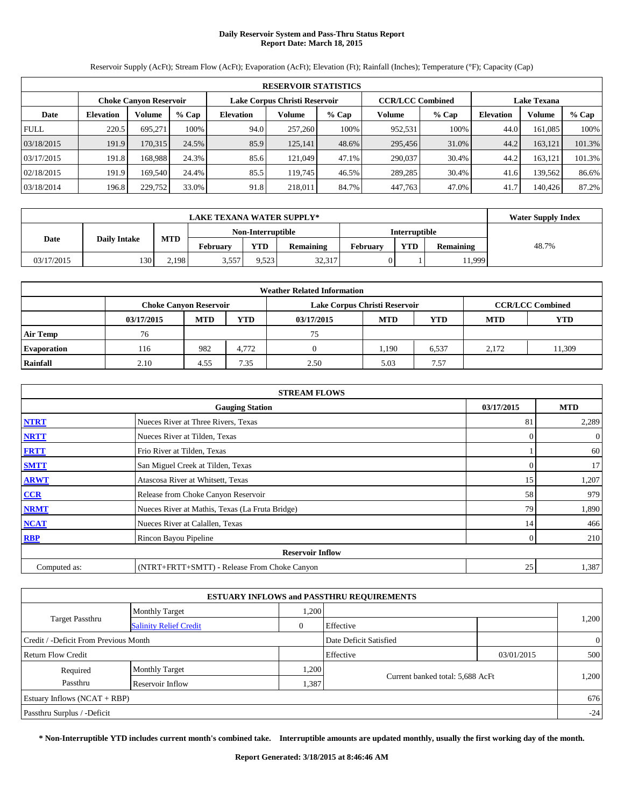# **Daily Reservoir System and Pass-Thru Status Report Report Date: March 18, 2015**

**RESERVOIR STATISTICS Choke Canyon Reservoir Lake Corpus Christi Reservoir CCR/LCC Combined Lake Texana Date Elevation Volume % Cap Elevation Volume % Cap Volume % Cap Elevation Volume % Cap** FULL 220.5 695,271 100% 94.0 257,260 100% 952,531 100% 44.0 161,085 100% 03/18/2015 191.9 170,315 24.5% 85.9 125,141 48.6% 295,456 31.0% 44.2 163,121 101.3% 03/17/2015 | 191.8| 168,988| 24.3% | 85.6| 121,049| 47.1%| 290,037| 30.4%| 44.2| 163,121| 101.3% 02/18/2015 191.9 169,540 24.4% 85.5 119,745 46.5% 289,285 30.4% 41.6 139,562 86.6% 03/18/2014 196.8 229,752 33.0% 91.8 218,011 84.7% 447,763 47.0% 41.7 140,426 87.2%

Reservoir Supply (AcFt); Stream Flow (AcFt); Evaporation (AcFt); Elevation (Ft); Rainfall (Inches); Temperature (°F); Capacity (Cap)

|                                           | <b>LAKE TEXANA WATER SUPPLY*</b> |       |          |                   |                  |                      |            |                  |       |  |  |
|-------------------------------------------|----------------------------------|-------|----------|-------------------|------------------|----------------------|------------|------------------|-------|--|--|
| <b>MTD</b><br>Date<br><b>Daily Intake</b> |                                  |       |          | Non-Interruptible |                  | <b>Interruptible</b> |            |                  |       |  |  |
|                                           |                                  |       | February | <b>YTD</b>        | <b>Remaining</b> | <b>February</b>      | <b>VTD</b> | <b>Remaining</b> | 48.7% |  |  |
| 03/17/2015                                | 130                              | 2,198 | 3,557    | 9,523             | 32,317           |                      |            | 11,999           |       |  |  |

| <b>Weather Related Information</b> |            |                               |            |                               |            |                         |            |            |  |  |  |
|------------------------------------|------------|-------------------------------|------------|-------------------------------|------------|-------------------------|------------|------------|--|--|--|
|                                    |            | <b>Choke Canyon Reservoir</b> |            | Lake Corpus Christi Reservoir |            | <b>CCR/LCC Combined</b> |            |            |  |  |  |
|                                    | 03/17/2015 | <b>MTD</b>                    | <b>YTD</b> | 03/17/2015                    | <b>MTD</b> | YTD                     | <b>MTD</b> | <b>YTD</b> |  |  |  |
| <b>Air Temp</b>                    | 76         |                               |            | 75                            |            |                         |            |            |  |  |  |
| <b>Evaporation</b>                 | 116        | 982                           | 4.772      |                               | 1.190      | 6,537                   | 2.172      | 11,309     |  |  |  |
| Rainfall                           | 2.10       | 4.55                          | 7.35       | 2.50                          | 5.03       | 7.57                    |            |            |  |  |  |

|              | <b>STREAM FLOWS</b>                             |              |            |  |  |  |  |  |  |
|--------------|-------------------------------------------------|--------------|------------|--|--|--|--|--|--|
|              | <b>Gauging Station</b>                          | 03/17/2015   | <b>MTD</b> |  |  |  |  |  |  |
| <b>NTRT</b>  | Nueces River at Three Rivers, Texas             | 81           | 2,289      |  |  |  |  |  |  |
| <b>NRTT</b>  | Nueces River at Tilden, Texas                   | 0            | $\theta$   |  |  |  |  |  |  |
| <b>FRTT</b>  | Frio River at Tilden, Texas                     |              | 60         |  |  |  |  |  |  |
| <b>SMTT</b>  | San Miguel Creek at Tilden, Texas               | $\Omega$     | 17         |  |  |  |  |  |  |
| <b>ARWT</b>  | Atascosa River at Whitsett, Texas               | 15           | 1,207      |  |  |  |  |  |  |
| CCR          | Release from Choke Canyon Reservoir             | 58           | 979        |  |  |  |  |  |  |
| <b>NRMT</b>  | Nueces River at Mathis, Texas (La Fruta Bridge) | 79           | 1,890      |  |  |  |  |  |  |
| <b>NCAT</b>  | Nueces River at Calallen, Texas                 | 14           | 466        |  |  |  |  |  |  |
| <b>RBP</b>   | Rincon Bayou Pipeline                           | $\mathbf{0}$ | 210        |  |  |  |  |  |  |
|              | <b>Reservoir Inflow</b>                         |              |            |  |  |  |  |  |  |
| Computed as: | (NTRT+FRTT+SMTT) - Release From Choke Canyon    | 25           | 1,387      |  |  |  |  |  |  |

| <b>ESTUARY INFLOWS and PASSTHRU REQUIREMENTS</b> |                               |              |                                  |            |                |  |  |  |  |
|--------------------------------------------------|-------------------------------|--------------|----------------------------------|------------|----------------|--|--|--|--|
|                                                  | <b>Monthly Target</b>         | .200         |                                  |            |                |  |  |  |  |
| <b>Target Passthru</b>                           | <b>Salinity Relief Credit</b> | $\mathbf{0}$ | Effective                        |            | 1,200          |  |  |  |  |
| Credit / -Deficit From Previous Month            |                               |              | Date Deficit Satisfied           |            | $\overline{0}$ |  |  |  |  |
| Return Flow Credit                               |                               |              | Effective                        | 03/01/2015 | 500            |  |  |  |  |
| Required                                         | <b>Monthly Target</b>         | .200         |                                  |            |                |  |  |  |  |
| Passthru                                         | Reservoir Inflow              | 1,387        | Current banked total: 5,688 AcFt |            | 1,200          |  |  |  |  |
| Estuary Inflows (NCAT + RBP)                     |                               |              |                                  |            | 676            |  |  |  |  |
| Passthru Surplus / -Deficit                      |                               |              |                                  |            | $-24$          |  |  |  |  |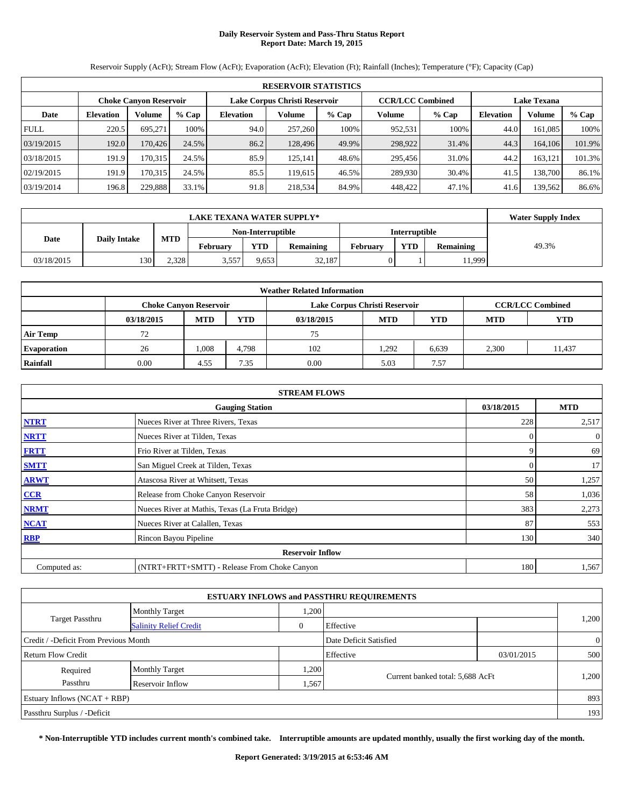# **Daily Reservoir System and Pass-Thru Status Report Report Date: March 19, 2015**

**RESERVOIR STATISTICS Choke Canyon Reservoir Lake Corpus Christi Reservoir CCR/LCC Combined Lake Texana Date Elevation Volume % Cap Elevation Volume % Cap Volume % Cap Elevation Volume % Cap** FULL 220.5 695,271 100% 94.0 257,260 100% 952,531 100% 44.0 161,085 100% 03/19/2015 192.0 170,426 24.5% 86.2 128,496 49.9% 298,922 31.4% 44.3 164,106 101.9% 03/18/2015 191.9 170,315 24.5% 85.9 125,141 48.6% 295,456 31.0% 44.2 163,121 101.3% 02/19/2015 191.9 170,315 24.5% 85.5 119,615 46.5% 289,930 30.4% 41.5 138,700 86.1% 03/19/2014 196.8 229,888 33.1% 91.8 218,534 84.9% 448,422 47.1% 41.6 139,562 86.6%

Reservoir Supply (AcFt); Stream Flow (AcFt); Evaporation (AcFt); Elevation (Ft); Rainfall (Inches); Temperature (°F); Capacity (Cap)

|            | <b>LAKE TEXANA WATER SUPPLY*</b> |            |                 |                   |                  |                      |     |                  |       |  |
|------------|----------------------------------|------------|-----------------|-------------------|------------------|----------------------|-----|------------------|-------|--|
|            |                                  |            |                 | Non-Interruptible |                  | <b>Interruptible</b> |     |                  |       |  |
| Date       | <b>Daily Intake</b>              | <b>MTD</b> | <b>February</b> | <b>YTD</b>        | <b>Remaining</b> | February             | YTD | <b>Remaining</b> | 49.3% |  |
| 03/18/2015 | 130                              | 2.328      | 3.557           | 9,653             | 32,187           |                      |     | 1,999            |       |  |

| <b>Weather Related Information</b> |                               |            |            |            |                               |                         |            |            |  |  |
|------------------------------------|-------------------------------|------------|------------|------------|-------------------------------|-------------------------|------------|------------|--|--|
|                                    | <b>Choke Canyon Reservoir</b> |            |            |            | Lake Corpus Christi Reservoir | <b>CCR/LCC Combined</b> |            |            |  |  |
|                                    | 03/18/2015                    | <b>MTD</b> | <b>YTD</b> | 03/18/2015 | <b>MTD</b>                    | <b>YTD</b>              | <b>MTD</b> | <b>YTD</b> |  |  |
| <b>Air Temp</b>                    | 72                            |            |            | 75         |                               |                         |            |            |  |  |
| <b>Evaporation</b>                 | 26                            | 1,008      | 4.798      | 102        | .292                          | 6,639                   | 2,300      | 11.437     |  |  |
| Rainfall                           | 0.00                          | 4.55       | 7.35       | 0.00       | 5.03                          | 7.57                    |            |            |  |  |

| <b>STREAM FLOWS</b> |                                                 |                |                |  |  |  |  |  |
|---------------------|-------------------------------------------------|----------------|----------------|--|--|--|--|--|
|                     | <b>Gauging Station</b>                          | 03/18/2015     | <b>MTD</b>     |  |  |  |  |  |
| <b>NTRT</b>         | Nueces River at Three Rivers, Texas             | 228            | 2,517          |  |  |  |  |  |
| <b>NRTT</b>         | Nueces River at Tilden, Texas                   | $\Omega$       | $\overline{0}$ |  |  |  |  |  |
| <b>FRTT</b>         | Frio River at Tilden, Texas                     | 9              | 69             |  |  |  |  |  |
| <b>SMTT</b>         | San Miguel Creek at Tilden, Texas               | $\overline{0}$ | 17             |  |  |  |  |  |
| <b>ARWT</b>         | Atascosa River at Whitsett, Texas               | 50             | 1,257          |  |  |  |  |  |
| CCR                 | Release from Choke Canyon Reservoir             | 58             | 1,036          |  |  |  |  |  |
| <b>NRMT</b>         | Nueces River at Mathis, Texas (La Fruta Bridge) | 383            | 2,273          |  |  |  |  |  |
| <b>NCAT</b>         | Nueces River at Calallen, Texas                 | 87             | 553            |  |  |  |  |  |
| <b>RBP</b>          | Rincon Bayou Pipeline                           | 130            | 340            |  |  |  |  |  |
|                     | <b>Reservoir Inflow</b>                         |                |                |  |  |  |  |  |
| Computed as:        | (NTRT+FRTT+SMTT) - Release From Choke Canyon    | 180            | 1,567          |  |  |  |  |  |

| <b>ESTUARY INFLOWS and PASSTHRU REQUIREMENTS</b> |                               |      |                                  |            |                |  |  |  |  |  |
|--------------------------------------------------|-------------------------------|------|----------------------------------|------------|----------------|--|--|--|--|--|
|                                                  | <b>Monthly Target</b>         | ,200 |                                  |            |                |  |  |  |  |  |
| <b>Target Passthru</b>                           | <b>Salinity Relief Credit</b> |      | Effective                        |            | 1,200          |  |  |  |  |  |
| Credit / -Deficit From Previous Month            |                               |      | Date Deficit Satisfied           |            | $\overline{0}$ |  |  |  |  |  |
| Return Flow Credit                               |                               |      | Effective                        | 03/01/2015 | 500            |  |  |  |  |  |
| Required                                         | <b>Monthly Target</b>         | ,200 |                                  |            | 1,200          |  |  |  |  |  |
| Passthru                                         | Reservoir Inflow              | .567 | Current banked total: 5,688 AcFt |            |                |  |  |  |  |  |
| Estuary Inflows (NCAT + RBP)                     |                               |      |                                  |            | 893            |  |  |  |  |  |
| Passthru Surplus / -Deficit                      |                               |      |                                  |            | 193            |  |  |  |  |  |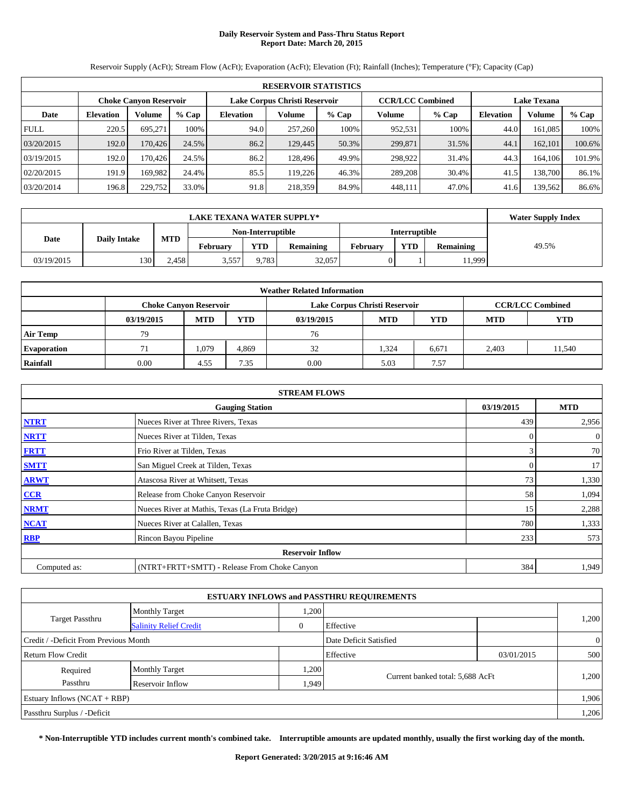# **Daily Reservoir System and Pass-Thru Status Report Report Date: March 20, 2015**

**RESERVOIR STATISTICS Choke Canyon Reservoir Lake Corpus Christi Reservoir CCR/LCC Combined Lake Texana Date Elevation Volume % Cap Elevation Volume % Cap Volume % Cap Elevation Volume % Cap** FULL 220.5 695,271 100% 94.0 257,260 100% 952,531 100% 44.0 161,085 100% 03/20/2015 192.0 170,426 24.5% 86.2 129,445 50.3% 299,871 31.5% 44.1 162,101 100.6% 03/19/2015 192.0 170,426 24.5% 86.2 128,496 49.9% 298,922 31.4% 44.3 164,106 101.9% 02/20/2015 191.9 169,982 24.4% 85.5 119,226 46.3% 289,208 30.4% 41.5 138,700 86.1% 03/20/2014 196.8 229,752 33.0% 91.8 218,359 84.9% 448,111 47.0% 41.6 139,562 86.6%

Reservoir Supply (AcFt); Stream Flow (AcFt); Evaporation (AcFt); Elevation (Ft); Rainfall (Inches); Temperature (°F); Capacity (Cap)

|            | <b>LAKE TEXANA WATER SUPPLY*</b> |            |                 |                   |                  |                      |            |                  |       |  |
|------------|----------------------------------|------------|-----------------|-------------------|------------------|----------------------|------------|------------------|-------|--|
|            |                                  |            |                 | Non-Interruptible |                  | <b>Interruptible</b> |            |                  |       |  |
| Date       | <b>Daily Intake</b>              | <b>MTD</b> | <b>February</b> | <b>YTD</b>        | <b>Remaining</b> | February             | <b>YTD</b> | <b>Remaining</b> | 49.5% |  |
| 03/19/2015 | 130                              | 2.458      | 3.557           | 9.783             | 32,057           |                      |            | 1,999            |       |  |

| <b>Weather Related Information</b> |                               |            |            |                               |            |                         |            |        |  |  |  |
|------------------------------------|-------------------------------|------------|------------|-------------------------------|------------|-------------------------|------------|--------|--|--|--|
|                                    | <b>Choke Canyon Reservoir</b> |            |            | Lake Corpus Christi Reservoir |            | <b>CCR/LCC Combined</b> |            |        |  |  |  |
|                                    | 03/19/2015                    | <b>MTD</b> | <b>YTD</b> | 03/19/2015                    | <b>MTD</b> | YTD                     | <b>MTD</b> | YTD    |  |  |  |
| <b>Air Temp</b>                    | 79                            |            |            | 76                            |            |                         |            |        |  |  |  |
| <b>Evaporation</b>                 |                               | 1,079      | 4.869      | 32                            | 1,324      | 6,671                   | 2.403      | 11,540 |  |  |  |
| Rainfall                           | 0.00                          | 4.55       | 7.35       | 0.00                          | 5.03       | 7.57                    |            |        |  |  |  |

| <b>STREAM FLOWS</b> |                                                 |                |                |  |  |  |  |  |
|---------------------|-------------------------------------------------|----------------|----------------|--|--|--|--|--|
|                     | <b>Gauging Station</b>                          | 03/19/2015     | <b>MTD</b>     |  |  |  |  |  |
| <b>NTRT</b>         | Nueces River at Three Rivers, Texas             | 439            | 2,956          |  |  |  |  |  |
| <b>NRTT</b>         | Nueces River at Tilden, Texas                   | $\Omega$       | $\overline{0}$ |  |  |  |  |  |
| <b>FRTT</b>         | Frio River at Tilden, Texas                     | 3              | 70             |  |  |  |  |  |
| <b>SMTT</b>         | San Miguel Creek at Tilden, Texas               | $\overline{0}$ | 17             |  |  |  |  |  |
| <b>ARWT</b>         | Atascosa River at Whitsett, Texas               | 73             | 1,330          |  |  |  |  |  |
| CCR                 | Release from Choke Canyon Reservoir             | 58             | 1,094          |  |  |  |  |  |
| <b>NRMT</b>         | Nueces River at Mathis, Texas (La Fruta Bridge) | 15             | 2,288          |  |  |  |  |  |
| <b>NCAT</b>         | Nueces River at Calallen, Texas                 | 780            | 1,333          |  |  |  |  |  |
| <b>RBP</b>          | Rincon Bayou Pipeline                           | 233            | 573            |  |  |  |  |  |
|                     | <b>Reservoir Inflow</b>                         |                |                |  |  |  |  |  |
| Computed as:        | (NTRT+FRTT+SMTT) - Release From Choke Canyon    | 384            | 1,949          |  |  |  |  |  |

| <b>ESTUARY INFLOWS and PASSTHRU REQUIREMENTS</b> |                               |       |                                  |            |                |  |  |  |  |  |
|--------------------------------------------------|-------------------------------|-------|----------------------------------|------------|----------------|--|--|--|--|--|
|                                                  | <b>Monthly Target</b>         | ,200  |                                  |            |                |  |  |  |  |  |
| <b>Target Passthru</b>                           | <b>Salinity Relief Credit</b> |       | Effective                        |            | 1,200          |  |  |  |  |  |
| Credit / -Deficit From Previous Month            |                               |       | Date Deficit Satisfied           |            | $\overline{0}$ |  |  |  |  |  |
| Return Flow Credit                               |                               |       | Effective                        | 03/01/2015 | 500            |  |  |  |  |  |
| Required                                         | <b>Monthly Target</b>         | ,200  |                                  |            | 1,200          |  |  |  |  |  |
| Passthru                                         | Reservoir Inflow              | 1,949 | Current banked total: 5,688 AcFt |            |                |  |  |  |  |  |
| Estuary Inflows $(NCAT + RBP)$                   |                               |       |                                  |            | 1,906          |  |  |  |  |  |
| Passthru Surplus / -Deficit                      |                               |       |                                  |            | 1,206          |  |  |  |  |  |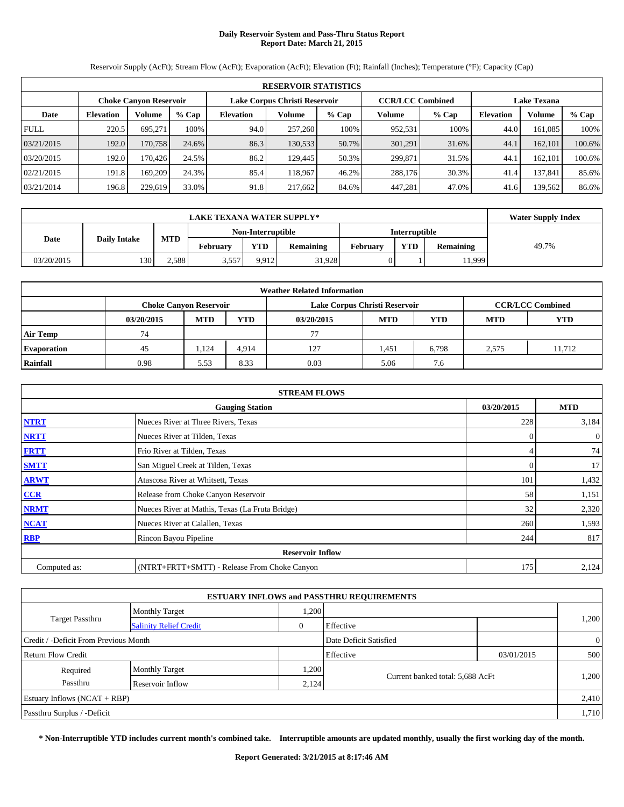# **Daily Reservoir System and Pass-Thru Status Report Report Date: March 21, 2015**

**RESERVOIR STATISTICS Choke Canyon Reservoir Lake Corpus Christi Reservoir CCR/LCC Combined Lake Texana Date Elevation Volume % Cap Elevation Volume % Cap Volume % Cap Elevation Volume % Cap** FULL 220.5 695,271 100% 94.0 257,260 100% 952,531 100% 44.0 161,085 100% 03/21/2015 192.0 170,758 24.6% 86.3 130,533 50.7% 301,291 31.6% 44.1 162,101 100.6% 03/20/2015 192.0 170,426 24.5% 86.2 129,445 50.3% 299,871 31.5% 44.1 162,101 100.6% 02/21/2015 191.8 169,209 24.3% 85.4 118,967 46.2% 288,176 30.3% 41.4 137,841 85.6% 03/21/2014 196.8 229,619 33.0% 91.8 217,662 84.6% 447,281 47.0% 41.6 139,562 86.6%

Reservoir Supply (AcFt); Stream Flow (AcFt); Evaporation (AcFt); Elevation (Ft); Rainfall (Inches); Temperature (°F); Capacity (Cap)

|            | <b>LAKE TEXANA WATER SUPPLY*</b>  |       |                   |            |                  |                 |                      |                  |       |  |  |
|------------|-----------------------------------|-------|-------------------|------------|------------------|-----------------|----------------------|------------------|-------|--|--|
|            |                                   |       | Non-Interruptible |            |                  |                 | <b>Interruptible</b> |                  |       |  |  |
| Date       | <b>MTD</b><br><b>Daily Intake</b> |       | February          | <b>YTD</b> | <b>Remaining</b> | <b>February</b> | <b>VTD</b>           | <b>Remaining</b> | 49.7% |  |  |
| 03/20/2015 | 130                               | 2,588 | 3,557             | 9.912      | 31.928           |                 |                      | 11,999           |       |  |  |

| <b>Weather Related Information</b> |                               |            |            |                               |            |                         |            |            |  |  |  |
|------------------------------------|-------------------------------|------------|------------|-------------------------------|------------|-------------------------|------------|------------|--|--|--|
|                                    | <b>Choke Canyon Reservoir</b> |            |            | Lake Corpus Christi Reservoir |            | <b>CCR/LCC Combined</b> |            |            |  |  |  |
|                                    | 03/20/2015                    | <b>MTD</b> | <b>YTD</b> | 03/20/2015                    | <b>MTD</b> | <b>YTD</b>              | <b>MTD</b> | <b>YTD</b> |  |  |  |
| <b>Air Temp</b>                    | 74                            |            |            | 77                            |            |                         |            |            |  |  |  |
| <b>Evaporation</b>                 | 45                            | 1.124      | 4.914      | 127                           | 1,451      | 6,798                   | 2.575      | 11.712     |  |  |  |
| Rainfall                           | 0.98                          | 5.53       | 8.33       | 0.03                          | 5.06       | 7.6                     |            |            |  |  |  |

| <b>STREAM FLOWS</b> |                                                 |                |                |  |  |  |  |  |
|---------------------|-------------------------------------------------|----------------|----------------|--|--|--|--|--|
|                     | <b>Gauging Station</b>                          | 03/20/2015     | <b>MTD</b>     |  |  |  |  |  |
| <b>NTRT</b>         | Nueces River at Three Rivers, Texas             | 228            | 3,184          |  |  |  |  |  |
| <b>NRTT</b>         | Nueces River at Tilden, Texas                   | $\Omega$       | $\overline{0}$ |  |  |  |  |  |
| <b>FRTT</b>         | Frio River at Tilden, Texas                     | 4              | 74             |  |  |  |  |  |
| <b>SMTT</b>         | San Miguel Creek at Tilden, Texas               | $\overline{0}$ | 17             |  |  |  |  |  |
| <b>ARWT</b>         | Atascosa River at Whitsett, Texas               | 101            | 1,432          |  |  |  |  |  |
| CCR                 | Release from Choke Canyon Reservoir             | 58             | 1,151          |  |  |  |  |  |
| <b>NRMT</b>         | Nueces River at Mathis, Texas (La Fruta Bridge) | 32             | 2,320          |  |  |  |  |  |
| <b>NCAT</b>         | Nueces River at Calallen, Texas                 | 260            | 1,593          |  |  |  |  |  |
| <b>RBP</b>          | Rincon Bayou Pipeline                           | 244            | 817            |  |  |  |  |  |
|                     | <b>Reservoir Inflow</b>                         |                |                |  |  |  |  |  |
| Computed as:        | (NTRT+FRTT+SMTT) - Release From Choke Canyon    | 175            | 2,124          |  |  |  |  |  |

| <b>ESTUARY INFLOWS and PASSTHRU REQUIREMENTS</b> |                               |       |                                  |            |                |  |  |  |  |  |
|--------------------------------------------------|-------------------------------|-------|----------------------------------|------------|----------------|--|--|--|--|--|
|                                                  | <b>Monthly Target</b>         | ,200  |                                  |            |                |  |  |  |  |  |
| <b>Target Passthru</b>                           | <b>Salinity Relief Credit</b> |       | Effective                        |            | 1,200          |  |  |  |  |  |
| Credit / -Deficit From Previous Month            |                               |       | Date Deficit Satisfied           |            | $\overline{0}$ |  |  |  |  |  |
| Return Flow Credit                               |                               |       | Effective                        | 03/01/2015 | 500            |  |  |  |  |  |
| Required                                         | <b>Monthly Target</b>         | ,200  |                                  |            | 1,200          |  |  |  |  |  |
| Passthru                                         | Reservoir Inflow              | 2,124 | Current banked total: 5,688 AcFt |            |                |  |  |  |  |  |
| Estuary Inflows (NCAT + RBP)                     |                               |       |                                  |            | 2,410          |  |  |  |  |  |
| Passthru Surplus / -Deficit                      |                               |       |                                  |            | 1,710          |  |  |  |  |  |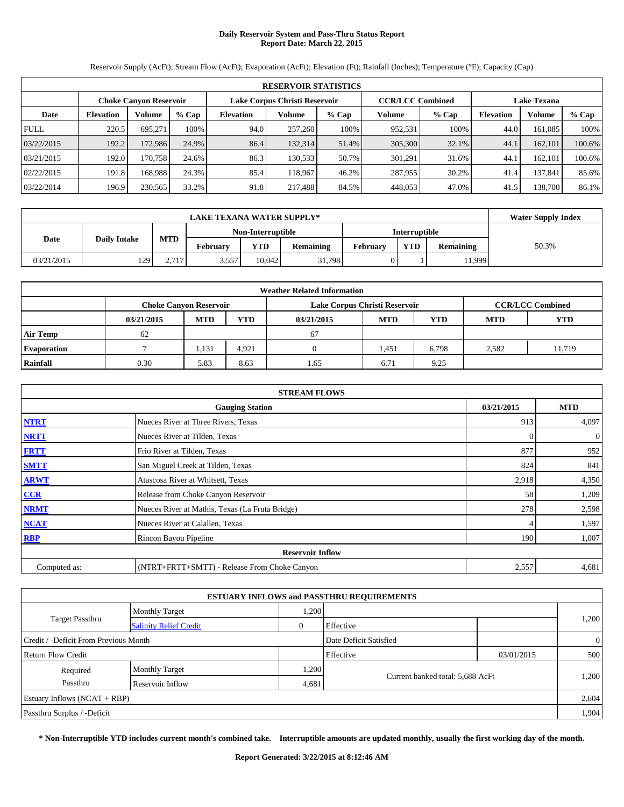# **Daily Reservoir System and Pass-Thru Status Report Report Date: March 22, 2015**

**RESERVOIR STATISTICS Choke Canyon Reservoir Lake Corpus Christi Reservoir CCR/LCC Combined Lake Texana Date Elevation Volume % Cap Elevation Volume % Cap Volume % Cap Elevation Volume % Cap** FULL 220.5 695,271 100% 94.0 257,260 100% 952,531 100% 44.0 161,085 100% 03/22/2015 192.2 172,986 24.9% 86.4 132,314 51.4% 305,300 32.1% 44.1 162,101 100.6% 03/21/2015 192.0 170,758 24.6% 86.3 130,533 50.7% 301,291 31.6% 44.1 162,101 100.6% 02/22/2015 | 191.8| 168,988| 24.3% | 85.4| 118,967| 46.2%| 287,955| 30.2%| 41.4| 137,841| 85.6% 03/22/2014 196.9 230,565 33.2% 91.8 217,488 84.5% 448,053 47.0% 41.5 138,700 86.1%

Reservoir Supply (AcFt); Stream Flow (AcFt); Evaporation (AcFt); Elevation (Ft); Rainfall (Inches); Temperature (°F); Capacity (Cap)

|            | <b>LAKE TEXANA WATER SUPPLY*</b> |            |                   |            |                  |                      |            |                  |       |  |
|------------|----------------------------------|------------|-------------------|------------|------------------|----------------------|------------|------------------|-------|--|
|            |                                  |            | Non-Interruptible |            |                  | <b>Interruptible</b> |            |                  |       |  |
| Date       | <b>Daily Intake</b>              | <b>MTD</b> | <b>February</b>   | <b>YTD</b> | <b>Remaining</b> | February             | <b>YTD</b> | <b>Remaining</b> | 50.3% |  |
| 03/21/2015 | 129                              | 2.717      | 3,557             | 10.042     | 31,798           |                      |            | 11.999           |       |  |

| <b>Weather Related Information</b> |                               |            |            |                               |            |                         |            |            |  |  |
|------------------------------------|-------------------------------|------------|------------|-------------------------------|------------|-------------------------|------------|------------|--|--|
|                                    | <b>Choke Canvon Reservoir</b> |            |            | Lake Corpus Christi Reservoir |            | <b>CCR/LCC Combined</b> |            |            |  |  |
|                                    | 03/21/2015                    | <b>MTD</b> | <b>YTD</b> | 03/21/2015                    | <b>MTD</b> | <b>YTD</b>              | <b>MTD</b> | <b>YTD</b> |  |  |
| <b>Air Temp</b>                    | 62                            |            |            | 67                            |            |                         |            |            |  |  |
| <b>Evaporation</b>                 |                               | 1,131      | 4.921      |                               | 1,451      | 6,798                   | 2,582      | 11.719     |  |  |
| Rainfall                           | 0.30                          | 5.83       | 8.63       | 1.65                          | 6.71       | 9.25                    |            |            |  |  |

|              | <b>STREAM FLOWS</b>                             |            |            |  |  |  |  |  |  |
|--------------|-------------------------------------------------|------------|------------|--|--|--|--|--|--|
|              | <b>Gauging Station</b>                          | 03/21/2015 | <b>MTD</b> |  |  |  |  |  |  |
| <b>NTRT</b>  | Nueces River at Three Rivers, Texas             | 913        | 4,097      |  |  |  |  |  |  |
| <b>NRTT</b>  | Nueces River at Tilden, Texas                   | $\Omega$   | $\theta$   |  |  |  |  |  |  |
| <b>FRTT</b>  | Frio River at Tilden, Texas                     | 877        | 952        |  |  |  |  |  |  |
| <b>SMTT</b>  | San Miguel Creek at Tilden, Texas               | 824        | 841        |  |  |  |  |  |  |
| <b>ARWT</b>  | Atascosa River at Whitsett, Texas               | 2,918      | 4,350      |  |  |  |  |  |  |
| CCR          | Release from Choke Canyon Reservoir             | 58         | 1,209      |  |  |  |  |  |  |
| <b>NRMT</b>  | Nueces River at Mathis, Texas (La Fruta Bridge) | 278        | 2,598      |  |  |  |  |  |  |
| <b>NCAT</b>  | Nueces River at Calallen, Texas                 |            | 1,597      |  |  |  |  |  |  |
| <b>RBP</b>   | Rincon Bayou Pipeline                           | 190        | 1,007      |  |  |  |  |  |  |
|              | <b>Reservoir Inflow</b>                         |            |            |  |  |  |  |  |  |
| Computed as: | (NTRT+FRTT+SMTT) - Release From Choke Canyon    | 2,557      | 4,681      |  |  |  |  |  |  |

| <b>ESTUARY INFLOWS and PASSTHRU REQUIREMENTS</b> |                               |          |                                  |            |                |  |  |  |  |  |
|--------------------------------------------------|-------------------------------|----------|----------------------------------|------------|----------------|--|--|--|--|--|
|                                                  | <b>Monthly Target</b>         | .200     |                                  |            |                |  |  |  |  |  |
| <b>Target Passthru</b>                           | <b>Salinity Relief Credit</b> | $\theta$ | Effective                        |            | 1,200          |  |  |  |  |  |
| Credit / -Deficit From Previous Month            |                               |          | Date Deficit Satisfied           |            | $\overline{0}$ |  |  |  |  |  |
| <b>Return Flow Credit</b>                        |                               |          | Effective                        | 03/01/2015 | 500            |  |  |  |  |  |
| Required                                         | <b>Monthly Target</b>         | .200     |                                  |            |                |  |  |  |  |  |
| Passthru                                         | Reservoir Inflow              | 4,681    | Current banked total: 5,688 AcFt |            | 1,200          |  |  |  |  |  |
| Estuary Inflows $(NCAT + RBP)$                   |                               |          |                                  |            | 2,604          |  |  |  |  |  |
| Passthru Surplus / -Deficit                      |                               |          |                                  |            | 1,904          |  |  |  |  |  |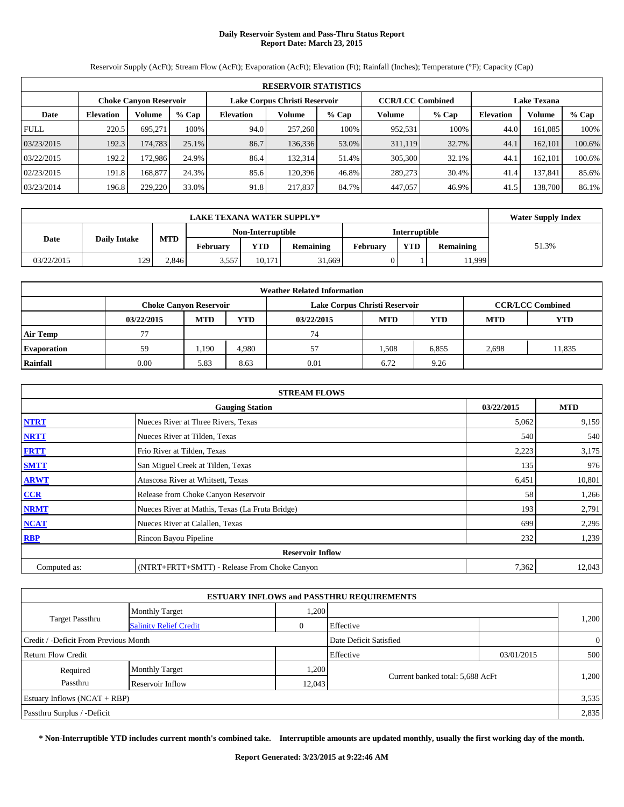# **Daily Reservoir System and Pass-Thru Status Report Report Date: March 23, 2015**

**RESERVOIR STATISTICS Choke Canyon Reservoir Lake Corpus Christi Reservoir CCR/LCC Combined Lake Texana Date Elevation Volume % Cap Elevation Volume % Cap Volume % Cap Elevation Volume % Cap** FULL 220.5 695,271 100% 94.0 257,260 100% 952,531 100% 44.0 161,085 100% 03/23/2015 192.3 174,783 25.1% 86.7 136,336 53.0% 311,119 32.7% 44.1 162,101 100.6% 03/22/2015 192.2 172,986 24.9% 86.4 132,314 51.4% 305,300 32.1% 44.1 162,101 100.6% 02/23/2015 | 191.8| 168,877| 24.3% 85.6| 120,396| 46.8%| 289,273| 30.4%| 41.4| 137,841| 85.6% 03/23/2014 196.8 229,220 33.0% 91.8 217,837 84.7% 447,057 46.9% 41.5 138,700 86.1%

Reservoir Supply (AcFt); Stream Flow (AcFt); Evaporation (AcFt); Elevation (Ft); Rainfall (Inches); Temperature (°F); Capacity (Cap)

|            | <b>LAKE TEXANA WATER SUPPLY*</b> |            |                   |        |           |          |               |           |       |  |
|------------|----------------------------------|------------|-------------------|--------|-----------|----------|---------------|-----------|-------|--|
|            |                                  |            | Non-Interruptible |        |           |          | Interruptible |           |       |  |
| Date       | <b>Daily Intake</b>              | <b>MTD</b> | <b>February</b>   | YTD    | Remaining | February | <b>YTD</b>    | Remaining | 51.3% |  |
| 03/22/2015 | 129                              | 2.846      | 3,557             | 10.171 | 31.669    |          |               | 11,999    |       |  |

| <b>Weather Related Information</b> |                               |            |            |                               |            |                         |            |            |  |  |  |
|------------------------------------|-------------------------------|------------|------------|-------------------------------|------------|-------------------------|------------|------------|--|--|--|
|                                    | <b>Choke Canvon Reservoir</b> |            |            | Lake Corpus Christi Reservoir |            | <b>CCR/LCC Combined</b> |            |            |  |  |  |
|                                    | 03/22/2015                    | <b>MTD</b> | <b>YTD</b> | 03/22/2015                    | <b>MTD</b> | <b>YTD</b>              | <b>MTD</b> | <b>YTD</b> |  |  |  |
| <b>Air Temp</b>                    |                               |            |            | 74                            |            |                         |            |            |  |  |  |
| <b>Evaporation</b>                 | 59                            | 1.190      | 4.980      | 57                            | .508       | 6,855                   | 2,698      | 11,835     |  |  |  |
| Rainfall                           | 0.00                          | 5.83       | 8.63       | 0.01                          | 6.72       | 9.26                    |            |            |  |  |  |

|              | <b>STREAM FLOWS</b>                             |            |            |  |  |  |  |  |  |
|--------------|-------------------------------------------------|------------|------------|--|--|--|--|--|--|
|              | <b>Gauging Station</b>                          | 03/22/2015 | <b>MTD</b> |  |  |  |  |  |  |
| <b>NTRT</b>  | Nueces River at Three Rivers, Texas             | 5,062      | 9,159      |  |  |  |  |  |  |
| <b>NRTT</b>  | Nueces River at Tilden, Texas                   | 540        | 540        |  |  |  |  |  |  |
| <b>FRTT</b>  | Frio River at Tilden, Texas                     | 2,223      | 3,175      |  |  |  |  |  |  |
| <b>SMTT</b>  | San Miguel Creek at Tilden, Texas               | 135        | 976        |  |  |  |  |  |  |
| <b>ARWT</b>  | Atascosa River at Whitsett, Texas               | 6,451      | 10,801     |  |  |  |  |  |  |
| CCR          | Release from Choke Canyon Reservoir             | 58         | 1,266      |  |  |  |  |  |  |
| <b>NRMT</b>  | Nueces River at Mathis, Texas (La Fruta Bridge) | 193        | 2,791      |  |  |  |  |  |  |
| <b>NCAT</b>  | Nueces River at Calallen, Texas                 | 699        | 2,295      |  |  |  |  |  |  |
| <b>RBP</b>   | Rincon Bayou Pipeline                           | 232        | 1,239      |  |  |  |  |  |  |
|              | <b>Reservoir Inflow</b>                         |            |            |  |  |  |  |  |  |
| Computed as: | (NTRT+FRTT+SMTT) - Release From Choke Canyon    | 7,362      | 12,043     |  |  |  |  |  |  |

| <b>ESTUARY INFLOWS and PASSTHRU REQUIREMENTS</b> |                               |              |                                  |            |                |  |  |  |  |
|--------------------------------------------------|-------------------------------|--------------|----------------------------------|------------|----------------|--|--|--|--|
|                                                  | <b>Monthly Target</b>         | 1,200        |                                  |            |                |  |  |  |  |
| <b>Target Passthru</b>                           | <b>Salinity Relief Credit</b> | $\mathbf{0}$ | Effective                        |            | 1,200          |  |  |  |  |
| Credit / -Deficit From Previous Month            |                               |              | Date Deficit Satisfied           |            | $\overline{0}$ |  |  |  |  |
| Return Flow Credit                               |                               |              | Effective                        | 03/01/2015 | 500            |  |  |  |  |
| Required                                         | <b>Monthly Target</b>         | 1,200        |                                  |            |                |  |  |  |  |
| Passthru                                         | Reservoir Inflow              | 12,043       | Current banked total: 5,688 AcFt |            | 1,200          |  |  |  |  |
| Estuary Inflows $(NCAT + RBP)$                   |                               |              |                                  |            | 3.535          |  |  |  |  |
| Passthru Surplus / -Deficit                      |                               |              |                                  |            | 2,835          |  |  |  |  |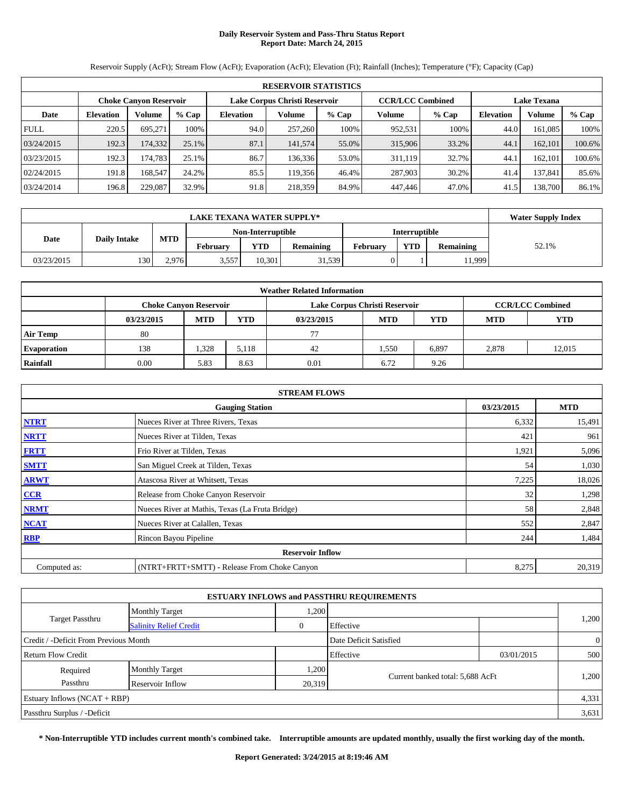# **Daily Reservoir System and Pass-Thru Status Report Report Date: March 24, 2015**

**RESERVOIR STATISTICS Choke Canyon Reservoir Lake Corpus Christi Reservoir CCR/LCC Combined Lake Texana Date Elevation Volume % Cap Elevation Volume % Cap Volume % Cap Elevation Volume % Cap** FULL 220.5 695,271 100% 94.0 257,260 100% 952,531 100% 44.0 161,085 100% 03/24/2015 192.3 174,332 25.1% 87.1 141,574 55.0% 315,906 33.2% 44.1 162,101 100.6% 03/23/2015 192.3 174,783 25.1% 86.7 136,336 53.0% 311,119 32.7% 44.1 162,101 100.6% 02/24/2015 | 191.8 168,547 24.2% 85.5 119,356 46.4% 287,903 30.2% 41.4 137,841 85.6% 03/24/2014 196.8 229,087 32.9% 91.8 218,359 84.9% 447,446 47.0% 41.5 138,700 86.1%

Reservoir Supply (AcFt); Stream Flow (AcFt); Evaporation (AcFt); Elevation (Ft); Rainfall (Inches); Temperature (°F); Capacity (Cap)

|            | <b>LAKE TEXANA WATER SUPPLY*</b> |            |                   |        |           |          |               |           |       |  |
|------------|----------------------------------|------------|-------------------|--------|-----------|----------|---------------|-----------|-------|--|
|            |                                  |            | Non-Interruptible |        |           |          | Interruptible |           |       |  |
| Date       | <b>Daily Intake</b>              | <b>MTD</b> | <b>February</b>   | YTD    | Remaining | February | <b>YTD</b>    | Remaining | 52.1% |  |
| 03/23/2015 | 130                              | 2.976      | 3,557             | 10.301 | 31,539    |          |               | 11,999    |       |  |

| <b>Weather Related Information</b> |                               |            |            |            |                               |                         |            |            |  |  |
|------------------------------------|-------------------------------|------------|------------|------------|-------------------------------|-------------------------|------------|------------|--|--|
|                                    | <b>Choke Canyon Reservoir</b> |            |            |            | Lake Corpus Christi Reservoir | <b>CCR/LCC Combined</b> |            |            |  |  |
|                                    | 03/23/2015                    | <b>MTD</b> | <b>YTD</b> | 03/23/2015 | <b>MTD</b>                    | <b>YTD</b>              | <b>MTD</b> | <b>YTD</b> |  |  |
| <b>Air Temp</b>                    | 80                            |            |            | 77         |                               |                         |            |            |  |  |
| <b>Evaporation</b>                 | 138                           | 1,328      | 5,118      | 42         | 1,550                         | 6,897                   | 2,878      | 12,015     |  |  |
| Rainfall                           | 0.00                          | 5.83       | 8.63       | 0.01       | 6.72                          | 9.26                    |            |            |  |  |

|              | <b>STREAM FLOWS</b>                             |            |            |  |  |  |  |  |  |
|--------------|-------------------------------------------------|------------|------------|--|--|--|--|--|--|
|              | <b>Gauging Station</b>                          | 03/23/2015 | <b>MTD</b> |  |  |  |  |  |  |
| <b>NTRT</b>  | Nueces River at Three Rivers, Texas             | 6,332      | 15,491     |  |  |  |  |  |  |
| <b>NRTT</b>  | Nueces River at Tilden, Texas                   | 421        | 961        |  |  |  |  |  |  |
| <b>FRTT</b>  | Frio River at Tilden, Texas                     | 1,921      | 5,096      |  |  |  |  |  |  |
| <b>SMTT</b>  | San Miguel Creek at Tilden, Texas               | 54         | 1,030      |  |  |  |  |  |  |
| <b>ARWT</b>  | Atascosa River at Whitsett, Texas               | 7,225      | 18,026     |  |  |  |  |  |  |
| CCR          | Release from Choke Canyon Reservoir             | 32         | 1,298      |  |  |  |  |  |  |
| <b>NRMT</b>  | Nueces River at Mathis, Texas (La Fruta Bridge) | 58         | 2,848      |  |  |  |  |  |  |
| <b>NCAT</b>  | Nueces River at Calallen, Texas                 | 552        | 2,847      |  |  |  |  |  |  |
| <b>RBP</b>   | Rincon Bayou Pipeline                           | 244        | 1,484      |  |  |  |  |  |  |
|              | <b>Reservoir Inflow</b>                         |            |            |  |  |  |  |  |  |
| Computed as: | (NTRT+FRTT+SMTT) - Release From Choke Canyon    | 8,275      | 20,319     |  |  |  |  |  |  |

| <b>ESTUARY INFLOWS and PASSTHRU REQUIREMENTS</b> |                               |              |                                  |            |                |  |  |  |  |
|--------------------------------------------------|-------------------------------|--------------|----------------------------------|------------|----------------|--|--|--|--|
|                                                  | <b>Monthly Target</b>         | 1,200        |                                  |            |                |  |  |  |  |
| <b>Target Passthru</b>                           | <b>Salinity Relief Credit</b> | $\mathbf{0}$ | Effective                        |            | 1,200          |  |  |  |  |
| Credit / -Deficit From Previous Month            |                               |              | Date Deficit Satisfied           |            | $\overline{0}$ |  |  |  |  |
| Return Flow Credit                               |                               |              | Effective                        | 03/01/2015 | 500            |  |  |  |  |
| Required                                         | <b>Monthly Target</b>         | 1,200        |                                  |            |                |  |  |  |  |
| Passthru                                         | Reservoir Inflow              | 20,319       | Current banked total: 5,688 AcFt |            | 1,200          |  |  |  |  |
| Estuary Inflows $(NCAT + RBP)$                   |                               |              |                                  |            | 4,331          |  |  |  |  |
| Passthru Surplus / -Deficit                      |                               |              |                                  |            | 3.631          |  |  |  |  |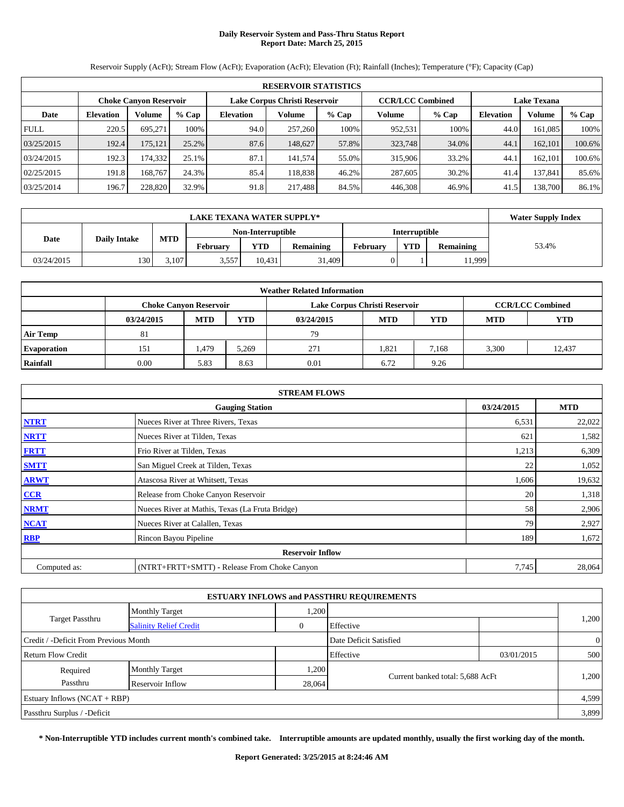# **Daily Reservoir System and Pass-Thru Status Report Report Date: March 25, 2015**

**RESERVOIR STATISTICS Choke Canyon Reservoir Lake Corpus Christi Reservoir CCR/LCC Combined Lake Texana Date Elevation Volume % Cap Elevation Volume % Cap Volume % Cap Elevation Volume % Cap** FULL 220.5 695,271 100% 94.0 257,260 100% 952,531 100% 44.0 161,085 100% 03/25/2015 192.4 175,121 25.2% 87.6 148,627 57.8% 323,748 34.0% 44.1 162,101 100.6% 03/24/2015 192.3 174,332 25.1% 87.1 141,574 55.0% 315,906 33.2% 44.1 162,101 100.6% 02/25/2015 | 191.8 168,767 24.3% 85.4 118,838 46.2% 287,605 30.2% 41.4 137,841 85.6% 03/25/2014 196.7 228,820 32.9% 91.8 217,488 84.5% 446,308 46.9% 41.5 138,700 86.1%

Reservoir Supply (AcFt); Stream Flow (AcFt); Evaporation (AcFt); Elevation (Ft); Rainfall (Inches); Temperature (°F); Capacity (Cap)

|            | <b>LAKE TEXANA WATER SUPPLY*</b> |            |                   |            |                  |          |                      |                  |       |  |
|------------|----------------------------------|------------|-------------------|------------|------------------|----------|----------------------|------------------|-------|--|
|            |                                  |            | Non-Interruptible |            |                  |          | <b>Interruptible</b> |                  |       |  |
| Date       | <b>Daily Intake</b>              | <b>MTD</b> | <b>February</b>   | <b>YTD</b> | <b>Remaining</b> | February | <b>YTD</b>           | <b>Remaining</b> | 53.4% |  |
| 03/24/2015 | 130                              | 3.107      | 3,557             | 10.431     | 31.409           |          |                      | 11.999           |       |  |

| <b>Weather Related Information</b> |                               |            |            |                               |            |                         |            |            |  |  |
|------------------------------------|-------------------------------|------------|------------|-------------------------------|------------|-------------------------|------------|------------|--|--|
|                                    | <b>Choke Canvon Reservoir</b> |            |            | Lake Corpus Christi Reservoir |            | <b>CCR/LCC Combined</b> |            |            |  |  |
|                                    | 03/24/2015                    | <b>MTD</b> | <b>YTD</b> | 03/24/2015                    | <b>MTD</b> | YTD                     | <b>MTD</b> | <b>YTD</b> |  |  |
| <b>Air Temp</b>                    | 81                            |            |            | 79                            |            |                         |            |            |  |  |
| <b>Evaporation</b>                 | 151                           | 479ء       | 5,269      | 271                           | 1,821      | 7.168                   | 3,300      | 12.437     |  |  |
| Rainfall                           | 0.00                          | 5.83       | 8.63       | 0.01                          | 6.72       | 9.26                    |            |            |  |  |

|              | <b>STREAM FLOWS</b>                             |            |            |  |  |  |  |  |  |
|--------------|-------------------------------------------------|------------|------------|--|--|--|--|--|--|
|              | <b>Gauging Station</b>                          | 03/24/2015 | <b>MTD</b> |  |  |  |  |  |  |
| <b>NTRT</b>  | Nueces River at Three Rivers, Texas             | 6,531      | 22,022     |  |  |  |  |  |  |
| <b>NRTT</b>  | Nueces River at Tilden, Texas                   | 621        | 1,582      |  |  |  |  |  |  |
| <b>FRTT</b>  | Frio River at Tilden, Texas                     | 1,213      | 6,309      |  |  |  |  |  |  |
| <b>SMTT</b>  | San Miguel Creek at Tilden, Texas               | 22         | 1,052      |  |  |  |  |  |  |
| <b>ARWT</b>  | Atascosa River at Whitsett, Texas               | 1,606      | 19,632     |  |  |  |  |  |  |
| CCR          | Release from Choke Canyon Reservoir             | 20         | 1,318      |  |  |  |  |  |  |
| <b>NRMT</b>  | Nueces River at Mathis, Texas (La Fruta Bridge) | 58         | 2,906      |  |  |  |  |  |  |
| <b>NCAT</b>  | Nueces River at Calallen, Texas                 | 79         | 2,927      |  |  |  |  |  |  |
| <b>RBP</b>   | Rincon Bayou Pipeline                           | 189        | 1,672      |  |  |  |  |  |  |
|              | <b>Reservoir Inflow</b>                         |            |            |  |  |  |  |  |  |
| Computed as: | (NTRT+FRTT+SMTT) - Release From Choke Canyon    | 7,745      | 28,064     |  |  |  |  |  |  |

|                                       |                               |              | <b>ESTUARY INFLOWS and PASSTHRU REQUIREMENTS</b> |            |                |
|---------------------------------------|-------------------------------|--------------|--------------------------------------------------|------------|----------------|
|                                       | <b>Monthly Target</b>         | 1,200        |                                                  |            |                |
| <b>Target Passthru</b>                | <b>Salinity Relief Credit</b> | $\mathbf{0}$ | Effective                                        |            | 1,200          |
| Credit / -Deficit From Previous Month |                               |              | Date Deficit Satisfied                           |            | $\overline{0}$ |
| Return Flow Credit                    |                               |              | Effective                                        | 03/01/2015 | 500            |
| Required                              | <b>Monthly Target</b>         | 1,200        |                                                  |            |                |
| Passthru                              | Reservoir Inflow              | 28,064       | Current banked total: 5,688 AcFt                 |            | 1,200          |
| Estuary Inflows $(NCAT + RBP)$        |                               |              |                                                  |            | 4,599          |
| Passthru Surplus / -Deficit           |                               |              |                                                  |            | 3,899          |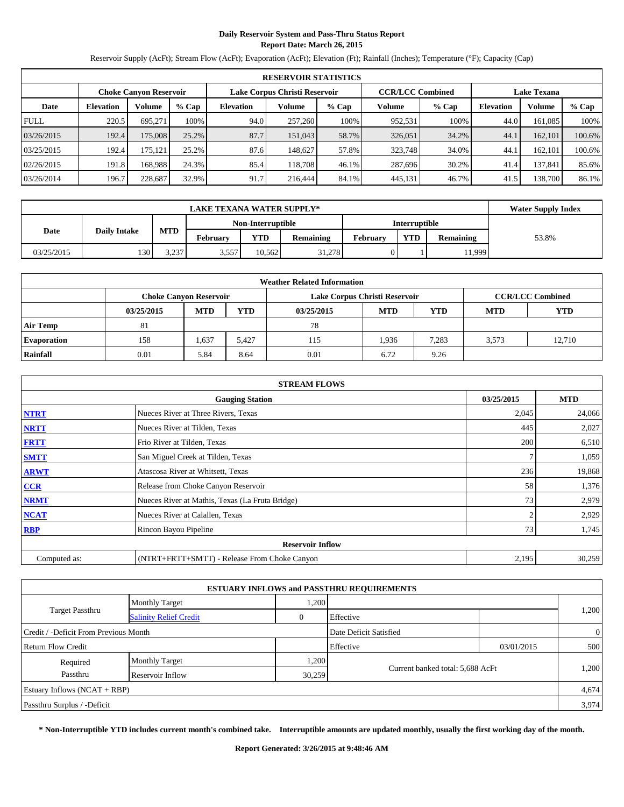# **Daily Reservoir System and Pass-Thru Status Report Report Date: March 26, 2015**

Reservoir Supply (AcFt); Stream Flow (AcFt); Evaporation (AcFt); Elevation (Ft); Rainfall (Inches); Temperature (°F); Capacity (Cap)

|             | <b>RESERVOIR STATISTICS</b>   |         |         |                               |         |         |                         |         |                    |         |        |
|-------------|-------------------------------|---------|---------|-------------------------------|---------|---------|-------------------------|---------|--------------------|---------|--------|
|             | <b>Choke Canyon Reservoir</b> |         |         | Lake Corpus Christi Reservoir |         |         | <b>CCR/LCC Combined</b> |         | <b>Lake Texana</b> |         |        |
| Date        | <b>Elevation</b>              | Volume  | $%$ Cap | <b>Elevation</b>              | Volume  | $%$ Cap | Volume                  | $%$ Cap | <b>Elevation</b>   | Volume  | % Cap  |
| <b>FULL</b> | 220.5                         | 695.271 | 100%    | 94.0                          | 257,260 | 100%    | 952,531                 | 100%    | 44.0               | 161.085 | 100%   |
| 03/26/2015  | 192.4                         | 175,008 | 25.2%   | 87.7                          | 151,043 | 58.7%   | 326,051                 | 34.2%   | 44.                | 162,101 | 100.6% |
| 03/25/2015  | 192.4                         | 175,121 | 25.2%   | 87.6                          | 148,627 | 57.8%   | 323,748                 | 34.0%   | 44.                | 162.101 | 100.6% |
| 02/26/2015  | 191.8                         | 168.988 | 24.3%   | 85.4                          | 118,708 | 46.1%   | 287,696                 | 30.2%   | 41.4               | 137.841 | 85.6%  |
| 03/26/2014  | 196.7                         | 228.687 | 32.9%   | 91.7                          | 216,444 | 84.1%   | 445,131                 | 46.7%   | 41.5               | 138.700 | 86.1%  |

|            | <b>Water Supply Index</b> |                |          |                   |                  |                      |            |                  |       |
|------------|---------------------------|----------------|----------|-------------------|------------------|----------------------|------------|------------------|-------|
|            |                           |                |          | Non-Interruptible |                  | <b>Interruptible</b> |            |                  |       |
| Date       | <b>Daily Intake</b>       | <b>MTD</b>     | February | YTD               | <b>Remaining</b> | February             | <b>YTD</b> | <b>Remaining</b> | 53.8% |
| 03/25/2015 | 130                       | 3237<br>ا دے.د | 3,557    | 10.562            | 31.278           |                      |            | 11.999           |       |

| <b>Weather Related Information</b> |                               |            |            |                               |            |                         |            |            |  |  |
|------------------------------------|-------------------------------|------------|------------|-------------------------------|------------|-------------------------|------------|------------|--|--|
|                                    | <b>Choke Canyon Reservoir</b> |            |            | Lake Corpus Christi Reservoir |            | <b>CCR/LCC Combined</b> |            |            |  |  |
|                                    | 03/25/2015                    | <b>MTD</b> | <b>YTD</b> | 03/25/2015                    | <b>MTD</b> | YTD                     | <b>MTD</b> | <b>YTD</b> |  |  |
| <b>Air Temp</b>                    | 81                            |            |            | 78                            |            |                         |            |            |  |  |
| <b>Evaporation</b>                 | 158                           | 1,637      | 5,427      | 115                           | 1,936      | 7,283                   | 3,573      | 12.710     |  |  |
| Rainfall                           | 0.01                          | 5.84       | 8.64       | 0.01                          | 6.72       | 9.26                    |            |            |  |  |

|              | <b>STREAM FLOWS</b>                             |                |            |  |  |  |  |  |
|--------------|-------------------------------------------------|----------------|------------|--|--|--|--|--|
|              | <b>Gauging Station</b>                          | 03/25/2015     | <b>MTD</b> |  |  |  |  |  |
| <b>NTRT</b>  | Nueces River at Three Rivers, Texas             | 2,045          | 24,066     |  |  |  |  |  |
| <b>NRTT</b>  | Nueces River at Tilden, Texas                   | 445            | 2,027      |  |  |  |  |  |
| <b>FRTT</b>  | Frio River at Tilden, Texas                     | 200            | 6,510      |  |  |  |  |  |
| <b>SMTT</b>  | San Miguel Creek at Tilden, Texas               |                | 1,059      |  |  |  |  |  |
| <b>ARWT</b>  | Atascosa River at Whitsett, Texas               | 236            | 19,868     |  |  |  |  |  |
| CCR          | Release from Choke Canyon Reservoir             | 58             | 1,376      |  |  |  |  |  |
| <b>NRMT</b>  | Nueces River at Mathis, Texas (La Fruta Bridge) | 73             | 2,979      |  |  |  |  |  |
| <b>NCAT</b>  | Nueces River at Calallen, Texas                 | $\overline{2}$ | 2,929      |  |  |  |  |  |
| <b>RBP</b>   | Rincon Bayou Pipeline                           | 73             | 1,745      |  |  |  |  |  |
|              | <b>Reservoir Inflow</b>                         |                |            |  |  |  |  |  |
| Computed as: | (NTRT+FRTT+SMTT) - Release From Choke Canyon    | 2,195          | 30,259     |  |  |  |  |  |

|                                       |                               |        | <b>ESTUARY INFLOWS and PASSTHRU REQUIREMENTS</b> |            |                |
|---------------------------------------|-------------------------------|--------|--------------------------------------------------|------------|----------------|
|                                       | <b>Monthly Target</b>         | 1,200  |                                                  |            |                |
| <b>Target Passthru</b>                | <b>Salinity Relief Credit</b> | 0      | Effective                                        |            | 1,200          |
| Credit / -Deficit From Previous Month |                               |        | Date Deficit Satisfied                           |            | $\overline{0}$ |
| Return Flow Credit                    |                               |        | Effective                                        | 03/01/2015 | 500            |
| Required                              | <b>Monthly Target</b>         | 1,200  |                                                  |            |                |
| Passthru                              | Reservoir Inflow              | 30,259 | Current banked total: 5,688 AcFt                 |            | 1,200          |
| Estuary Inflows $(NCAT + RBP)$        |                               |        |                                                  |            | 4,674          |
| Passthru Surplus / -Deficit           |                               |        |                                                  |            | 3,974          |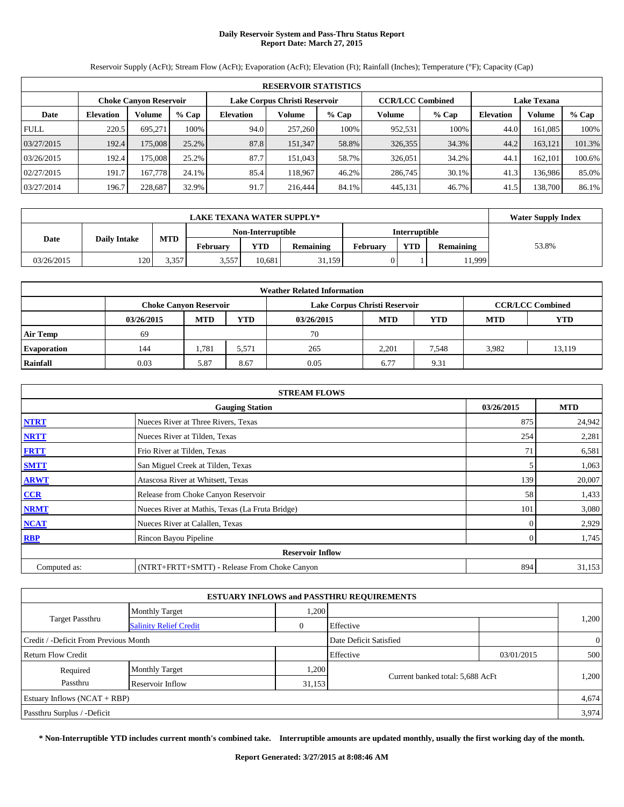# **Daily Reservoir System and Pass-Thru Status Report Report Date: March 27, 2015**

**RESERVOIR STATISTICS Choke Canyon Reservoir Lake Corpus Christi Reservoir CCR/LCC Combined Lake Texana Date Elevation Volume % Cap Elevation Volume % Cap Volume % Cap Elevation Volume % Cap** FULL 220.5 695,271 100% 94.0 257,260 100% 952,531 100% 44.0 161,085 100% 03/27/2015 192.4 175,008 25.2% 87.8 151,347 58.8% 326,355 34.3% 44.2 163,121 101.3% 03/26/2015 192.4 175,008 25.2% 87.7 151,043 58.7% 326,051 34.2% 44.1 162,101 100.6% 02/27/2015 191.7 167,778 24.1% 85.4 118,967 46.2% 286,745 30.1% 41.3 136,986 85.0% 03/27/2014 196.7 228,687 32.9% 91.7 216,444 84.1% 445,131 46.7% 41.5 138,700 86.1%

Reservoir Supply (AcFt); Stream Flow (AcFt); Evaporation (AcFt); Elevation (Ft); Rainfall (Inches); Temperature (°F); Capacity (Cap)

|            | <b>Water Supply Index</b> |            |                   |        |           |          |               |                  |       |
|------------|---------------------------|------------|-------------------|--------|-----------|----------|---------------|------------------|-------|
|            |                           |            | Non-Interruptible |        |           |          | Interruptible |                  |       |
| Date       | <b>Daily Intake</b>       | <b>MTD</b> | <b>February</b>   | YTD    | Remaining | February | <b>YTD</b>    | <b>Remaining</b> | 53.8% |
| 03/26/2015 | 120                       | 3.357      | 3,557             | 10.681 | 31,159    |          |               | 11,999           |       |

| <b>Weather Related Information</b> |                               |            |            |                               |            |                         |            |            |  |  |
|------------------------------------|-------------------------------|------------|------------|-------------------------------|------------|-------------------------|------------|------------|--|--|
|                                    | <b>Choke Canvon Reservoir</b> |            |            | Lake Corpus Christi Reservoir |            | <b>CCR/LCC Combined</b> |            |            |  |  |
|                                    | 03/26/2015                    | <b>MTD</b> | <b>YTD</b> | 03/26/2015                    | <b>MTD</b> | YTD                     | <b>MTD</b> | <b>YTD</b> |  |  |
| <b>Air Temp</b>                    | 69                            |            |            | 70                            |            |                         |            |            |  |  |
| <b>Evaporation</b>                 | 144                           | 1.781      | 5,571      | 265                           | 2,201      | 7,548                   | 3,982      | 13,119     |  |  |
| Rainfall                           | 0.03                          | 5.87       | 8.67       | 0.05                          | 6.77       | 9.31                    |            |            |  |  |

|              | <b>STREAM FLOWS</b>                             |                |            |  |  |  |  |  |  |
|--------------|-------------------------------------------------|----------------|------------|--|--|--|--|--|--|
|              | <b>Gauging Station</b>                          | 03/26/2015     | <b>MTD</b> |  |  |  |  |  |  |
| <b>NTRT</b>  | Nueces River at Three Rivers, Texas             | 875            | 24,942     |  |  |  |  |  |  |
| <b>NRTT</b>  | Nueces River at Tilden, Texas                   | 254            | 2,281      |  |  |  |  |  |  |
| <b>FRTT</b>  | Frio River at Tilden, Texas                     | 71             | 6,581      |  |  |  |  |  |  |
| <b>SMTT</b>  | San Miguel Creek at Tilden, Texas               |                | 1,063      |  |  |  |  |  |  |
| <b>ARWT</b>  | Atascosa River at Whitsett, Texas               | 139            | 20,007     |  |  |  |  |  |  |
| CCR          | Release from Choke Canyon Reservoir             | 58             | 1,433      |  |  |  |  |  |  |
| <b>NRMT</b>  | Nueces River at Mathis, Texas (La Fruta Bridge) | 101            | 3,080      |  |  |  |  |  |  |
| <b>NCAT</b>  | Nueces River at Calallen, Texas                 | 0              | 2,929      |  |  |  |  |  |  |
| <b>RBP</b>   | Rincon Bayou Pipeline                           | $\overline{0}$ | 1,745      |  |  |  |  |  |  |
|              | <b>Reservoir Inflow</b>                         |                |            |  |  |  |  |  |  |
| Computed as: | (NTRT+FRTT+SMTT) - Release From Choke Canyon    | 894            | 31,153     |  |  |  |  |  |  |

|                                       |                               |              | <b>ESTUARY INFLOWS and PASSTHRU REQUIREMENTS</b> |            |                |  |
|---------------------------------------|-------------------------------|--------------|--------------------------------------------------|------------|----------------|--|
|                                       | <b>Monthly Target</b>         | 1,200        |                                                  |            |                |  |
| <b>Target Passthru</b>                | <b>Salinity Relief Credit</b> | $\mathbf{0}$ | Effective                                        |            | 1,200          |  |
| Credit / -Deficit From Previous Month |                               |              | Date Deficit Satisfied                           |            | $\overline{0}$ |  |
| Return Flow Credit                    |                               |              | Effective                                        | 03/01/2015 | 500            |  |
| Required                              | <b>Monthly Target</b>         | 1,200        |                                                  |            |                |  |
| Passthru                              | Reservoir Inflow              | 31,153       | Current banked total: 5,688 AcFt                 |            | 1,200          |  |
| Estuary Inflows $(NCAT + RBP)$        |                               |              |                                                  |            | 4,674          |  |
| Passthru Surplus / -Deficit           |                               |              |                                                  |            | 3.974          |  |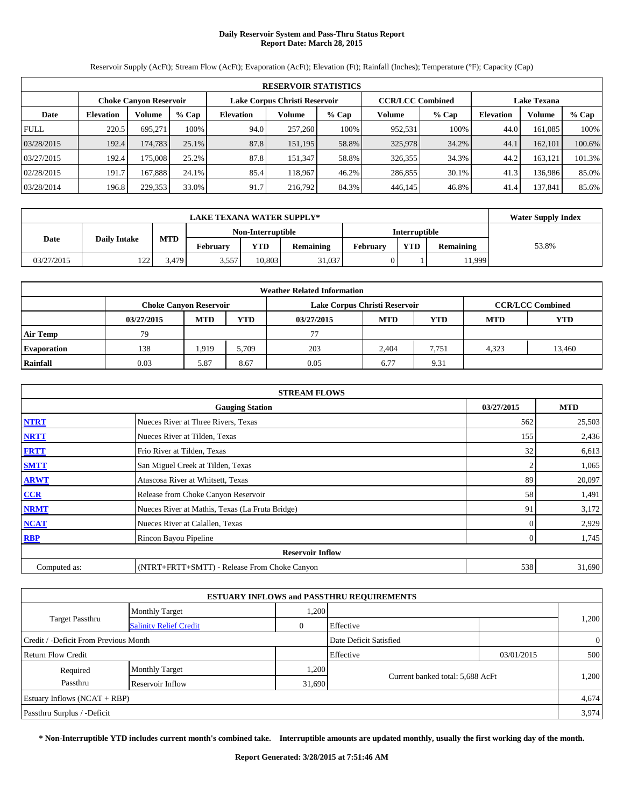# **Daily Reservoir System and Pass-Thru Status Report Report Date: March 28, 2015**

**RESERVOIR STATISTICS Choke Canyon Reservoir Lake Corpus Christi Reservoir CCR/LCC Combined Lake Texana Date Elevation Volume % Cap Elevation Volume % Cap Volume % Cap Elevation Volume % Cap** FULL 220.5 695,271 100% 94.0 257,260 100% 952,531 100% 44.0 161,085 100% 03/28/2015 192.4 174,783 25.1% 87.8 151,195 58.8% 325,978 34.2% 44.1 162,101 100.6% 03/27/2015 | 192.4 175,008 25.2% 87.8 151,347 58.8% 326,355 34.3% 44.2 163,121 101.3% 02/28/2015 191.7 167,888 24.1% 85.4 118,967 46.2% 286,855 30.1% 41.3 136,986 85.0% 03/28/2014 | 196.8 229,353 33.0% 91.7 216,792 84.3% 446,145 46.8% 41.4 137,841 85.6%

Reservoir Supply (AcFt); Stream Flow (AcFt); Evaporation (AcFt); Elevation (Ft); Rainfall (Inches); Temperature (°F); Capacity (Cap)

|            | <b>LAKE TEXANA WATER SUPPLY*</b> |            |                   |        |           |               |            |                  |       |  |
|------------|----------------------------------|------------|-------------------|--------|-----------|---------------|------------|------------------|-------|--|
|            |                                  |            | Non-Interruptible |        |           | Interruptible |            |                  |       |  |
| Date       | <b>Daily Intake</b>              | <b>MTD</b> | <b>February</b>   | YTD    | Remaining | February      | <b>YTD</b> | <b>Remaining</b> | 53.8% |  |
| 03/27/2015 | $122 -$                          | 3.479      | 3,557             | 10.803 | 31,037    |               |            | 11,999           |       |  |

| <b>Weather Related Information</b> |            |                               |            |                               |            |       |                         |            |  |  |
|------------------------------------|------------|-------------------------------|------------|-------------------------------|------------|-------|-------------------------|------------|--|--|
|                                    |            | <b>Choke Canvon Reservoir</b> |            | Lake Corpus Christi Reservoir |            |       | <b>CCR/LCC Combined</b> |            |  |  |
|                                    | 03/27/2015 | <b>MTD</b>                    | <b>YTD</b> | 03/27/2015                    | <b>MTD</b> | YTD   | <b>MTD</b>              | <b>YTD</b> |  |  |
| <b>Air Temp</b>                    | 79         |                               |            | 77                            |            |       |                         |            |  |  |
| <b>Evaporation</b>                 | 138        | 1,919                         | 5.709      | 203                           | 2.404      | 7.751 | 4.323                   | 13,460     |  |  |
| Rainfall                           | 0.03       | 5.87                          | 8.67       | 0.05                          | 6.77       | 9.31  |                         |            |  |  |

| <b>STREAM FLOWS</b> |                                                 |                |            |  |  |  |  |  |
|---------------------|-------------------------------------------------|----------------|------------|--|--|--|--|--|
|                     | <b>Gauging Station</b>                          | 03/27/2015     | <b>MTD</b> |  |  |  |  |  |
| <b>NTRT</b>         | Nueces River at Three Rivers, Texas             | 562            | 25,503     |  |  |  |  |  |
| <b>NRTT</b>         | Nueces River at Tilden, Texas                   | 155            | 2,436      |  |  |  |  |  |
| <b>FRTT</b>         | Frio River at Tilden, Texas                     | 32             | 6,613      |  |  |  |  |  |
| <b>SMTT</b>         | San Miguel Creek at Tilden, Texas               |                | 1,065      |  |  |  |  |  |
| <b>ARWT</b>         | Atascosa River at Whitsett, Texas               | 89             | 20,097     |  |  |  |  |  |
| CCR                 | Release from Choke Canyon Reservoir             | 58             | 1,491      |  |  |  |  |  |
| <b>NRMT</b>         | Nueces River at Mathis, Texas (La Fruta Bridge) | 91             | 3,172      |  |  |  |  |  |
| <b>NCAT</b>         | Nueces River at Calallen, Texas                 | 0              | 2,929      |  |  |  |  |  |
| <b>RBP</b>          | Rincon Bayou Pipeline                           | $\overline{0}$ | 1,745      |  |  |  |  |  |
|                     | <b>Reservoir Inflow</b>                         |                |            |  |  |  |  |  |
| Computed as:        | (NTRT+FRTT+SMTT) - Release From Choke Canyon    | 538            | 31,690     |  |  |  |  |  |

| <b>ESTUARY INFLOWS and PASSTHRU REQUIREMENTS</b> |                               |              |                                  |            |                |  |  |  |  |
|--------------------------------------------------|-------------------------------|--------------|----------------------------------|------------|----------------|--|--|--|--|
|                                                  | <b>Monthly Target</b>         | 1,200        |                                  |            |                |  |  |  |  |
| <b>Target Passthru</b>                           | <b>Salinity Relief Credit</b> | $\mathbf{0}$ | Effective                        |            | 1,200          |  |  |  |  |
| Credit / -Deficit From Previous Month            |                               |              | Date Deficit Satisfied           |            | $\overline{0}$ |  |  |  |  |
| <b>Return Flow Credit</b>                        | Effective                     |              |                                  | 03/01/2015 | 500            |  |  |  |  |
| Required                                         | <b>Monthly Target</b>         | 1,200        |                                  |            |                |  |  |  |  |
| Passthru                                         | Reservoir Inflow              | 31,690       | Current banked total: 5,688 AcFt |            | 1,200          |  |  |  |  |
| Estuary Inflows $(NCAT + RBP)$                   |                               |              |                                  |            | 4,674          |  |  |  |  |
| Passthru Surplus / -Deficit                      |                               |              |                                  |            | 3.974          |  |  |  |  |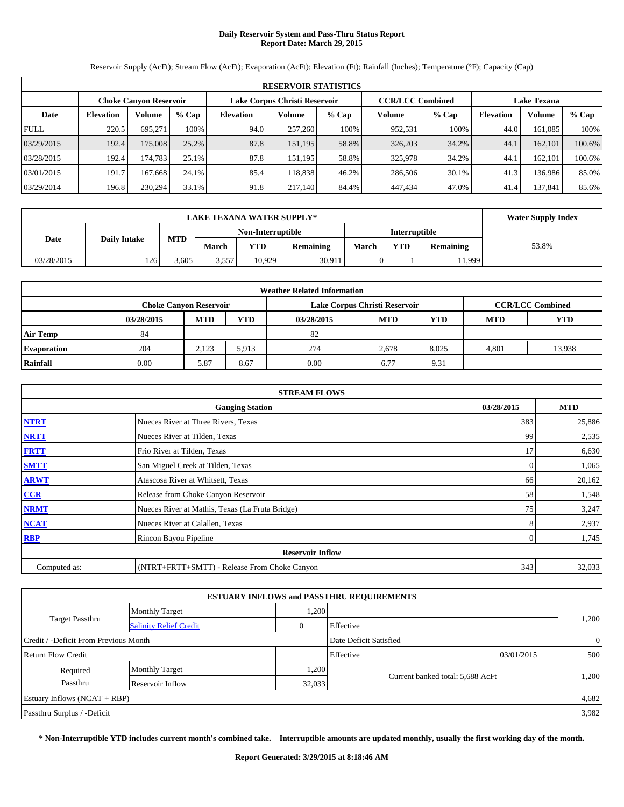# **Daily Reservoir System and Pass-Thru Status Report Report Date: March 29, 2015**

**RESERVOIR STATISTICS Choke Canyon Reservoir Lake Corpus Christi Reservoir CCR/LCC Combined Lake Texana Date Elevation Volume % Cap Elevation Volume % Cap Volume % Cap Elevation Volume % Cap** FULL 220.5 695,271 100% 94.0 257,260 100% 952,531 100% 44.0 161,085 100% 03/29/2015 | 192.4 175,008 25.2% 87.8 151,195 58.8% 326,203 34.2% 44.1 162,101 100.6% 03/28/2015 192.4 174,783 25.1% 87.8 151,195 58.8% 325,978 34.2% 44.1 162,101 100.6% 03/01/2015 191.7 167,668 24.1% 85.4 118,838 46.2% 286,506 30.1% 41.3 136,986 85.0% 03/29/2014 | 196.8| 230,294| 33.1%| 91.8| 217,140| 84.4%| 447,434| 47.0%| 41.4| 137,841| 85.6%

Reservoir Supply (AcFt); Stream Flow (AcFt); Evaporation (AcFt); Elevation (Ft); Rainfall (Inches); Temperature (°F); Capacity (Cap)

|            | <b>LAKE TEXANA WATER SUPPLY*</b> |            |                   |        |           |                      |            |           |       |  |
|------------|----------------------------------|------------|-------------------|--------|-----------|----------------------|------------|-----------|-------|--|
|            |                                  |            | Non-Interruptible |        |           | <b>Interruptible</b> |            |           |       |  |
| Date       | Daily Intake                     | <b>MTD</b> | March             | YTD    | Remaining | <b>March</b>         | <b>YTD</b> | Remaining | 53.8% |  |
| 03/28/2015 | 126                              | 3.605      | 3,557             | 10.929 | 30,911    |                      |            | 1,999     |       |  |

| <b>Weather Related Information</b> |            |                               |            |            |                               |            |                         |            |  |  |
|------------------------------------|------------|-------------------------------|------------|------------|-------------------------------|------------|-------------------------|------------|--|--|
|                                    |            | <b>Choke Canyon Reservoir</b> |            |            | Lake Corpus Christi Reservoir |            | <b>CCR/LCC Combined</b> |            |  |  |
|                                    | 03/28/2015 | <b>MTD</b>                    | <b>YTD</b> | 03/28/2015 | <b>MTD</b>                    | <b>YTD</b> | <b>MTD</b>              | <b>YTD</b> |  |  |
| <b>Air Temp</b>                    | 84         |                               |            | 82         |                               |            |                         |            |  |  |
| <b>Evaporation</b>                 | 204        | 2,123                         | 5.913      | 274        | 2.678                         | 8,025      | 4.801                   | 13,938     |  |  |
| Rainfall                           | 0.00       | 5.87                          | 8.67       | 0.00       | 6.77                          | 9.31       |                         |            |  |  |

| <b>STREAM FLOWS</b> |                                                 |                |            |  |  |  |  |  |
|---------------------|-------------------------------------------------|----------------|------------|--|--|--|--|--|
|                     | <b>Gauging Station</b>                          | 03/28/2015     | <b>MTD</b> |  |  |  |  |  |
| <b>NTRT</b>         | Nueces River at Three Rivers, Texas             | 383            | 25,886     |  |  |  |  |  |
| <b>NRTT</b>         | Nueces River at Tilden, Texas                   | 99             | 2,535      |  |  |  |  |  |
| <b>FRTT</b>         | Frio River at Tilden, Texas                     | 17             | 6,630      |  |  |  |  |  |
| <b>SMTT</b>         | San Miguel Creek at Tilden, Texas               | $\Omega$       | 1,065      |  |  |  |  |  |
| <b>ARWT</b>         | Atascosa River at Whitsett, Texas               | 66             | 20,162     |  |  |  |  |  |
| CCR                 | Release from Choke Canyon Reservoir             | 58             | 1,548      |  |  |  |  |  |
| <b>NRMT</b>         | Nueces River at Mathis, Texas (La Fruta Bridge) | 75             | 3,247      |  |  |  |  |  |
| <b>NCAT</b>         | Nueces River at Calallen, Texas                 | 8              | 2,937      |  |  |  |  |  |
| <b>RBP</b>          | Rincon Bayou Pipeline                           | $\overline{0}$ | 1,745      |  |  |  |  |  |
|                     | <b>Reservoir Inflow</b>                         |                |            |  |  |  |  |  |
| Computed as:        | (NTRT+FRTT+SMTT) - Release From Choke Canyon    | 343            | 32,033     |  |  |  |  |  |

| <b>ESTUARY INFLOWS and PASSTHRU REQUIREMENTS</b> |                               |              |                                  |            |                |  |  |  |  |
|--------------------------------------------------|-------------------------------|--------------|----------------------------------|------------|----------------|--|--|--|--|
|                                                  | <b>Monthly Target</b>         | 1,200        |                                  |            |                |  |  |  |  |
| <b>Target Passthru</b>                           | <b>Salinity Relief Credit</b> | $\mathbf{0}$ | Effective                        |            | 1,200          |  |  |  |  |
| Credit / -Deficit From Previous Month            |                               |              | Date Deficit Satisfied           |            | $\overline{0}$ |  |  |  |  |
| Return Flow Credit                               |                               |              | Effective                        | 03/01/2015 | 500            |  |  |  |  |
| Required                                         | <b>Monthly Target</b>         | 1,200        |                                  |            |                |  |  |  |  |
| Passthru                                         | Reservoir Inflow              | 32,033       | Current banked total: 5,688 AcFt |            | 1,200          |  |  |  |  |
| Estuary Inflows $(NCAT + RBP)$                   |                               |              |                                  |            | 4,682          |  |  |  |  |
| Passthru Surplus / -Deficit                      |                               |              |                                  |            | 3.982          |  |  |  |  |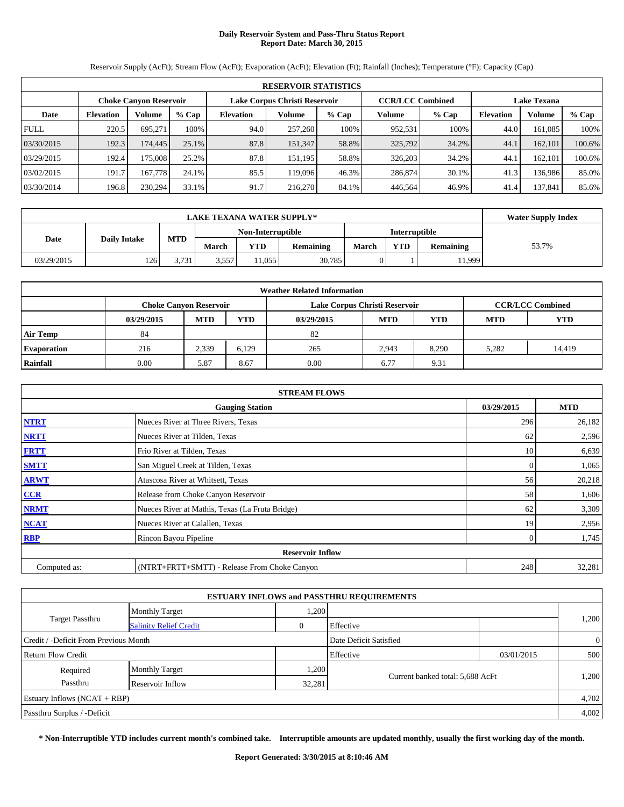# **Daily Reservoir System and Pass-Thru Status Report Report Date: March 30, 2015**

Reservoir Supply (AcFt); Stream Flow (AcFt); Evaporation (AcFt); Elevation (Ft); Rainfall (Inches); Temperature (°F); Capacity (Cap) **RESERVOIR STATISTICS Choke Canyon Reservoir Lake Corpus Christi Reservoir CCR/LCC Combined Lake Texana Date Elevation Volume % Cap Elevation Volume % Cap Volume % Cap Elevation Volume % Cap** FULL 220.5 695,271 100% 94.0 257,260 100% 952,531 100% 44.0 161,085 100% 03/30/2015 192.3 174,445 25.1% 87.8 151,347 58.8% 325,792 34.2% 44.1 162,101 100.6% 03/29/2015 | 192.4 175,008 25.2% 87.8 151,195 58.8% 326,203 34.2% 44.1 162,101 100.6% 03/02/2015 191.7 167,778 24.1% 85.5 119,096 46.3% 286,874 30.1% 41.3 136,986 85.0% 03/30/2014 196.8 230,294 33.1% 91.7 216,270 84.1% 446,564 46.9% 41.4 137,841 85.6%

# **LAKE TEXANA WATER SUPPLY\*** Water Supply Index **Date Daily Intake MTD Non-Interruptible Interruptible March YTD Remaining March YTD Remaining** 53.7% 03/29/2015 | 126 3,731 3,557 11,055 30,785 0 1 11,999

| <b>Weather Related Information</b> |                               |            |            |                               |            |                         |            |            |  |  |  |
|------------------------------------|-------------------------------|------------|------------|-------------------------------|------------|-------------------------|------------|------------|--|--|--|
|                                    | <b>Choke Canyon Reservoir</b> |            |            | Lake Corpus Christi Reservoir |            | <b>CCR/LCC Combined</b> |            |            |  |  |  |
|                                    | 03/29/2015                    | <b>MTD</b> | <b>YTD</b> | 03/29/2015                    | <b>MTD</b> | <b>YTD</b>              | <b>MTD</b> | <b>YTD</b> |  |  |  |
| Air Temp                           | 84                            |            |            | 82                            |            |                         |            |            |  |  |  |
| <b>Evaporation</b>                 | 216                           | 2,339      | 6.129      | 265                           | 2,943      | 8.290                   | 5.282      | 14,419     |  |  |  |
| Rainfall                           | 0.00                          | 5.87       | 8.67       | 0.00                          | 6.77       | 9.31                    |            |            |  |  |  |

| <b>STREAM FLOWS</b> |                                                 |                |            |  |  |  |  |  |
|---------------------|-------------------------------------------------|----------------|------------|--|--|--|--|--|
|                     | <b>Gauging Station</b>                          | 03/29/2015     | <b>MTD</b> |  |  |  |  |  |
| <b>NTRT</b>         | Nueces River at Three Rivers, Texas             | 296            | 26,182     |  |  |  |  |  |
| <b>NRTT</b>         | Nueces River at Tilden, Texas                   | 62             | 2,596      |  |  |  |  |  |
| <b>FRTT</b>         | Frio River at Tilden, Texas                     | 10             | 6,639      |  |  |  |  |  |
| <b>SMTT</b>         | San Miguel Creek at Tilden, Texas               | $\Omega$       | 1,065      |  |  |  |  |  |
| <b>ARWT</b>         | Atascosa River at Whitsett, Texas               | 56             | 20,218     |  |  |  |  |  |
| CCR                 | Release from Choke Canyon Reservoir             | 58             | 1,606      |  |  |  |  |  |
| <b>NRMT</b>         | Nueces River at Mathis, Texas (La Fruta Bridge) | 62             | 3,309      |  |  |  |  |  |
| <b>NCAT</b>         | Nueces River at Calallen, Texas                 | 19             | 2,956      |  |  |  |  |  |
| <b>RBP</b>          | Rincon Bayou Pipeline                           | $\overline{0}$ | 1,745      |  |  |  |  |  |
|                     | <b>Reservoir Inflow</b>                         |                |            |  |  |  |  |  |
| Computed as:        | (NTRT+FRTT+SMTT) - Release From Choke Canyon    | 248            | 32,281     |  |  |  |  |  |

| <b>ESTUARY INFLOWS and PASSTHRU REQUIREMENTS</b> |                               |          |                                  |            |                |  |  |  |  |
|--------------------------------------------------|-------------------------------|----------|----------------------------------|------------|----------------|--|--|--|--|
|                                                  | <b>Monthly Target</b>         | 1,200    |                                  |            | 1,200          |  |  |  |  |
| Target Passthru                                  | <b>Salinity Relief Credit</b> | $\theta$ | Effective                        |            |                |  |  |  |  |
| Credit / -Deficit From Previous Month            |                               |          | Date Deficit Satisfied           |            | $\overline{0}$ |  |  |  |  |
| <b>Return Flow Credit</b>                        |                               |          | Effective                        | 03/01/2015 | 500            |  |  |  |  |
| Required                                         | <b>Monthly Target</b>         | 1,200    |                                  |            | 1,200          |  |  |  |  |
| Passthru                                         | Reservoir Inflow              | 32,281   | Current banked total: 5,688 AcFt |            |                |  |  |  |  |
| Estuary Inflows $(NCAT + RBP)$                   |                               |          |                                  |            | 4,702          |  |  |  |  |
| Passthru Surplus / -Deficit                      |                               |          |                                  |            | 4,002          |  |  |  |  |